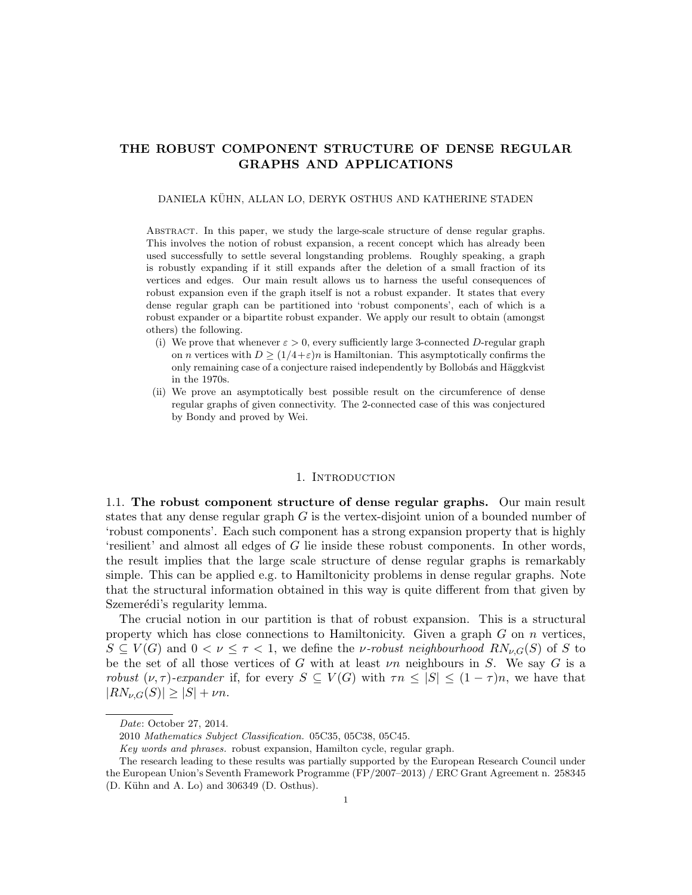# THE ROBUST COMPONENT STRUCTURE OF DENSE REGULAR GRAPHS AND APPLICATIONS

#### DANIELA KÜHN, ALLAN LO, DERYK OSTHUS AND KATHERINE STADEN

Abstract. In this paper, we study the large-scale structure of dense regular graphs. This involves the notion of robust expansion, a recent concept which has already been used successfully to settle several longstanding problems. Roughly speaking, a graph is robustly expanding if it still expands after the deletion of a small fraction of its vertices and edges. Our main result allows us to harness the useful consequences of robust expansion even if the graph itself is not a robust expander. It states that every dense regular graph can be partitioned into 'robust components', each of which is a robust expander or a bipartite robust expander. We apply our result to obtain (amongst others) the following.

- (i) We prove that whenever  $\varepsilon > 0$ , every sufficiently large 3-connected D-regular graph on *n* vertices with  $D \geq (1/4 + \varepsilon)n$  is Hamiltonian. This asymptotically confirms the only remaining case of a conjecture raised independently by Bollobás and Häggkvist in the 1970s.
- (ii) We prove an asymptotically best possible result on the circumference of dense regular graphs of given connectivity. The 2-connected case of this was conjectured by Bondy and proved by Wei.

# 1. INTRODUCTION

<span id="page-0-0"></span>1.1. The robust component structure of dense regular graphs. Our main result states that any dense regular graph  $G$  is the vertex-disjoint union of a bounded number of 'robust components'. Each such component has a strong expansion property that is highly 'resilient' and almost all edges of G lie inside these robust components. In other words, the result implies that the large scale structure of dense regular graphs is remarkably simple. This can be applied e.g. to Hamiltonicity problems in dense regular graphs. Note that the structural information obtained in this way is quite different from that given by Szemerédi's regularity lemma.

The crucial notion in our partition is that of robust expansion. This is a structural property which has close connections to Hamiltonicity. Given a graph  $G$  on  $n$  vertices,  $S \subseteq V(G)$  and  $0 < \nu \leq \tau < 1$ , we define the *v*-robust neighbourhood  $RN_{\nu,G}(S)$  of S to be the set of all those vertices of G with at least  $\nu n$  neighbours in S. We say G is a robust  $(\nu, \tau)$ -expander if, for every  $S \subseteq V(G)$  with  $\tau n \leq |S| \leq (1 - \tau)n$ , we have that  $|RN_{\nu,G}(S)| \geq |S| + \nu n.$ 

Date: October 27, 2014.

<sup>2010</sup> Mathematics Subject Classification. 05C35, 05C38, 05C45.

Key words and phrases. robust expansion, Hamilton cycle, regular graph.

The research leading to these results was partially supported by the European Research Council under the European Union's Seventh Framework Programme (FP/2007–2013) / ERC Grant Agreement n. 258345  $(D.$  Kühn and A. Lo) and 306349  $(D.$  Osthus).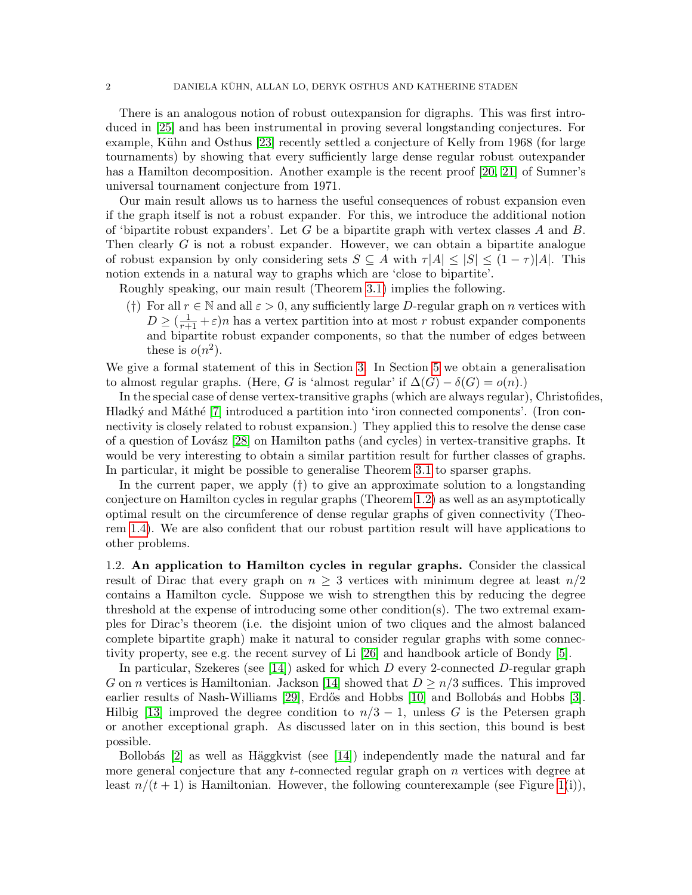There is an analogous notion of robust outexpansion for digraphs. This was first introduced in [\[25\]](#page-37-0) and has been instrumental in proving several longstanding conjectures. For example, Kühn and Osthus [\[23\]](#page-37-1) recently settled a conjecture of Kelly from 1968 (for large tournaments) by showing that every sufficiently large dense regular robust outexpander has a Hamilton decomposition. Another example is the recent proof [\[20,](#page-37-2) [21\]](#page-37-3) of Sumner's universal tournament conjecture from 1971.

Our main result allows us to harness the useful consequences of robust expansion even if the graph itself is not a robust expander. For this, we introduce the additional notion of 'bipartite robust expanders'. Let G be a bipartite graph with vertex classes  $A$  and  $B$ . Then clearly G is not a robust expander. However, we can obtain a bipartite analogue of robust expansion by only considering sets  $S \subseteq A$  with  $\tau |A| \leq |S| \leq (1 - \tau) |A|$ . This notion extends in a natural way to graphs which are 'close to bipartite'.

Roughly speaking, our main result (Theorem [3.1\)](#page-6-0) implies the following.

(†) For all  $r \in \mathbb{N}$  and all  $\varepsilon > 0$ , any sufficiently large D-regular graph on n vertices with  $D \geq \left(\frac{1}{r+1} + \varepsilon\right)n$  has a vertex partition into at most r robust expander components and bipartite robust expander components, so that the number of edges between these is  $o(n^2)$ .

We give a formal statement of this in Section [3.](#page-5-0) In Section [5](#page-14-0) we obtain a generalisation to almost regular graphs. (Here, G is 'almost regular' if  $\Delta(G) - \delta(G) = o(n)$ .)

In the special case of dense vertex-transitive graphs (which are always regular), Christofides, Hladký and Máthé [\[7\]](#page-36-0) introduced a partition into 'iron connected components'. (Iron connectivity is closely related to robust expansion.) They applied this to resolve the dense case of a question of Lovász [\[28\]](#page-37-4) on Hamilton paths (and cycles) in vertex-transitive graphs. It would be very interesting to obtain a similar partition result for further classes of graphs. In particular, it might be possible to generalise Theorem [3.1](#page-6-0) to sparser graphs.

In the current paper, we apply (†) to give an approximate solution to a longstanding conjecture on Hamilton cycles in regular graphs (Theorem [1.2\)](#page-3-0) as well as an asymptotically optimal result on the circumference of dense regular graphs of given connectivity (Theorem [1.4\)](#page-3-1). We are also confident that our robust partition result will have applications to other problems.

<span id="page-1-0"></span>1.2. An application to Hamilton cycles in regular graphs. Consider the classical result of Dirac that every graph on  $n \geq 3$  vertices with minimum degree at least  $n/2$ contains a Hamilton cycle. Suppose we wish to strengthen this by reducing the degree threshold at the expense of introducing some other condition(s). The two extremal examples for Dirac's theorem (i.e. the disjoint union of two cliques and the almost balanced complete bipartite graph) make it natural to consider regular graphs with some connectivity property, see e.g. the recent survey of Li [\[26\]](#page-37-5) and handbook article of Bondy [\[5\]](#page-36-1).

In particular, Szekeres (see [\[14\]](#page-37-6)) asked for which  $D$  every 2-connected  $D$ -regular graph G on n vertices is Hamiltonian. Jackson [\[14\]](#page-37-6) showed that  $D \geq n/3$  suffices. This improved earlier results of Nash-Williams [\[29\]](#page-37-7), Erdős and Hobbs [\[10\]](#page-36-2) and Bollobás and Hobbs [\[3\]](#page-36-3). Hilbig [\[13\]](#page-37-8) improved the degree condition to  $n/3 - 1$ , unless G is the Petersen graph or another exceptional graph. As discussed later on in this section, this bound is best possible.

Bollobás  $|2|$  as well as Häggkvist (see  $|14|$ ) independently made the natural and far more general conjecture that any t-connected regular graph on n vertices with degree at least  $n/(t+1)$  is Hamiltonian. However, the following counterexample (see Figure [1\(](#page-2-0)i)),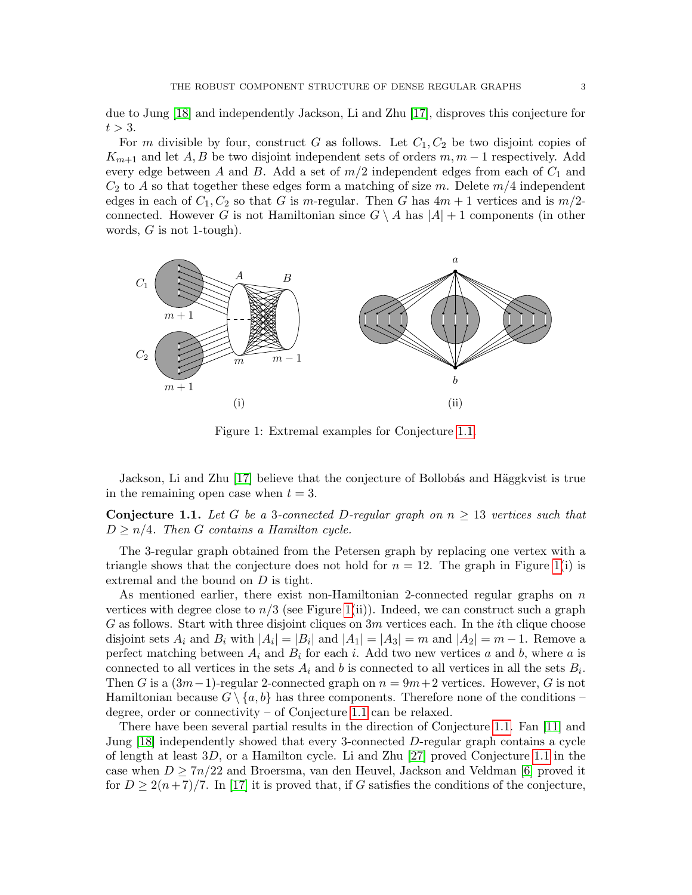due to Jung [\[18\]](#page-37-9) and independently Jackson, Li and Zhu [\[17\]](#page-37-10), disproves this conjecture for  $t > 3$ .

For m divisible by four, construct G as follows. Let  $C_1, C_2$  be two disjoint copies of  $K_{m+1}$  and let A, B be two disjoint independent sets of orders  $m, m-1$  respectively. Add every edge between A and B. Add a set of  $m/2$  independent edges from each of  $C_1$  and  $C_2$  to A so that together these edges form a matching of size m. Delete  $m/4$  independent edges in each of  $C_1, C_2$  so that G is m-regular. Then G has  $4m + 1$  vertices and is  $m/2$ connected. However G is not Hamiltonian since  $G \setminus A$  has  $|A| + 1$  components (in other words,  $G$  is not 1-tough).

<span id="page-2-0"></span>

Figure 1: Extremal examples for Conjecture [1.1.](#page-2-1)

Jackson, Li and Zhu [\[17\]](#page-37-10) believe that the conjecture of Bollobás and Häggkvist is true in the remaining open case when  $t = 3$ .

<span id="page-2-1"></span>**Conjecture 1.1.** Let G be a 3-connected D-regular graph on  $n \geq 13$  vertices such that  $D \geq n/4$ . Then G contains a Hamilton cycle.

The 3-regular graph obtained from the Petersen graph by replacing one vertex with a triangle shows that the conjecture does not hold for  $n = 12$ . The graph in Figure [1\(](#page-2-0)i) is extremal and the bound on  $D$  is tight.

As mentioned earlier, there exist non-Hamiltonian 2-connected regular graphs on  $n$ vertices with degree close to  $n/3$  (see Figure [1\(](#page-2-0)ii)). Indeed, we can construct such a graph G as follows. Start with three disjoint cliques on  $3m$  vertices each. In the *i*th clique choose disjoint sets  $A_i$  and  $B_i$  with  $|A_i| = |B_i|$  and  $|A_1| = |A_3| = m$  and  $|A_2| = m - 1$ . Remove a perfect matching between  $A_i$  and  $B_i$  for each i. Add two new vertices a and b, where a is connected to all vertices in the sets  $A_i$  and b is connected to all vertices in all the sets  $B_i$ . Then G is a  $(3m-1)$ -regular 2-connected graph on  $n = 9m+2$  vertices. However, G is not Hamiltonian because  $G \setminus \{a, b\}$  has three components. Therefore none of the conditions – degree, order or connectivity – of Conjecture [1.1](#page-2-1) can be relaxed.

There have been several partial results in the direction of Conjecture [1.1.](#page-2-1) Fan [\[11\]](#page-36-5) and Jung [\[18\]](#page-37-9) independently showed that every 3-connected D-regular graph contains a cycle of length at least 3D, or a Hamilton cycle. Li and Zhu [\[27\]](#page-37-11) proved Conjecture [1.1](#page-2-1) in the case when  $D \geq 7n/22$  and Broersma, van den Heuvel, Jackson and Veldman [\[6\]](#page-36-6) proved it for  $D \geq 2(n+7)/7$ . In [\[17\]](#page-37-10) it is proved that, if G satisfies the conditions of the conjecture,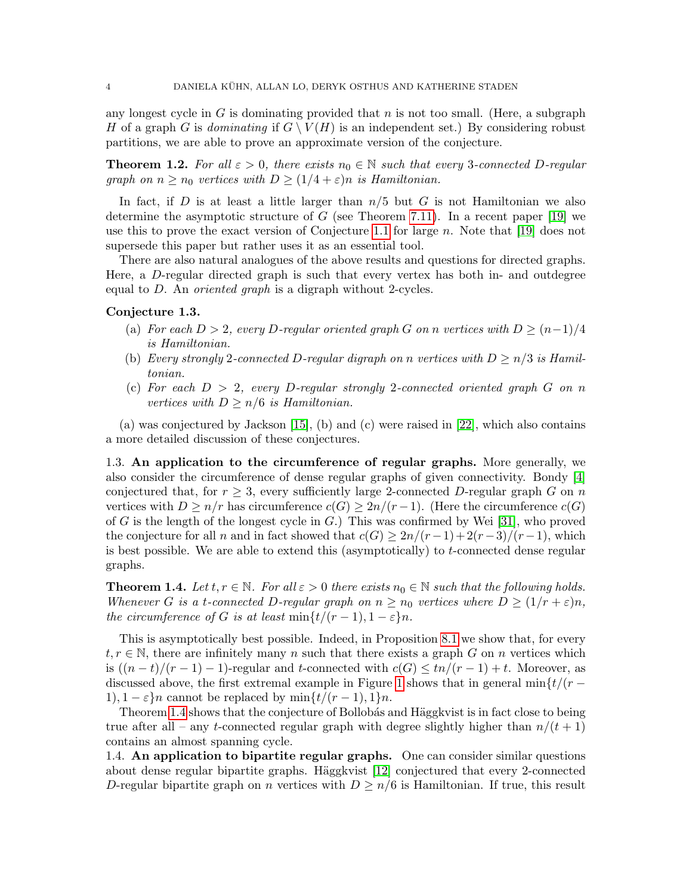any longest cycle in G is dominating provided that  $n$  is not too small. (Here, a subgraph H of a graph G is dominating if  $G \setminus V(H)$  is an independent set.) By considering robust partitions, we are able to prove an approximate version of the conjecture.

<span id="page-3-0"></span>**Theorem 1.2.** For all  $\varepsilon > 0$ , there exists  $n_0 \in \mathbb{N}$  such that every 3-connected D-regular graph on  $n \geq n_0$  vertices with  $D \geq (1/4 + \varepsilon)n$  is Hamiltonian.

In fact, if D is at least a little larger than  $n/5$  but G is not Hamiltonian we also determine the asymptotic structure of  $G$  (see Theorem [7.11\)](#page-31-0). In a recent paper [\[19\]](#page-37-12) we use this to prove the exact version of Conjecture [1.1](#page-2-1) for large n. Note that [\[19\]](#page-37-12) does not supersede this paper but rather uses it as an essential tool.

There are also natural analogues of the above results and questions for directed graphs. Here, a D-regular directed graph is such that every vertex has both in- and outdegree equal to  $D$ . An *oriented graph* is a digraph without 2-cycles.

# Conjecture 1.3.

- (a) For each  $D > 2$ , every D-regular oriented graph G on n vertices with  $D \ge (n-1)/4$ is Hamiltonian.
- (b) Every strongly 2-connected D-regular digraph on n vertices with  $D \geq n/3$  is Hamiltonian.
- (c) For each  $D > 2$ , every D-regular strongly 2-connected oriented graph G on n vertices with  $D \geq n/6$  is Hamiltonian.

(a) was conjectured by Jackson [\[15\]](#page-37-13), (b) and (c) were raised in [\[22\]](#page-37-14), which also contains a more detailed discussion of these conjectures.

1.3. An application to the circumference of regular graphs. More generally, we also consider the circumference of dense regular graphs of given connectivity. Bondy [\[4\]](#page-36-7) conjectured that, for  $r \geq 3$ , every sufficiently large 2-connected D-regular graph G on n vertices with  $D \geq n/r$  has circumference  $c(G) \geq 2n/(r-1)$ . (Here the circumference  $c(G)$ ) of G is the length of the longest cycle in  $G$ .) This was confirmed by Wei [\[31\]](#page-37-15), who proved the conjecture for all n and in fact showed that  $c(G) \geq 2n/(r-1)+2(r-3)/(r-1)$ , which is best possible. We are able to extend this (asymptotically) to  $t$ -connected dense regular graphs.

<span id="page-3-1"></span>**Theorem 1.4.** Let  $t, r \in \mathbb{N}$ . For all  $\varepsilon > 0$  there exists  $n_0 \in \mathbb{N}$  such that the following holds. Whenever G is a t-connected D-regular graph on  $n \ge n_0$  vertices where  $D \ge (1/r + \varepsilon)n$ , the circumference of G is at least  $\min\{t/(r-1), 1-\varepsilon\}n$ .

This is asymptotically best possible. Indeed, in Proposition [8.1](#page-32-0) we show that, for every  $t, r \in \mathbb{N}$ , there are infinitely many n such that there exists a graph G on n vertices which is  $((n-t)/(r-1)-1)$ -regular and t-connected with  $c(G) \leq tn/(r-1)+t$ . Moreover, as discussed above, the first extremal example in Figure [1](#page-2-0) shows that in general min $\{t/(r -$ 1),  $1 - \varepsilon$  annot be replaced by min $\{t/(r-1), 1\}n$ .

Theorem [1.4](#page-3-1) shows that the conjecture of Bollobás and Häggkvist is in fact close to being true after all – any t-connected regular graph with degree slightly higher than  $n/(t+1)$ contains an almost spanning cycle.

1.4. An application to bipartite regular graphs. One can consider similar questions about dense regular bipartite graphs. Häggkvist  $[12]$  conjectured that every 2-connected D-regular bipartite graph on n vertices with  $D \geq n/6$  is Hamiltonian. If true, this result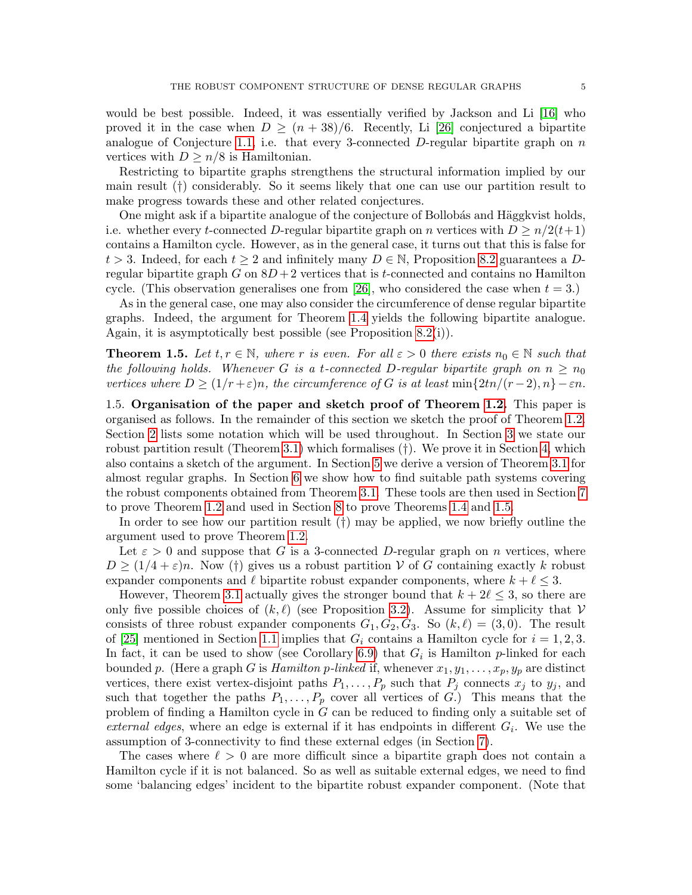would be best possible. Indeed, it was essentially verified by Jackson and Li [\[16\]](#page-37-16) who proved it in the case when  $D \ge (n+38)/6$ . Recently, Li [\[26\]](#page-37-5) conjectured a bipartite analogue of Conjecture [1.1,](#page-2-1) i.e. that every 3-connected D-regular bipartite graph on  $n$ vertices with  $D \geq n/8$  is Hamiltonian.

Restricting to bipartite graphs strengthens the structural information implied by our main result (†) considerably. So it seems likely that one can use our partition result to make progress towards these and other related conjectures.

One might ask if a bipartite analogue of the conjecture of Bollobás and Häggkvist holds, i.e. whether every t-connected D-regular bipartite graph on n vertices with  $D \geq n/2(t+1)$ contains a Hamilton cycle. However, as in the general case, it turns out that this is false for  $t > 3$ . Indeed, for each  $t \geq 2$  and infinitely many  $D \in \mathbb{N}$ , Proposition [8.2](#page-32-1) guarantees a Dregular bipartite graph G on  $8D+2$  vertices that is t-connected and contains no Hamilton cycle. (This observation generalises one from [\[26\]](#page-37-5), who considered the case when  $t = 3$ .)

As in the general case, one may also consider the circumference of dense regular bipartite graphs. Indeed, the argument for Theorem [1.4](#page-3-1) yields the following bipartite analogue. Again, it is asymptotically best possible (see Proposition [8.2\(](#page-32-1)i)).

<span id="page-4-0"></span>**Theorem 1.5.** Let  $t, r \in \mathbb{N}$ , where r is even. For all  $\varepsilon > 0$  there exists  $n_0 \in \mathbb{N}$  such that the following holds. Whenever G is a t-connected D-regular bipartite graph on  $n \geq n_0$ vertices where  $D \geq (1/r + \varepsilon)n$ , the circumference of G is at least  $\min\{2tn/(r-2), n\} - \varepsilon n$ .

1.5. Organisation of the paper and sketch proof of Theorem [1.2.](#page-3-0) This paper is organised as follows. In the remainder of this section we sketch the proof of Theorem [1.2.](#page-3-0) Section [2](#page-5-1) lists some notation which will be used throughout. In Section [3](#page-5-0) we state our robust partition result (Theorem [3.1\)](#page-6-0) which formalises (†). We prove it in Section [4,](#page-7-0) which also contains a sketch of the argument. In Section [5](#page-14-0) we derive a version of Theorem [3.1](#page-6-0) for almost regular graphs. In Section [6](#page-16-0) we show how to find suitable path systems covering the robust components obtained from Theorem [3.1.](#page-6-0) These tools are then used in Section [7](#page-23-0) to prove Theorem [1.2](#page-3-0) and used in Section [8](#page-32-2) to prove Theorems [1.4](#page-3-1) and [1.5.](#page-4-0)

In order to see how our partition result (†) may be applied, we now briefly outline the argument used to prove Theorem [1.2.](#page-3-0)

Let  $\varepsilon > 0$  and suppose that G is a 3-connected D-regular graph on n vertices, where  $D \geq (1/4 + \varepsilon)n$ . Now (†) gives us a robust partition V of G containing exactly k robust expander components and  $\ell$  bipartite robust expander components, where  $k + \ell \leq 3$ .

However, Theorem [3.1](#page-6-0) actually gives the stronger bound that  $k + 2\ell \leq 3$ , so there are only five possible choices of  $(k, \ell)$  (see Proposition [3.2\)](#page-7-1). Assume for simplicity that V consists of three robust expander components  $G_1, G_2, G_3$ . So  $(k, \ell) = (3, 0)$ . The result of [\[25\]](#page-37-0) mentioned in Section [1.1](#page-0-0) implies that  $G_i$  contains a Hamilton cycle for  $i = 1, 2, 3$ . In fact, it can be used to show (see Corollary [6.9\)](#page-19-0) that  $G_i$  is Hamilton p-linked for each bounded p. (Here a graph G is Hamilton p-linked if, whenever  $x_1, y_1, \ldots, x_p, y_p$  are distinct vertices, there exist vertex-disjoint paths  $P_1, \ldots, P_p$  such that  $P_j$  connects  $x_j$  to  $y_j$ , and such that together the paths  $P_1, \ldots, P_p$  cover all vertices of G.) This means that the problem of finding a Hamilton cycle in G can be reduced to finding only a suitable set of external edges, where an edge is external if it has endpoints in different  $G_i$ . We use the assumption of 3-connectivity to find these external edges (in Section [7\)](#page-23-0).

The cases where  $\ell > 0$  are more difficult since a bipartite graph does not contain a Hamilton cycle if it is not balanced. So as well as suitable external edges, we need to find some 'balancing edges' incident to the bipartite robust expander component. (Note that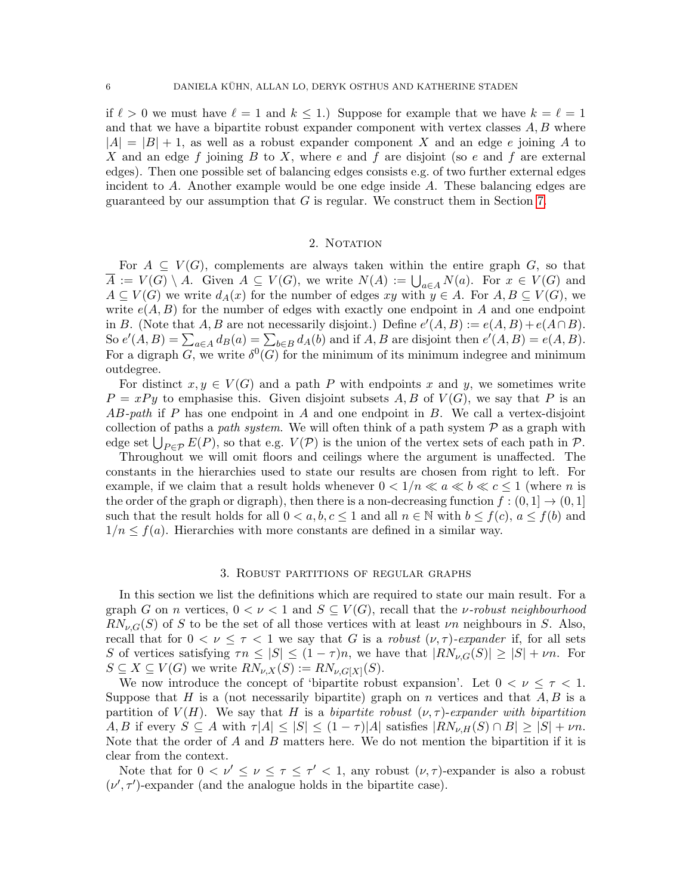if  $\ell > 0$  we must have  $\ell = 1$  and  $k \leq 1$ .) Suppose for example that we have  $k = \ell = 1$ and that we have a bipartite robust expander component with vertex classes  $A, B$  where  $|A| = |B| + 1$ , as well as a robust expander component X and an edge e joining A to X and an edge f joining B to X, where e and f are disjoint (so e and f are external edges). Then one possible set of balancing edges consists e.g. of two further external edges incident to A. Another example would be one edge inside A. These balancing edges are guaranteed by our assumption that  $G$  is regular. We construct them in Section [7.](#page-23-0)

# 2. NOTATION

<span id="page-5-1"></span>For  $A \subseteq V(G)$ , complements are always taken within the entire graph G, so that  $\overline{A} := V(G) \setminus A$ . Given  $A \subseteq V(G)$ , we write  $N(A) := \bigcup_{a \in A} N(a)$ . For  $x \in V(G)$  and  $A \subseteq V(G)$  we write  $d_A(x)$  for the number of edges xy with  $y \in A$ . For  $A, B \subseteq V(G)$ , we write  $e(A, B)$  for the number of edges with exactly one endpoint in A and one endpoint in B. (Note that A, B are not necessarily disjoint.) Define  $e'(A, B) := e(A, B) + e(A \cap B)$ . So  $e'(A, B) = \sum_{a \in A} d_B(a) = \sum_{b \in B} d_A(b)$  and if  $A, B$  are disjoint then  $e'(A, B) = e(A, B)$ . For a digraph G, we write  $\delta^0(G)$  for the minimum of its minimum indegree and minimum outdegree.

For distinct  $x, y \in V(G)$  and a path P with endpoints x and y, we sometimes write  $P = xPy$  to emphasise this. Given disjoint subsets A, B of  $V(G)$ , we say that P is an  $AB$ -path if P has one endpoint in A and one endpoint in B. We call a vertex-disjoint collection of paths a path system. We will often think of a path system  $P$  as a graph with edge set  $\bigcup_{P \in \mathcal{P}} E(P)$ , so that e.g.  $V(\mathcal{P})$  is the union of the vertex sets of each path in  $\mathcal{P}$ .

Throughout we will omit floors and ceilings where the argument is unaffected. The constants in the hierarchies used to state our results are chosen from right to left. For example, if we claim that a result holds whenever  $0 < 1/n \ll a \ll b \ll c \le 1$  (where n is the order of the graph or digraph), then there is a non-decreasing function  $f:(0,1] \rightarrow (0,1]$ such that the result holds for all  $0 < a, b, c \le 1$  and all  $n \in \mathbb{N}$  with  $b \le f(c), a \le f(b)$  and  $1/n \le f(a)$ . Hierarchies with more constants are defined in a similar way.

#### 3. Robust partitions of regular graphs

<span id="page-5-0"></span>In this section we list the definitions which are required to state our main result. For a graph G on n vertices,  $0 < \nu < 1$  and  $S \subseteq V(G)$ , recall that the *v*-robust neighbourhood  $RN_{\nu,G}(S)$  of S to be the set of all those vertices with at least  $\nu_n$  neighbours in S. Also, recall that for  $0 < \nu \leq \tau < 1$  we say that G is a robust  $(\nu, \tau)$ -expander if, for all sets S of vertices satisfying  $\tau n \leq |S| \leq (1 - \tau)n$ , we have that  $|RN_{\nu,G}(S)| \geq |S| + \nu n$ . For  $S \subseteq X \subseteq V(G)$  we write  $RN_{\nu,X}(S) := RN_{\nu,G[X]}(S)$ .

We now introduce the concept of 'bipartite robust expansion'. Let  $0 < \nu \leq \tau < 1$ . Suppose that H is a (not necessarily bipartite) graph on n vertices and that  $A, B$  is a partition of  $V(H)$ . We say that H is a bipartite robust  $(\nu, \tau)$ -expander with bipartition A, B if every  $S \subseteq A$  with  $\tau |A| \leq |S| \leq (1 - \tau) |A|$  satisfies  $|RN_{\nu,H}(S) \cap B| \geq |S| + \nu n$ . Note that the order of A and B matters here. We do not mention the bipartition if it is clear from the context.

Note that for  $0 < \nu' \leq \nu \leq \tau \leq \tau' < 1$ , any robust  $(\nu, \tau)$ -expander is also a robust  $(\nu', \tau')$ -expander (and the analogue holds in the bipartite case).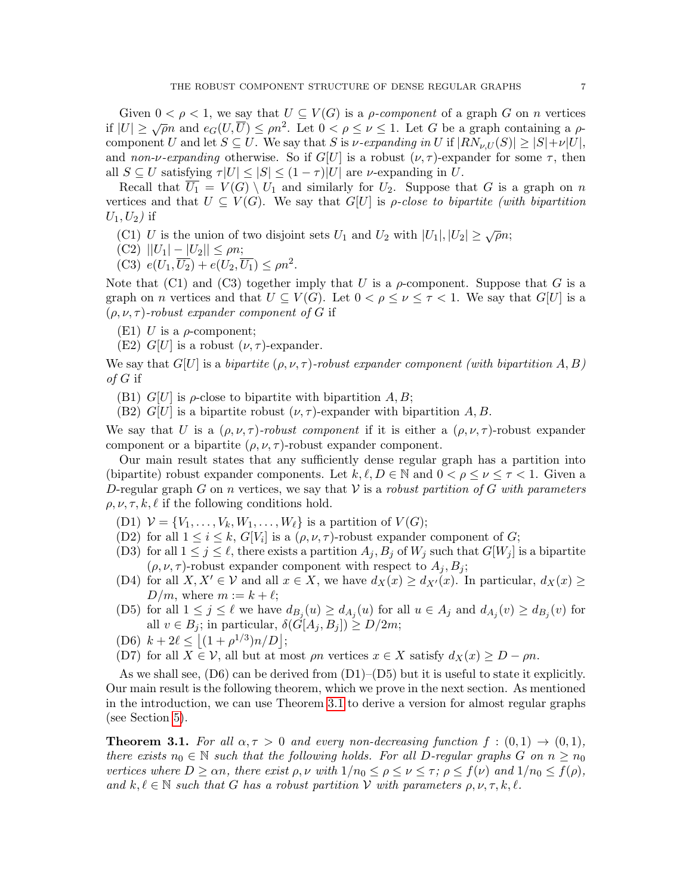Given  $0 < \rho < 1$ , we say that  $U \subseteq V(G)$  is a *ρ-component* of a graph G on *n* vertices if  $|U| \ge \sqrt{\rho}n$  and  $e_G(U, \overline{U}) \le \rho n^2$ . Let  $0 < \rho \le \nu \le 1$ . Let G be a graph containing a  $\rho$ component U and let  $S \subseteq U$ . We say that S is v-expanding in U if  $|RN_{\nu,U}(S)| \geq |S|+\nu|U|$ , and non-v-expanding otherwise. So if  $G[U]$  is a robust  $(\nu, \tau)$ -expander for some  $\tau$ , then all  $S \subseteq U$  satisfying  $\tau|U| \leq |S| \leq (1 - \tau)|U|$  are *v*-expanding in U.

Recall that  $\overline{U_1} = V(G) \setminus U_1$  and similarly for  $U_2$ . Suppose that G is a graph on n vertices and that  $U \subseteq V(G)$ . We say that  $G[U]$  is *ρ-close to bipartite (with bipartition*  $U_1, U_2$ ) if

- (C1) U is the union of two disjoint sets  $U_1$  and  $U_2$  with  $|U_1|, |U_2| \ge \sqrt{\rho}n$ ;
- (C2)  $||U_1| |U_2|| \le \rho n;$
- (C3)  $e(U_1, \overline{U_2}) + e(U_2, \overline{U_1}) \le \rho n^2$ .

Note that (C1) and (C3) together imply that U is a  $\rho$ -component. Suppose that G is a graph on *n* vertices and that  $U \subseteq V(G)$ . Let  $0 < \rho \leq \nu \leq \tau < 1$ . We say that  $G[U]$  is a  $(\rho, \nu, \tau)$ -robust expander component of G if

- (E1) U is a  $\rho$ -component;
- (E2)  $G[U]$  is a robust  $(\nu, \tau)$ -expander.

We say that  $G[U]$  is a bipartite  $(\rho, \nu, \tau)$ -robust expander component (with bipartition A, B) of  $G$  if

(B1)  $G[U]$  is  $\rho$ -close to bipartite with bipartition  $A, B$ ;

(B2)  $G[U]$  is a bipartite robust  $(\nu, \tau)$ -expander with bipartition A, B.

We say that U is a  $(\rho, \nu, \tau)$ -robust component if it is either a  $(\rho, \nu, \tau)$ -robust expander component or a bipartite  $(\rho, \nu, \tau)$ -robust expander component.

Our main result states that any sufficiently dense regular graph has a partition into (bipartite) robust expander components. Let  $k, \ell, D \in \mathbb{N}$  and  $0 < \rho \leq \nu \leq \tau < 1$ . Given a D-regular graph G on n vertices, we say that V is a robust partition of G with parameters  $\rho, \nu, \tau, k, \ell$  if the following conditions hold.

- (D1)  $V = \{V_1, \ldots, V_k, W_1, \ldots, W_\ell\}$  is a partition of  $V(G)$ ;
- (D2) for all  $1 \leq i \leq k$ ,  $G[V_i]$  is a  $(\rho, \nu, \tau)$ -robust expander component of  $G$ ;
- (D3) for all  $1 \leq j \leq \ell$ , there exists a partition  $A_j, B_j$  of  $W_j$  such that  $G[W_j]$  is a bipartite  $(\rho, \nu, \tau)$ -robust expander component with respect to  $A_j, B_j$ ;
- (D4) for all  $X, X' \in \mathcal{V}$  and all  $x \in X$ , we have  $d_X(x) \ge d_{X'}(x)$ . In particular,  $d_X(x) \ge d_X(x)$  $D/m$ , where  $m := k + \ell;$
- (D5) for all  $1 \leq j \leq \ell$  we have  $d_{B_j}(u) \geq d_{A_j}(u)$  for all  $u \in A_j$  and  $d_{A_j}(v) \geq d_{B_j}(v)$  for all  $v \in B_j$ ; in particular,  $\delta(\tilde{G}[A_j, B_j]) \geq D/2m$ ;
- (D6)  $k + 2\ell \leq |(1 + \rho^{1/3})n/D|$ ;
- (D7) for all  $X \in \mathcal{V}$ , all but at most  $\rho n$  vertices  $x \in X$  satisfy  $d_X(x) \ge D \rho n$ .

As we shall see,  $(D6)$  can be derived from  $(D1)$ – $(D5)$  but it is useful to state it explicitly. Our main result is the following theorem, which we prove in the next section. As mentioned in the introduction, we can use Theorem [3.1](#page-6-0) to derive a version for almost regular graphs (see Section [5\)](#page-14-0).

<span id="page-6-0"></span>**Theorem 3.1.** For all  $\alpha, \tau > 0$  and every non-decreasing function  $f : (0,1) \rightarrow (0,1)$ , there exists  $n_0 \in \mathbb{N}$  such that the following holds. For all D-regular graphs G on  $n \geq n_0$ vertices where  $D \ge \alpha n$ , there exist  $\rho, \nu$  with  $1/n_0 \le \rho \le \nu \le \tau$ ;  $\rho \le f(\nu)$  and  $1/n_0 \le f(\rho)$ , and  $k, \ell \in \mathbb{N}$  such that G has a robust partition V with parameters  $\rho, \nu, \tau, k, \ell$ .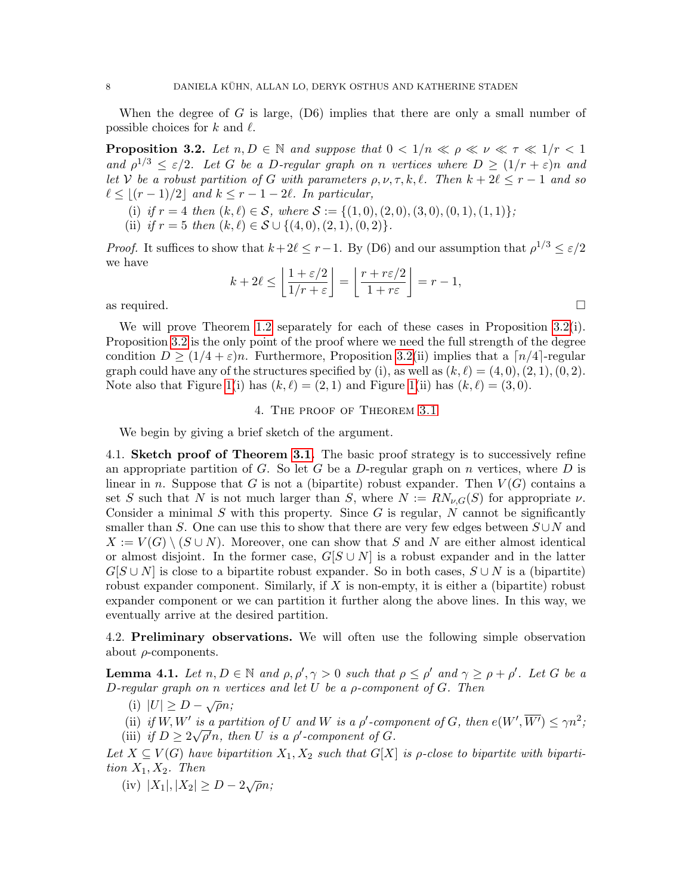When the degree of G is large,  $(D6)$  implies that there are only a small number of possible choices for k and  $\ell$ .

<span id="page-7-1"></span>**Proposition 3.2.** Let  $n, D \in \mathbb{N}$  and suppose that  $0 < 1/n \ll \rho \ll \nu \ll \tau \ll 1/r < 1$ and  $\rho^{1/3} \leq \varepsilon/2$ . Let G be a D-regular graph on n vertices where  $D \geq (1/r + \varepsilon)n$  and let V be a robust partition of G with parameters  $\rho, \nu, \tau, k, \ell$ . Then  $k + 2\ell \le r - 1$  and so  $\ell \leq \lfloor (r - 1)/2 \rfloor$  and  $k \leq r - 1 - 2\ell$ . In particular,

- (i) if  $r = 4$  then  $(k, \ell) \in S$ , where  $S := \{(1, 0), (2, 0), (3, 0), (0, 1), (1, 1)\};$
- (ii) if  $r = 5$  then  $(k, \ell) \in S \cup \{(4, 0), (2, 1), (0, 2)\}.$

*Proof.* It suffices to show that  $k + 2\ell \leq r - 1$ . By (D6) and our assumption that  $\rho^{1/3} \leq \varepsilon/2$ we have

$$
k + 2\ell \le \left\lfloor \frac{1 + \varepsilon/2}{1/r + \varepsilon} \right\rfloor = \left\lfloor \frac{r + r\varepsilon/2}{1 + r\varepsilon} \right\rfloor = r - 1,
$$
 as required.

We will prove Theorem [1.2](#page-3-0) separately for each of these cases in Proposition [3.2\(](#page-7-1)i). Proposition [3.2](#page-7-1) is the only point of the proof where we need the full strength of the degree condition  $D \geq (1/4 + \varepsilon)n$ . Furthermore, Proposition [3.2\(](#page-7-1)ii) implies that a  $\lceil n/4 \rceil$ -regular graph could have any of the structures specified by (i), as well as  $(k, \ell) = (4, 0), (2, 1), (0, 2)$ . Note also that Figure [1\(](#page-2-0)i) has  $(k, \ell) = (2, 1)$  and Figure 1(ii) has  $(k, \ell) = (3, 0)$ .

#### 4. The proof of Theorem [3.1](#page-6-0)

<span id="page-7-0"></span>We begin by giving a brief sketch of the argument.

4.1. Sketch proof of Theorem [3.1.](#page-6-0) The basic proof strategy is to successively refine an appropriate partition of G. So let G be a D-regular graph on n vertices, where D is linear in n. Suppose that G is not a (bipartite) robust expander. Then  $V(G)$  contains a set S such that N is not much larger than S, where  $N := RN_{\nu,G}(S)$  for appropriate  $\nu$ . Consider a minimal  $S$  with this property. Since  $G$  is regular,  $N$  cannot be significantly smaller than S. One can use this to show that there are very few edges between  $S \cup N$  and  $X := V(G) \setminus (S \cup N)$ . Moreover, one can show that S and N are either almost identical or almost disjoint. In the former case,  $G[S \cup N]$  is a robust expander and in the latter  $G[S \cup N]$  is close to a bipartite robust expander. So in both cases,  $S \cup N$  is a (bipartite) robust expander component. Similarly, if  $X$  is non-empty, it is either a (bipartite) robust expander component or we can partition it further along the above lines. In this way, we eventually arrive at the desired partition.

4.2. Preliminary observations. We will often use the following simple observation about  $\rho$ -components.

<span id="page-7-2"></span>**Lemma 4.1.** Let  $n, D \in \mathbb{N}$  and  $\rho, \rho', \gamma > 0$  such that  $\rho \leq \rho'$  and  $\gamma \geq \rho + \rho'$ . Let G be a D-regular graph on n vertices and let  $U$  be a  $\rho$ -component of  $G$ . Then

- (i)  $|U| \geq D \sqrt{\rho}n;$
- (ii) if  $W, W'$  is a partition of U and W is a  $\rho'$ -component of G, then  $e(W', \overline{W'}) \leq \gamma n^2$ ;
- (iii) if  $D \geq 2\sqrt{\rho'}n$ , then U is a  $\rho'$ -component of G.

Let  $X \subseteq V(G)$  have bipartition  $X_1, X_2$  such that  $G[X]$  is  $\rho$ -close to bipartite with bipartition  $X_1, X_2$ . Then

(iv)  $|X_1|, |X_2| \ge D - 2\sqrt{\rho}n;$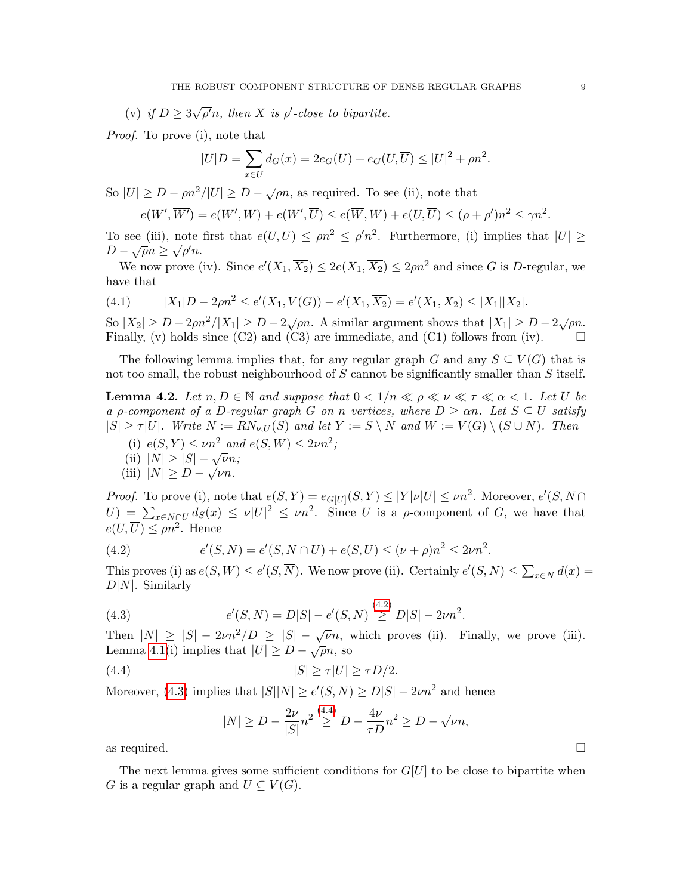(v) if  $D \geq 3$ √  $\overline{\rho'}n$ , then X is  $\rho'$ -close to bipartite.

Proof. To prove (i), note that

$$
|U|D = \sum_{x \in U} d_G(x) = 2e_G(U) + e_G(U, \overline{U}) \le |U|^2 + \rho n^2.
$$

So  $|U| \ge D - \rho n^2/|U| \ge D - \sqrt{\rho}n$ , as required. To see (ii), note that

$$
e(W', \overline{W'}) = e(W', W) + e(W', \overline{U}) \le e(\overline{W}, W) + e(U, \overline{U}) \le (\rho + \rho')n^2 \le \gamma n^2.
$$

To see (iii), note first that  $e(U,\overline{U}) \le \rho n^2 \le \rho' n^2$ . Furthermore, (i) implies that  $|U| \ge$  $D - \sqrt{\rho}n \ge \sqrt{\rho'}n$ .

We now prove (iv). Since  $e'(X_1, \overline{X_2}) \leq 2e(X_1, \overline{X_2}) \leq 2\rho n^2$  and since G is D-regular, we have that

$$
(4.1) \t\t |X_1|D-2\rho n^2 \le e'(X_1,V(G))-e'(X_1,\overline{X_2})=e'(X_1,X_2)\le |X_1||X_2|.
$$

So  $|X_2| \ge D - 2\rho n^2/|X_1| \ge D - 2\sqrt{\rho}n$ . A similar argument shows that  $|X_1| \ge D - 2\sqrt{\rho}n$ . Finally, (v) holds since (C2) and (C3) are immediate, and (C1) follows from (iv).  $\square$ 

The following lemma implies that, for any regular graph G and any  $S \subseteq V(G)$  that is not too small, the robust neighbourhood of  $S$  cannot be significantly smaller than  $S$  itself.

<span id="page-8-3"></span>**Lemma 4.2.** Let  $n, D \in \mathbb{N}$  and suppose that  $0 < 1/n \ll \rho \ll \nu \ll \tau \ll \alpha < 1$ . Let U be a *ρ*-component of a D-regular graph G on n vertices, where  $D \geq \alpha n$ . Let  $S \subseteq U$  satisfy  $|S| \geq \tau |U|$ . Write  $N := RN_{\nu,U}(S)$  and let  $Y := S \setminus N$  and  $W := V(G) \setminus (S \cup N)$ . Then

(i)  $e(S, Y) \le \nu n^2$  and  $e(S, W) \le 2\nu n^2$ ;<br>(ii)  $|N| \ge |S| - \sqrt{\nu} n$ ;

(iii) 
$$
|N| \geq D - \sqrt{\nu}n
$$
.

*Proof.* To prove (i), note that  $e(S, Y) = e_G_{U}(S, Y) \leq |Y| |\nu| |U| \leq \nu n^2$ . Moreover,  $e'(S, \overline{N} \cap Y)$  $U = \sum_{x \in \overline{N} \cap U} d_S(x) \leq \nu |U|^2 \leq \nu n^2$ . Since U is a  $\rho$ -component of G, we have that  $e(U,\overline{U}) \le \rho n^2$ . Hence

<span id="page-8-0"></span>(4.2) 
$$
e'(S,\overline{N})=e'(S,\overline{N}\cap U)+e(S,\overline{U})\leq (\nu+\rho)n^2\leq 2\nu n^2.
$$

This proves (i) as  $e(S, W) \le e'(S, \overline{N})$ . We now prove (ii). Certainly  $e'(S, N) \le \sum_{x \in N} d(x) =$  $D|N|$ . Similarly

(4.3) 
$$
e'(S, N) = D|S| - e'(S, \overline{N}) \stackrel{(4.2)}{\geq} D|S| - 2\nu n^2.
$$

Then  $|N| \ge |S| - 2\nu n^2/D \ge |S| - \sqrt{\nu}n$ , which proves (ii). Finally, we prove (iii). Lemma [4.1\(](#page-7-2)i) implies that  $|U| \ge D - \sqrt{\rho}n$ , so

(4.4) 
$$
|S| \ge \tau |U| \ge \tau D/2.
$$

Moreover, [\(4.3\)](#page-8-1) implies that  $|S||N| \ge e'(S, N) \ge D|S| - 2\nu n^2$  and hence

<span id="page-8-2"></span><span id="page-8-1"></span>
$$
|N| \ge D - \frac{2\nu}{|S|} n^2 \stackrel{(4.4)}{\ge D} - \frac{4\nu}{\tau D} n^2 \ge D - \sqrt{\nu} n,
$$

as required.  $\square$ 

The next lemma gives some sufficient conditions for  $G[U]$  to be close to bipartite when G is a regular graph and  $U \subseteq V(G)$ .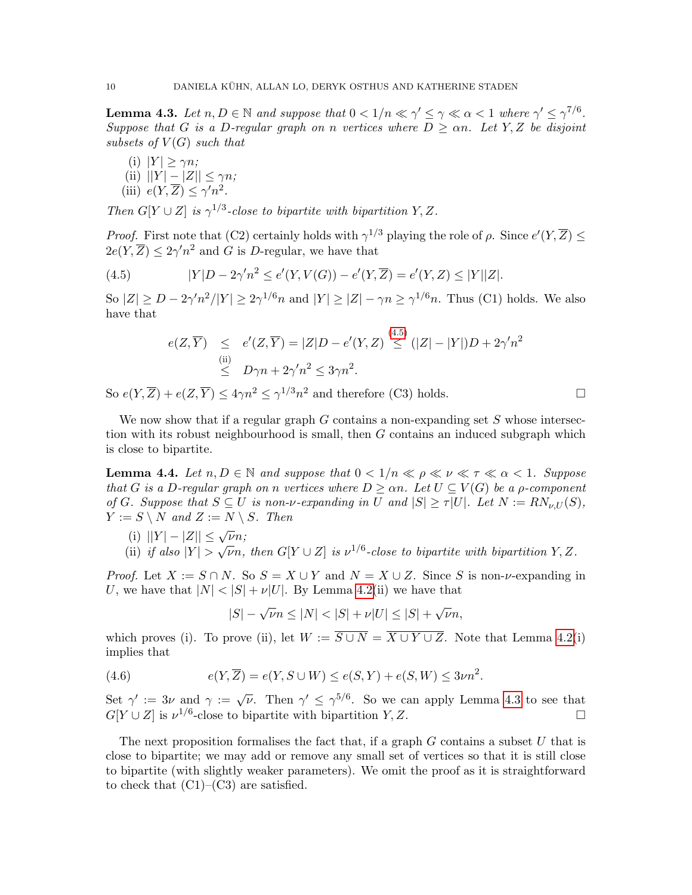<span id="page-9-1"></span>**Lemma 4.3.** Let  $n, D \in \mathbb{N}$  and suppose that  $0 < 1/n \ll \gamma' \leq \gamma \ll \alpha < 1$  where  $\gamma' \leq \gamma^{7/6}$ . Suppose that G is a D-regular graph on n vertices where  $D > \alpha n$ . Let Y, Z be disjoint subsets of  $V(G)$  such that

(i)  $|Y| \geq \gamma n;$ (ii)  $||Y| - |Z|| \leq \gamma n;$ (iii)  $e(Y,\overline{Z}) \leq \gamma' n^2$ .

Then  $G[Y \cup Z]$  is  $\gamma^{1/3}$ -close to bipartite with bipartition Y, Z.

*Proof.* First note that (C2) certainly holds with  $\gamma^{1/3}$  playing the role of  $\rho$ . Since  $e'(Y,\overline{Z}) \leq$  $2e(Y,\overline{Z}) \leq 2\gamma'n^2$  and G is D-regular, we have that

(4.5) 
$$
|Y|D - 2\gamma'n^2 \le e'(Y, V(G)) - e'(Y, \overline{Z}) = e'(Y, Z) \le |Y||Z|.
$$

So  $|Z| \ge D - 2\gamma' n^2/|Y| \ge 2\gamma^{1/6} n$  and  $|Y| \ge |Z| - \gamma n \ge \gamma^{1/6} n$ . Thus (C1) holds. We also have that

<span id="page-9-0"></span>
$$
e(Z,\overline{Y}) \leq e'(Z,\overline{Y}) = |Z|D - e'(Y,Z) \stackrel{(4.5)}{\leq} (|Z| - |Y|)D + 2\gamma'n^2
$$
  
\n
$$
\stackrel{\text{(ii)}}{\leq} D\gamma n + 2\gamma'n^2 \leq 3\gamma n^2.
$$

So  $e(Y,\overline{Z}) + e(Z,\overline{Y}) \leq 4\gamma n^2 \leq \gamma^{1/3} n^2$  and therefore (C3) holds.

We now show that if a regular graph  $G$  contains a non-expanding set  $S$  whose intersection with its robust neighbourhood is small, then G contains an induced subgraph which is close to bipartite.

<span id="page-9-2"></span>**Lemma 4.4.** Let  $n, D \in \mathbb{N}$  and suppose that  $0 < 1/n \ll \rho \ll \nu \ll \tau \ll \alpha < 1$ . Suppose that G is a D-regular graph on n vertices where  $D \geq \alpha n$ . Let  $U \subseteq V(G)$  be a p-component of G. Suppose that  $S \subseteq U$  is non-v-expanding in U and  $|S| \geq \tau |U|$ . Let  $N := RN_{\nu,U}(S)$ ,  $Y := S \setminus N$  and  $Z := N \setminus S$ . Then

- (i)  $||Y| |Z|| \leq \sqrt{\nu} n;$
- (i)  $||I|| = |Z|| \leq \sqrt{\nu}n$ ,<br>(ii) if also  $|Y| > \sqrt{\nu}n$ , then  $G[Y \cup Z]$  is  $\nu^{1/6}$ -close to bipartite with bipartition Y, Z.

*Proof.* Let  $X := S \cap N$ . So  $S = X \cup Y$  and  $N = X \cup Z$ . Since S is non- $\nu$ -expanding in U, we have that  $|N| < |S| + \nu |U|$ . By Lemma [4.2\(](#page-8-3)ii) we have that

$$
|S| - \sqrt{\nu}n \le |N| < |S| + \nu|U| \le |S| + \sqrt{\nu}n,
$$

which proves (i). To prove (ii), let  $W := \overline{S \cup N} = \overline{X \cup Y \cup Z}$ . Note that Lemma [4.2\(](#page-8-3)i) implies that

(4.6) 
$$
e(Y, \overline{Z}) = e(Y, S \cup W) \le e(S, Y) + e(S, W) \le 3\nu n^{2}.
$$

Set  $\gamma' := 3\nu$  and  $\gamma := \sqrt{\nu}$ . Then  $\gamma' \leq \gamma^{5/6}$ . So we can apply Lemma [4.3](#page-9-1) to see that  $G[Y \cup Z]$  is  $\nu^{1/6}$ -close to bipartite with bipartition  $Y, Z$ .

The next proposition formalises the fact that, if a graph  $G$  contains a subset  $U$  that is close to bipartite; we may add or remove any small set of vertices so that it is still close to bipartite (with slightly weaker parameters). We omit the proof as it is straightforward to check that  $(C1)$ – $(C3)$  are satisfied.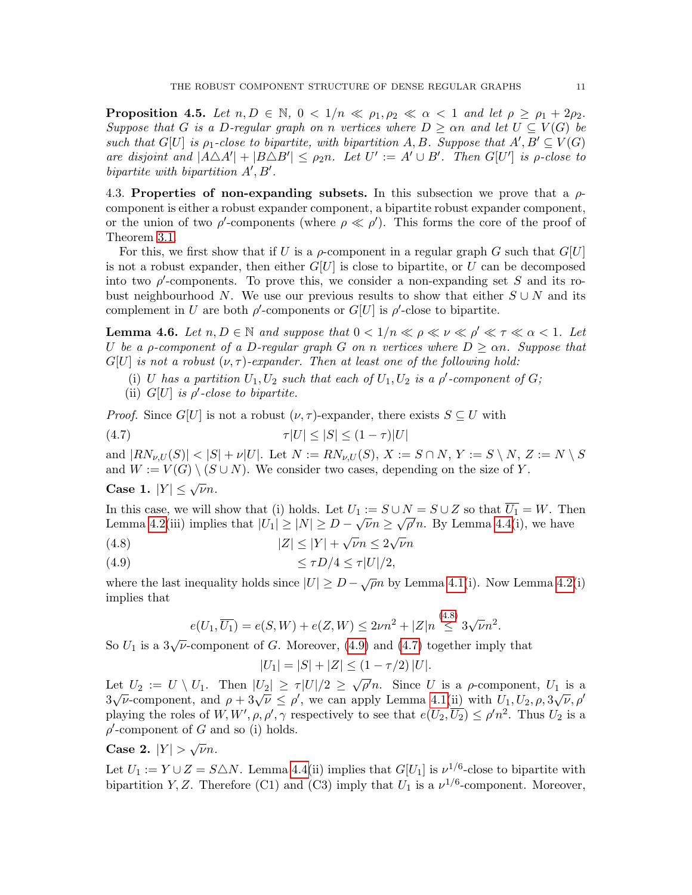<span id="page-10-3"></span>**Proposition 4.5.** Let  $n, D \in \mathbb{N}$ ,  $0 < 1/n \ll \rho_1, \rho_2 \ll \alpha < 1$  and let  $\rho \ge \rho_1 + 2\rho_2$ . Suppose that G is a D-regular graph on n vertices where  $D \geq \alpha n$  and let  $U \subseteq V(G)$  be such that  $G[U]$  is  $\rho_1$ -close to bipartite, with bipartition A, B. Suppose that  $A', B' \subseteq V(G)$ are disjoint and  $|A \triangle A'| + |B \triangle B'| \leq \rho_2 n$ . Let  $U' := A' \cup B'$ . Then  $G[U']$  is  $\rho$ -close to bipartite with bipartition  $A', B'$ .

4.3. Properties of non-expanding subsets. In this subsection we prove that a  $\rho$ component is either a robust expander component, a bipartite robust expander component, or the union of two  $\rho'$ -components (where  $\rho \ll \rho'$ ). This forms the core of the proof of Theorem [3.1.](#page-6-0)

For this, we first show that if U is a  $\rho$ -component in a regular graph G such that  $G[U]$ is not a robust expander, then either  $G[U]$  is close to bipartite, or U can be decomposed into two  $\rho'$ -components. To prove this, we consider a non-expanding set S and its robust neighbourhood N. We use our previous results to show that either  $S \cup N$  and its complement in U are both  $\rho'$ -components or  $G[U]$  is  $\rho'$ -close to bipartite.

<span id="page-10-4"></span>**Lemma 4.6.** Let  $n, D \in \mathbb{N}$  and suppose that  $0 < 1/n \ll \rho \ll \nu \ll \rho' \ll \tau \ll \alpha < 1$ . Let U be a p-component of a D-regular graph G on n vertices where  $D \geq \alpha n$ . Suppose that  $G[U]$  is not a robust  $(\nu, \tau)$ -expander. Then at least one of the following hold:

- (i) U has a partition  $U_1, U_2$  such that each of  $U_1, U_2$  is a  $\rho'$ -component of G;
- <span id="page-10-2"></span>(ii)  $G[U]$  is  $\rho'$ -close to bipartite.

*Proof.* Since  $G[U]$  is not a robust  $(\nu, \tau)$ -expander, there exists  $S \subseteq U$  with

$$
\tau|U| \le |S| \le (1 - \tau)|U|
$$

and  $|RN_{\nu,U}(S)| < |S| + \nu|U|$ . Let  $N := RN_{\nu,U}(S)$ ,  $X := S \cap N$ ,  $Y := S \setminus N$ ,  $Z := N \setminus S$ and  $W := V(G) \setminus (S \cup N)$ . We consider two cases, depending on the size of Y.

Case 1.  $|Y| \leq \sqrt{\nu}n$ .

In this case, we will show that (i) holds. Let  $U_1 := S \cup N = S \cup Z$  so that  $U_1 = W$ . Then Lemma [4.2\(](#page-8-3)iii) implies that  $|U_1| \geq |N| \geq D - \sqrt{\nu}n \geq \sqrt{\rho}n$ . By Lemma [4.4\(](#page-9-2)i), we have  $\overline{V}$   $\overline{V}$   $\overline{V}$ 

<span id="page-10-1"></span><span id="page-10-0"></span>
$$
(4.8)\qquad \qquad |Z| \leq |Y| + \sqrt{\nu}n \leq 2\sqrt{\nu}n
$$

$$
\leq \tau D/4 \leq \tau |U|/2,
$$

where the last inequality holds since  $|U| \ge D - \sqrt{\rho}n$  by Lemma [4.1\(](#page-7-2)i). Now Lemma [4.2\(](#page-8-3)i) implies that

$$
e(U_1, \overline{U_1}) = e(S, W) + e(Z, W) \le 2\nu n^2 + |Z|n \stackrel{(4.8)}{\le} 3\sqrt{\nu}n^2.
$$

So  $U_1$  is a  $3\sqrt{\nu}$ -component of G. Moreover, [\(4.9\)](#page-10-1) and [\(4.7\)](#page-10-2) together imply that

$$
|U_1| = |S| + |Z| \le (1 - \tau/2) |U|.
$$

Let  $U_2 := U \setminus U_1$ . Then  $|U_2| \geq \tau |U|/2 \geq$ √ et  $U_2 := U \setminus U_1$ . Then  $|U_2| \ge \tau |U|/2 \ge \sqrt{\rho'}n$ . Since U is a  $\rho$ -component,  $U_1$  is a Let  $U_2 := U \setminus U_1$ . Then  $|U_2| \geq \gamma |U|/2 \geq \gamma \rho n$ . Since U is a *p*-component,  $U_1$  is a  $3\sqrt{\nu}$ -component, and  $\rho + 3\sqrt{\nu} \leq \rho'$ , we can apply Lemma [4.1\(](#page-7-2)ii) with  $U_1, U_2, \rho, 3\sqrt{\nu}, \rho'$ playing the roles of  $W, W', \rho, \rho', \gamma$  respectively to see that  $e(U_2, \overline{U_2}) \leq \rho'n^2$ . Thus  $U_2$  is a  $\rho'$ -component of G and so (i) holds.

 $\textbf{Case 2.} \ |Y| > \sqrt{\nu}n.$ 

Let  $U_1 := Y \cup Z = S \triangle N$ . Lemma [4.4\(](#page-9-2)ii) implies that  $G[U_1]$  is  $\nu^{1/6}$ -close to bipartite with bipartition Y, Z. Therefore (C1) and (C3) imply that  $U_1$  is a  $\nu^{1/6}$ -component. Moreover,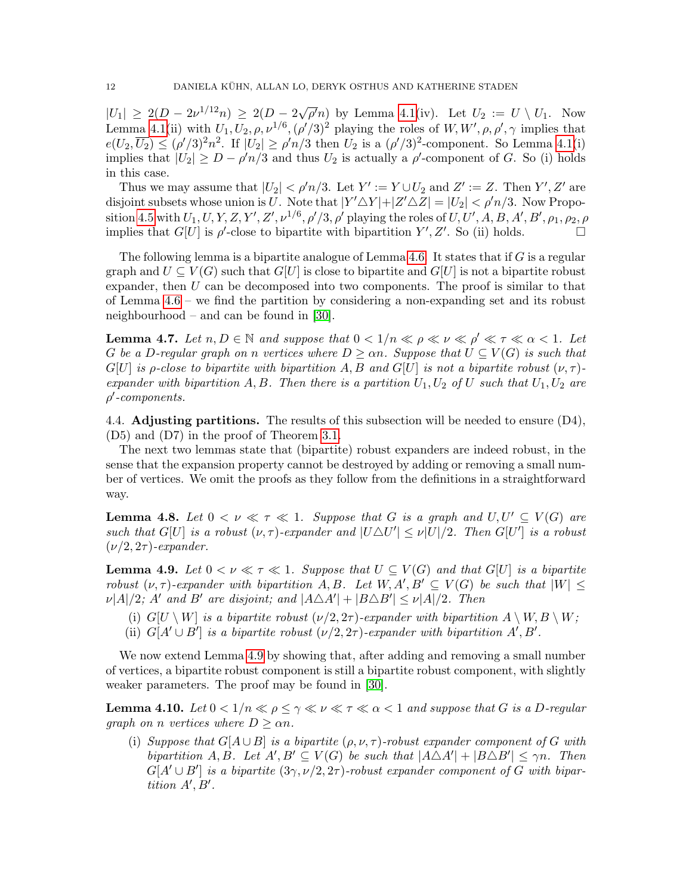$|U_1| \geq 2(D - 2\nu^{1/12}n) \geq 2(D - 2\sqrt{\frac{2}{\varepsilon}})$  $\overline{\rho'}n$  by Lemma [4.1\(](#page-7-2)iv). Let  $U_2 := U \setminus U_1$ . Now Lemma [4.1\(](#page-7-2)ii) with  $U_1, U_2, \rho, \nu^{1/6}, (\rho'/3)^2$  playing the roles of  $W, W', \rho, \rho', \gamma$  implies that  $e(U_2, \overline{U_2}) \leq (\rho'/3)^2 n^2$ . If  $|U_2| \geq \rho'n/3$  then  $U_2$  is a  $(\rho'/3)^2$ -component. So Lemma [4.1\(](#page-7-2)i) implies that  $|U_2| \ge D - \rho' n/3$  and thus  $U_2$  is actually a  $\rho'$ -component of G. So (i) holds in this case.

Thus we may assume that  $|U_2| < \rho'n/3$ . Let  $Y' := Y \cup U_2$  and  $Z' := Z$ . Then  $Y', Z'$  are disjoint subsets whose union is U. Note that  $|Y' \triangle Y| + |Z' \triangle Z| = |U_2| < \rho' n/3$ . Now Propo-sition [4.5](#page-10-3) with  $U_1, U, Y, Z, Y', Z', \nu^{1/6}, \rho'/3, \rho'$  playing the roles of  $U, U', A, B, A', B', \rho_1, \rho_2, \rho$ implies that  $G[U]$  is  $\rho'$ -close to bipartite with bipartition  $Y', Z'$ . So (ii) holds.

The following lemma is a bipartite analogue of Lemma [4.6.](#page-10-4) It states that if  $G$  is a regular graph and  $U \subseteq V(G)$  such that  $G[U]$  is close to bipartite and  $G[U]$  is not a bipartite robust expander, then  $U$  can be decomposed into two components. The proof is similar to that of Lemma [4.6](#page-10-4) – we find the partition by considering a non-expanding set and its robust neighbourhood – and can be found in [\[30\]](#page-37-17).

<span id="page-11-1"></span>**Lemma 4.7.** Let  $n, D \in \mathbb{N}$  and suppose that  $0 < 1/n \ll \rho \ll \nu \ll \rho' \ll \tau \ll \alpha < 1$ . Let G be a D-regular graph on n vertices where  $D \geq \alpha n$ . Suppose that  $U \subseteq V(G)$  is such that  $G[U]$  is p-close to bipartite with bipartition A, B and  $G[U]$  is not a bipartite robust  $(\nu, \tau)$ expander with bipartition A, B. Then there is a partition  $U_1, U_2$  of U such that  $U_1, U_2$  are  $\rho'$ -components.

4.4. **Adjusting partitions.** The results of this subsection will be needed to ensure  $(D4)$ , (D5) and (D7) in the proof of Theorem [3.1.](#page-6-0)

The next two lemmas state that (bipartite) robust expanders are indeed robust, in the sense that the expansion property cannot be destroyed by adding or removing a small number of vertices. We omit the proofs as they follow from the definitions in a straightforward way.

<span id="page-11-2"></span>**Lemma 4.8.** Let  $0 < \nu \ll \tau \ll 1$ . Suppose that G is a graph and  $U, U' \subset V(G)$  are such that  $G[U]$  is a robust  $(\nu, \tau)$ -expander and  $|U \triangle U'| \leq \nu |U|/2$ . Then  $G[U']$  is a robust  $(\nu/2, 2\tau)$ -expander.

<span id="page-11-0"></span>**Lemma 4.9.** Let  $0 < \nu \ll \tau \ll 1$ . Suppose that  $U \subseteq V(G)$  and that  $G[U]$  is a bipartite robust  $(\nu, \tau)$ -expander with bipartition A, B. Let  $W, A', B' \subseteq V(G)$  be such that  $|W| \leq$  $\nu |A|/2$ ; A' and B' are disjoint; and  $|A \triangle A'| + |B \triangle B'| \le \nu |A|/2$ . Then

- (i)  $G[U \setminus W]$  is a bipartite robust  $(\nu/2, 2\tau)$ -expander with bipartition  $A \setminus W, B \setminus W$ ;
- (ii)  $G[A' \cup B']$  is a bipartite robust  $(\nu/2, 2\tau)$ -expander with bipartition A', B'.

We now extend Lemma [4.9](#page-11-0) by showing that, after adding and removing a small number of vertices, a bipartite robust component is still a bipartite robust component, with slightly weaker parameters. The proof may be found in [\[30\]](#page-37-17).

<span id="page-11-3"></span>**Lemma 4.10.** Let  $0 < 1/n \ll \rho \leq \gamma \ll \nu \ll \tau \ll \alpha < 1$  and suppose that G is a D-regular graph on n vertices where  $D \geq \alpha n$ .

(i) Suppose that  $G[A \cup B]$  is a bipartite  $(\rho, \nu, \tau)$ -robust expander component of G with bipartition A, B. Let  $A', B' \subseteq V(G)$  be such that  $|A \triangle A'| + |B \triangle B'| \leq \gamma n$ . Then  $G[A' \cup B']$  is a bipartite  $(3\gamma, \nu/2, 2\tau)$ -robust expander component of G with bipartition  $A', B'$ .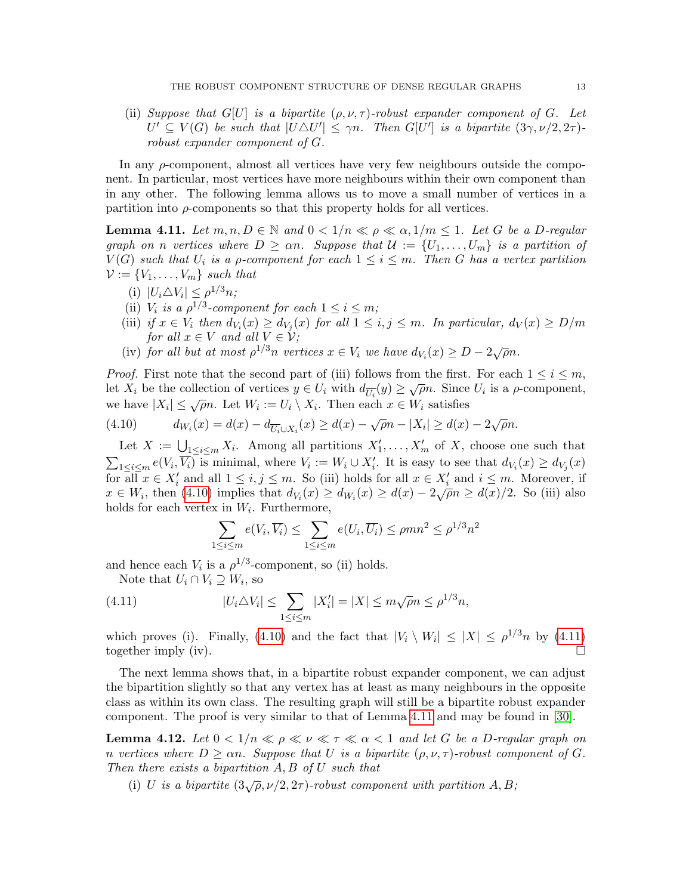(ii) Suppose that G[U] is a bipartite  $(\rho, \nu, \tau)$ -robust expander component of G. Let  $U' \subseteq V(G)$  be such that  $|U \triangle U'| \leq \gamma n$ . Then  $G[U']$  is a bipartite  $(3\gamma, \nu/2, 2\tau)$ robust expander component of G.

In any  $\rho$ -component, almost all vertices have very few neighbours outside the component. In particular, most vertices have more neighbours within their own component than in any other. The following lemma allows us to move a small number of vertices in a partition into  $\rho$ -components so that this property holds for all vertices.

<span id="page-12-2"></span>**Lemma 4.11.** Let  $m, n, D \in \mathbb{N}$  and  $0 < 1/n \ll \rho \ll \alpha, 1/m \leq 1$ . Let G be a D-regular graph on n vertices where  $D \ge \alpha n$ . Suppose that  $\mathcal{U} := \{U_1, \ldots, U_m\}$  is a partition of  $V(G)$  such that  $U_i$  is a  $\rho$ -component for each  $1 \leq i \leq m$ . Then G has a vertex partition  $\mathcal{V} := \{V_1, \ldots, V_m\}$  such that

- (i)  $|U_i \triangle V_i| \le \rho^{1/3} n;$
- (ii)  $V_i$  is a  $\rho^{1/3}$ -component for each  $1 \leq i \leq m$ ;
- (iii) if  $x \in V_i$  then  $d_{V_i}(x) \ge d_{V_j}(x)$  for all  $1 \le i, j \le m$ . In particular,  $d_V(x) \ge D/m$ for all  $x \in V$  and all  $V \in V$ ;
- (iv) for all but at most  $\rho^{1/3}$ n vertices  $x \in V_i$  we have  $d_{V_i}(x) \ge D 2\sqrt{\rho}n$ .

*Proof.* First note that the second part of (iii) follows from the first. For each  $1 \leq i \leq m$ , Let  $X_i$  be the collection of vertices  $y \in U_i$  with  $d_{\overline{U_i}}(y) \geq \sqrt{\rho}n$ . Since  $U_i$  is a  $\rho$ -component, we have  $|X_i| \leq \sqrt{\rho}n$ . Let  $W_i := U_i \setminus X_i$ . Then each  $x \in W_i$  satisfies

<span id="page-12-0"></span>(4.10) 
$$
d_{W_i}(x) = d(x) - d_{\overline{U_i} \cup X_i}(x) \ge d(x) - \sqrt{\rho}n - |X_i| \ge d(x) - 2\sqrt{\rho}n.
$$

Let  $X := \bigcup_{1 \leq i \leq m} X_i$ . Among all partitions  $X'_1, \ldots, X'_m$  of X, choose one such that  $\sum_{1 \leq i \leq m} e(V_i, \overline{V_i})$  is minimal, where  $V_i := W_i \cup X'_i$ . It is easy to see that  $d_{V_i}(x) \geq d_{V_j}(x)$ for all  $x \in X'_i$  and all  $1 \leq i, j \leq m$ . So (iii) holds for all  $x \in X'_i$  and  $i \leq m$ . Moreover, if for an  $x \in \Lambda_i$  and an  $1 \leq i, j \leq m$ . So (iii) holds for an  $x \in \Lambda_i$  and  $i \leq m$ . Moreover, in  $x \in W_i$ , then [\(4.10\)](#page-12-0) implies that  $d_{V_i}(x) \geq d_{W_i}(x) \geq d(x) - 2\sqrt{\rho}n \geq d(x)/2$ . So (iii) also holds for each vertex in  $W_i$ . Furthermore,

<span id="page-12-1"></span>
$$
\sum_{1 \le i \le m} e(V_i, \overline{V_i}) \le \sum_{1 \le i \le m} e(U_i, \overline{U_i}) \le \rho mn^2 \le \rho^{1/3} n^2
$$

and hence each  $V_i$  is a  $\rho^{1/3}$ -component, so (ii) holds.

Note that  $U_i \cap V_i \supseteq W_i$ , so

(4.11) 
$$
|U_i \triangle V_i| \leq \sum_{1 \leq i \leq m} |X'_i| = |X| \leq m\sqrt{\rho}n \leq \rho^{1/3}n,
$$

which proves (i). Finally, [\(4.10\)](#page-12-0) and the fact that  $|V_i \setminus W_i| \leq |X| \leq \rho^{1/3} n$  by [\(4.11\)](#page-12-1) together imply (iv).  $\Box$ 

The next lemma shows that, in a bipartite robust expander component, we can adjust the bipartition slightly so that any vertex has at least as many neighbours in the opposite class as within its own class. The resulting graph will still be a bipartite robust expander component. The proof is very similar to that of Lemma [4.11](#page-12-2) and may be found in [\[30\]](#page-37-17).

<span id="page-12-3"></span>**Lemma 4.12.** Let  $0 < 1/n \ll \rho \ll \nu \ll \tau \ll \alpha < 1$  and let G be a D-regular graph on n vertices where  $D \geq \alpha n$ . Suppose that U is a bipartite  $(\rho, \nu, \tau)$ -robust component of G. Then there exists a bipartition  $A, B$  of  $U$  such that

(i) U is a bipartite  $(3\sqrt{\rho}, \nu/2, 2\tau)$ -robust component with partition A, B;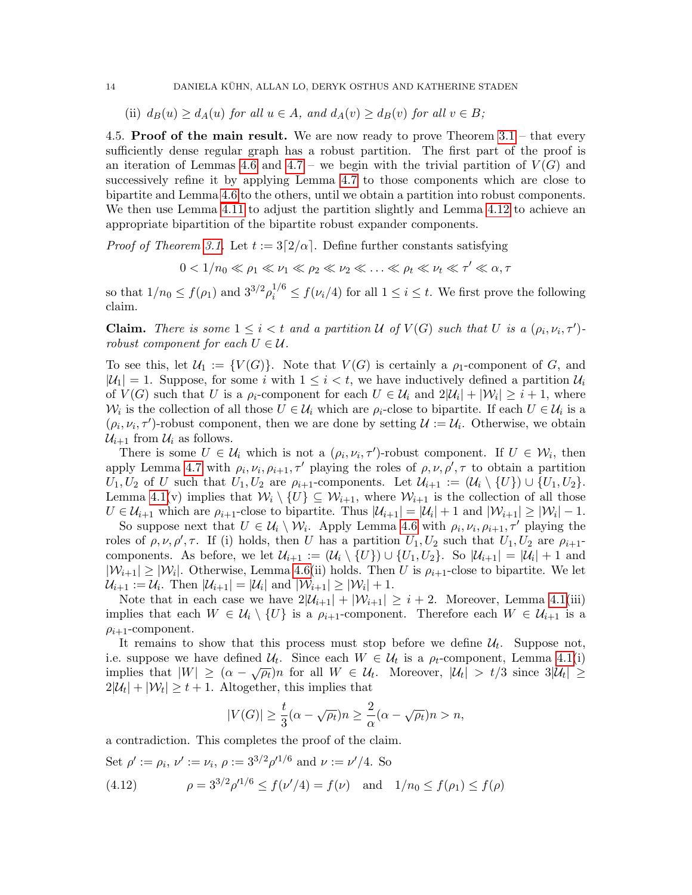(ii)  $d_B(u) \geq d_A(u)$  for all  $u \in A$ , and  $d_A(v) \geq d_B(v)$  for all  $v \in B$ ;

4.5. **Proof of the main result.** We are now ready to prove Theorem  $3.1$  – that every sufficiently dense regular graph has a robust partition. The first part of the proof is an iteration of Lemmas [4.6](#page-10-4) and [4.7](#page-11-1) – we begin with the trivial partition of  $V(G)$  and successively refine it by applying Lemma [4.7](#page-11-1) to those components which are close to bipartite and Lemma [4.6](#page-10-4) to the others, until we obtain a partition into robust components. We then use Lemma [4.11](#page-12-2) to adjust the partition slightly and Lemma [4.12](#page-12-3) to achieve an appropriate bipartition of the bipartite robust expander components.

*Proof of Theorem [3.1.](#page-6-0)* Let  $t := 3\lceil 2/\alpha \rceil$ . Define further constants satisfying

$$
0 < 1/n_0 \ll \rho_1 \ll \nu_1 \ll \rho_2 \ll \nu_2 \ll \ldots \ll \rho_t \ll \nu_t \ll \tau' \ll \alpha, \tau
$$

so that  $1/n_0 \le f(\rho_1)$  and  $3^{3/2} \rho_i^{1/6} \le f(\nu_i/4)$  for all  $1 \le i \le t$ . We first prove the following claim.

**Claim.** There is some  $1 \leq i < t$  and a partition U of  $V(G)$  such that U is a  $(\rho_i, \nu_i, \tau')$ robust component for each  $U \in \mathcal{U}$ .

To see this, let  $\mathcal{U}_1 := \{V(G)\}\$ . Note that  $V(G)$  is certainly a  $\rho_1$ -component of G, and  $|\mathcal{U}_1| = 1$ . Suppose, for some i with  $1 \leq i < t$ , we have inductively defined a partition  $\mathcal{U}_i$ of  $V(G)$  such that U is a  $\rho_i$ -component for each  $U \in \mathcal{U}_i$  and  $2|\mathcal{U}_i| + |\mathcal{W}_i| \geq i+1$ , where  $W_i$  is the collection of all those  $U \in \mathcal{U}_i$  which are  $\rho_i$ -close to bipartite. If each  $U \in \mathcal{U}_i$  is a  $(\rho_i, \nu_i, \tau')$ -robust component, then we are done by setting  $\mathcal{U} := \mathcal{U}_i$ . Otherwise, we obtain  $\mathcal{U}_{i+1}$  from  $\mathcal{U}_i$  as follows.

There is some  $U \in \mathcal{U}_i$  which is not a  $(\rho_i, \nu_i, \tau')$ -robust component. If  $U \in \mathcal{W}_i$ , then apply Lemma [4.7](#page-11-1) with  $\rho_i, \nu_i, \rho_{i+1}, \tau'$  playing the roles of  $\rho, \nu, \rho', \tau$  to obtain a partition  $U_1, U_2$  of U such that  $U_1, U_2$  are  $\rho_{i+1}$ -components. Let  $\mathcal{U}_{i+1} := (\mathcal{U}_i \setminus \{U\}) \cup \{U_1, U_2\}.$ Lemma [4.1\(](#page-7-2)v) implies that  $\mathcal{W}_i \setminus \{U\} \subseteq \mathcal{W}_{i+1}$ , where  $\mathcal{W}_{i+1}$  is the collection of all those  $U \in \mathcal{U}_{i+1}$  which are  $\rho_{i+1}$ -close to bipartite. Thus  $|\mathcal{U}_{i+1}| = |\mathcal{U}_i| + 1$  and  $|\mathcal{W}_{i+1}| \geq |\mathcal{W}_i| - 1$ .

So suppose next that  $U \in \mathcal{U}_i \setminus \mathcal{W}_i$ . Apply Lemma [4.6](#page-10-4) with  $\rho_i, \nu_i, \rho_{i+1}, \tau'$  playing the roles of  $\rho, \nu, \rho', \tau$ . If (i) holds, then U has a partition  $U_1, U_2$  such that  $U_1, U_2$  are  $\rho_{i+1}$ components. As before, we let  $\mathcal{U}_{i+1} := (\mathcal{U}_i \setminus \{U\}) \cup \{U_1, U_2\}$ . So  $|\mathcal{U}_{i+1}| = |\mathcal{U}_i| + 1$  and  $|\mathcal{W}_{i+1}| \geq |\mathcal{W}_i|$ . Otherwise, Lemma [4.6\(](#page-10-4)ii) holds. Then U is  $\rho_{i+1}$ -close to bipartite. We let  $\mathcal{U}_{i+1} := \mathcal{U}_i$ . Then  $|\mathcal{U}_{i+1}| = |\mathcal{U}_i|$  and  $|\mathcal{W}_{i+1}| \geq |\mathcal{W}_i| + 1$ .

Note that in each case we have  $2|\mathcal{U}_{i+1}| + |\mathcal{W}_{i+1}| \geq i+2$ . Moreover, Lemma [4.1\(](#page-7-2)iii) implies that each  $W \in \mathcal{U}_i \setminus \{U\}$  is a  $\rho_{i+1}$ -component. Therefore each  $W \in \mathcal{U}_{i+1}$  is a  $\rho_{i+1}$ -component.

It remains to show that this process must stop before we define  $\mathcal{U}_t$ . Suppose not, i.e. suppose we have defined  $\mathcal{U}_t$ . Since each  $W \in \mathcal{U}_t$  is a  $\rho_t$ -component, Lemma [4.1\(](#page-7-2)i) implies that  $|W| \geq (\alpha - \sqrt{\rho_t})n$  for all  $W \in \mathcal{U}_t$ . Moreover,  $|\mathcal{U}_t| > t/3$  since  $3|\mathcal{U}_t| \geq$  $2|\mathcal{U}_t| + |\mathcal{W}_t| \geq t+1$ . Altogether, this implies that

$$
|V(G)| \ge \frac{t}{3}(\alpha - \sqrt{\rho_t})n \ge \frac{2}{\alpha}(\alpha - \sqrt{\rho_t})n > n,
$$

a contradiction. This completes the proof of the claim.

Set 
$$
\rho' := \rho_i
$$
,  $\nu' := \nu_i$ ,  $\rho := 3^{3/2} \rho'^{1/6}$  and  $\nu := \nu'/4$ . So  
(4.12)  $\rho = 3^{3/2} \rho'^{1/6} \le f(\nu'/4) = f(\nu)$  and  $1/n_0 \le f(\rho_1) \le f(\rho)$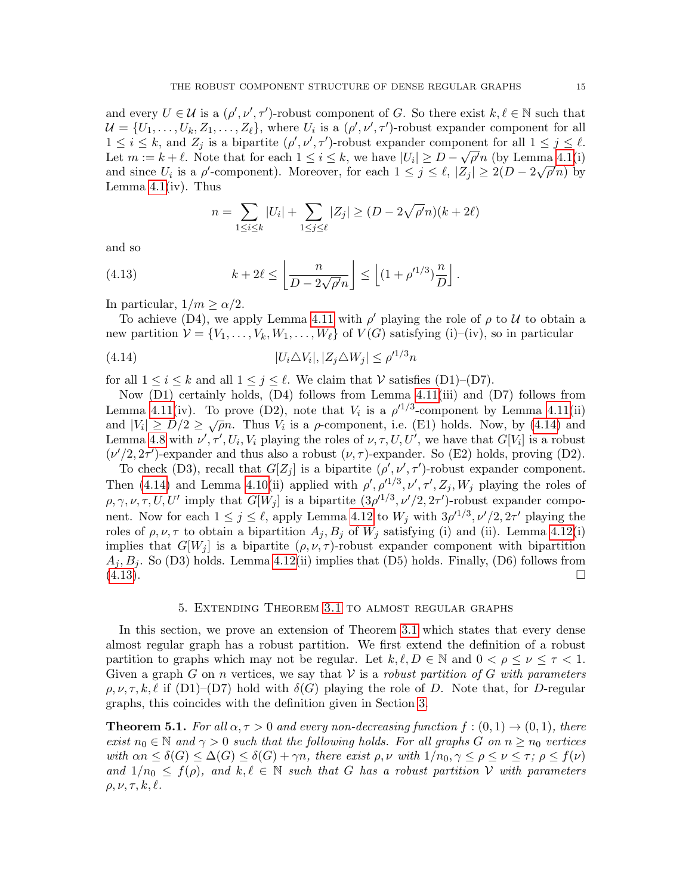and every  $U \in \mathcal{U}$  is a  $(\rho', \nu', \tau')$ -robust component of G. So there exist  $k, \ell \in \mathbb{N}$  such that  $\mathcal{U} = \{U_1, \ldots, U_k, Z_1, \ldots, Z_\ell\}$ , where  $U_i$  is a  $(\rho', \nu', \tau')$ -robust expander component for all  $1 \leq i \leq k$ , and  $Z_j$  is a bipartite  $(\rho', \nu', \tau')$ -robust expander component for all  $1 \leq j \leq \ell$ . Let  $m := k + \ell$ . Note that for each  $1 \leq i \leq k$ , we have  $|U_i| \geq D - \sqrt{\rho'}n$  (by Lemma [4.1\(](#page-7-2)i) and since  $U_i$  is a  $\rho'$ -component). Moreover, for each  $1 \leq j \leq \ell, |Z_j| \geq 2(D - 2\sqrt{\rho'}n)$  by Lemma  $4.1(iv)$ . Thus

<span id="page-14-2"></span><span id="page-14-1"></span>
$$
n = \sum_{1 \le i \le k} |U_i| + \sum_{1 \le j \le \ell} |Z_j| \ge (D - 2\sqrt{\rho'}n)(k + 2\ell)
$$

and so

(4.13) 
$$
k + 2\ell \leq \left\lfloor \frac{n}{D - 2\sqrt{\rho'}n} \right\rfloor \leq \left\lfloor (1 + \rho'^{1/3}) \frac{n}{D} \right\rfloor.
$$

In particular,  $1/m \ge \alpha/2$ .

To achieve (D4), we apply Lemma [4.11](#page-12-2) with  $\rho'$  playing the role of  $\rho$  to U to obtain a new partition  $V = \{V_1, \ldots, V_k, W_1, \ldots, W_\ell\}$  of  $V(G)$  satisfying (i)–(iv), so in particular

$$
(4.14) \t\t |U_i \triangle V_i|, |Z_j \triangle W_j| \le \rho'^{1/3} n
$$

for all  $1 \leq i \leq k$  and all  $1 \leq j \leq \ell$ . We claim that  $\mathcal V$  satisfies (D1)–(D7).

Now (D1) certainly holds, (D4) follows from Lemma [4.11\(](#page-12-2)iii) and (D7) follows from Lemma [4.11\(](#page-12-2)iv). To prove (D2), note that  $V_i$  is a  $\rho^{1/3}$ -component by Lemma 4.11(ii) Lemma 4.11(*v*). To prove ( $Dz$ ), note that  $v_i$  is a  $\rho$  -component by Lemma 4.11(*u*) and  $|V_i| \ge D/2 \ge \sqrt{\rho}n$ . Thus  $V_i$  is a  $\rho$ -component, i.e. (E1) holds. Now, by [\(4.14\)](#page-14-1) and Lemma [4.8](#page-11-2) with  $\nu', \tau', U_i, V_i$  playing the roles of  $\nu, \tau, U, U'$ , we have that  $G[V_i]$  is a robust  $(\nu'/2, 2\tau')$ -expander and thus also a robust  $(\nu, \tau)$ -expander. So (E2) holds, proving (D2).

To check (D3), recall that  $G[Z_j]$  is a bipartite  $(\rho', \nu', \tau')$ -robust expander component. Then [\(4.14\)](#page-14-1) and Lemma [4.10\(](#page-11-3)ii) applied with  $\rho', \rho'^{1/3}, \nu', \tau', Z_j, W_j$  playing the roles of  $\rho, \gamma, \nu, \tau, U, U'$  imply that  $G[W_j]$  is a bipartite  $(3\rho'^{1/3}, \nu'/2, 2\tau')$ -robust expander component. Now for each  $1 \leq j \leq \ell$ , apply Lemma [4.12](#page-12-3) to  $W_j$  with  $3\rho'^{1/3}$ ,  $\nu'/2$ ,  $2\tau'$  playing the roles of  $\rho, \nu, \tau$  to obtain a bipartition  $A_j, B_j$  of  $W_j$  satisfying (i) and (ii). Lemma [4.12\(](#page-12-3)i) implies that  $G[W_j]$  is a bipartite  $(\rho, \nu, \tau)$ -robust expander component with bipartition  $A_i, B_i$ . So (D3) holds. Lemma [4.12\(](#page-12-3)ii) implies that (D5) holds. Finally, (D6) follows from  $(4.13)$ .

#### 5. Extending Theorem [3.1](#page-6-0) to almost regular graphs

<span id="page-14-0"></span>In this section, we prove an extension of Theorem [3.1](#page-6-0) which states that every dense almost regular graph has a robust partition. We first extend the definition of a robust partition to graphs which may not be regular. Let  $k, \ell, D \in \mathbb{N}$  and  $0 < \rho \leq \nu \leq \tau < 1$ . Given a graph G on n vertices, we say that  $V$  is a robust partition of G with parameters  $\rho, \nu, \tau, k, \ell$  if (D1)–(D7) hold with  $\delta(G)$  playing the role of D. Note that, for D-regular graphs, this coincides with the definition given in Section [3.](#page-5-0)

<span id="page-14-3"></span>**Theorem 5.1.** For all  $\alpha, \tau > 0$  and every non-decreasing function  $f : (0,1) \to (0,1)$ , there exist  $n_0 \in \mathbb{N}$  and  $\gamma > 0$  such that the following holds. For all graphs G on  $n \geq n_0$  vertices with  $\alpha n \leq \delta(G) \leq \Delta(G) \leq \delta(G) + \gamma n$ , there exist  $\rho, \nu$  with  $1/n_0, \gamma \leq \rho \leq \nu \leq \tau$ ;  $\rho \leq f(\nu)$ and  $1/n_0 \leq f(\rho)$ , and  $k, \ell \in \mathbb{N}$  such that G has a robust partition V with parameters  $\rho, \nu, \tau, k, \ell.$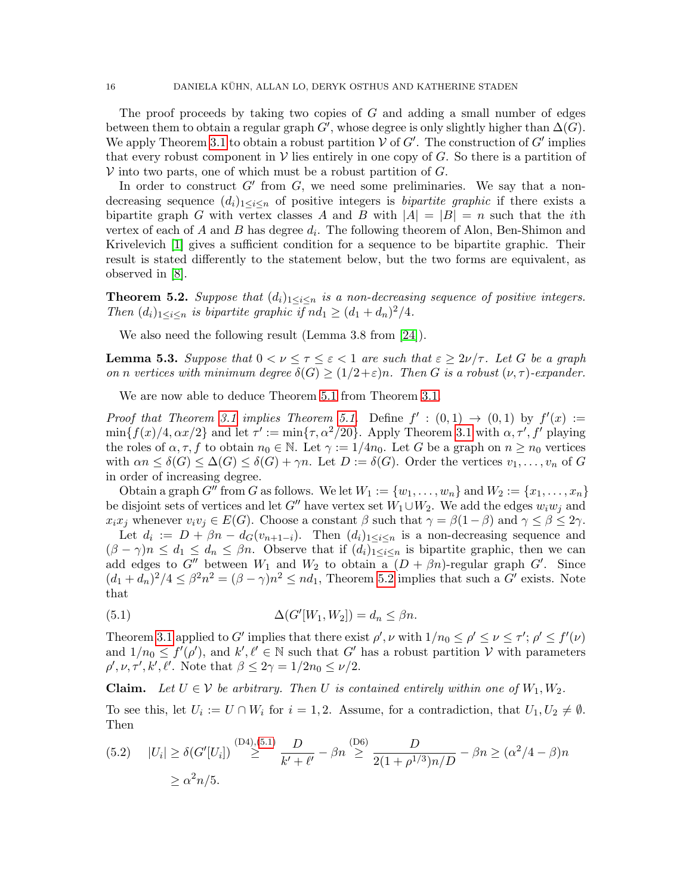The proof proceeds by taking two copies of  $G$  and adding a small number of edges between them to obtain a regular graph G', whose degree is only slightly higher than  $\Delta(G)$ . We apply Theorem [3.1](#page-6-0) to obtain a robust partition  $V$  of  $G'$ . The construction of  $G'$  implies that every robust component in  $V$  lies entirely in one copy of G. So there is a partition of  $V$  into two parts, one of which must be a robust partition of  $G$ .

In order to construct  $G'$  from  $G$ , we need some preliminaries. We say that a nondecreasing sequence  $(d_i)_{1\leq i\leq n}$  of positive integers is *bipartite graphic* if there exists a bipartite graph G with vertex classes A and B with  $|A| = |B| = n$  such that the *i*th vertex of each of A and B has degree  $d_i$ . The following theorem of Alon, Ben-Shimon and Krivelevich [\[1\]](#page-36-9) gives a sufficient condition for a sequence to be bipartite graphic. Their result is stated differently to the statement below, but the two forms are equivalent, as observed in [\[8\]](#page-36-10).

<span id="page-15-0"></span>**Theorem 5.2.** Suppose that  $(d_i)_{1 \leq i \leq n}$  is a non-decreasing sequence of positive integers. Then  $(d_i)_{1 \leq i \leq n}$  is bipartite graphic if  $nd_1 \geq (d_1 + d_n)^2/4$ .

We also need the following result (Lemma 3.8 from [\[24\]](#page-37-18)).

**Lemma 5.3.** Suppose that  $0 < \nu \leq \tau \leq \varepsilon < 1$  are such that  $\varepsilon \geq 2\nu/\tau$ . Let G be a graph on n vertices with minimum degree  $\delta(G) \geq (1/2+\varepsilon)n$ . Then G is a robust  $(\nu, \tau)$ -expander.

We are now able to deduce Theorem [5.1](#page-14-3) from Theorem [3.1.](#page-6-0)

Proof that Theorem [3.1](#page-6-0) implies Theorem [5.1.](#page-14-3) Define  $f' : (0,1) \rightarrow (0,1)$  by  $f'(x) :=$  $\min\{f(x)/4, \alpha x/2\}$  and let  $\tau' := \min\{\tau, \alpha^2/20\}$ . Apply Theorem [3.1](#page-6-0) with  $\alpha, \tau', f'$  playing the roles of  $\alpha, \tau, f$  to obtain  $n_0 \in \mathbb{N}$ . Let  $\gamma := 1/4n_0$ . Let G be a graph on  $n \geq n_0$  vertices with  $\alpha n \leq \delta(G) \leq \Delta(G) \leq \delta(G) + \gamma n$ . Let  $D := \delta(G)$ . Order the vertices  $v_1, \ldots, v_n$  of G in order of increasing degree.

Obtain a graph  $G''$  from G as follows. We let  $W_1 := \{w_1, \ldots, w_n\}$  and  $W_2 := \{x_1, \ldots, x_n\}$ be disjoint sets of vertices and let  $G''$  have vertex set  $W_1\cup W_2$ . We add the edges  $w_iw_j$  and  $x_ix_j$  whenever  $v_iv_j \in E(G)$ . Choose a constant  $\beta$  such that  $\gamma = \beta(1-\beta)$  and  $\gamma \leq \beta \leq 2\gamma$ .

Let  $d_i := D + \beta n - d_G(v_{n+1-i})$ . Then  $(d_i)_{1 \leq i \leq n}$  is a non-decreasing sequence and  $(\beta - \gamma)n \leq d_1 \leq d_n \leq \beta n$ . Observe that if  $(d_i)_{1 \leq i \leq n}$  is bipartite graphic, then we can add edges to G'' between  $W_1$  and  $W_2$  to obtain  $a^{-}(D + \beta n)$ -regular graph G'. Since  $(d_1 + d_n)^2/4 \leq \beta^2 n^2 = (\beta - \gamma)n^2 \leq nd_1$ , Theorem [5.2](#page-15-0) implies that such a G' exists. Note that

<span id="page-15-1"></span>(5.1) 
$$
\Delta(G'[W_1, W_2]) = d_n \leq \beta n.
$$

Theorem [3.1](#page-6-0) applied to G' implies that there exist  $\rho'$ ,  $\nu$  with  $1/n_0 \leq \rho' \leq \nu \leq \tau'$ ;  $\rho' \leq f'(\nu)$ and  $1/n_0 \le f'(\rho')$ , and  $k', \ell' \in \mathbb{N}$  such that G' has a robust partition V with parameters  $\rho', \nu, \tau', k', \ell'$ . Note that  $\beta \leq 2\gamma = 1/2n_0 \leq \nu/2$ .

**Claim.** Let  $U \in V$  be arbitrary. Then U is contained entirely within one of  $W_1, W_2$ .

To see this, let  $U_i := U \cap W_i$  for  $i = 1, 2$ . Assume, for a contradiction, that  $U_1, U_2 \neq \emptyset$ . Then

<span id="page-15-2"></span>
$$
(5.2) \quad |U_i| \ge \delta(G'[U_i]) \stackrel{\text{(D4)}, (5.1)}{\ge} \frac{D}{k' + \ell'} - \beta n \stackrel{\text{(D6)}}{\ge} \frac{D}{2(1 + \rho^{1/3})n/D} - \beta n \ge (\alpha^2/4 - \beta)n
$$

$$
\ge \alpha^2 n/5.
$$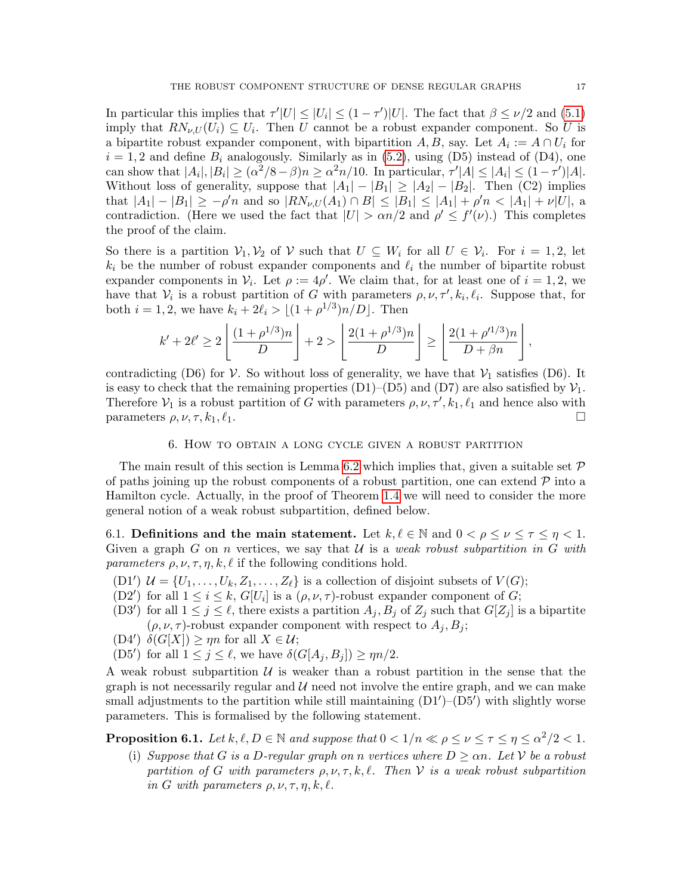In particular this implies that  $\tau' |U| \leq |U_i| \leq (1 - \tau') |U|$ . The fact that  $\beta \leq \nu/2$  and [\(5.1\)](#page-15-1) imply that  $RN_{\nu,U}(U_i) \subseteq U_i$ . Then U cannot be a robust expander component. So U is a bipartite robust expander component, with bipartition  $A, B$ , say. Let  $A_i := A \cap U_i$  for  $i = 1, 2$  and define  $B_i$  analogously. Similarly as in [\(5.2\)](#page-15-2), using (D5) instead of (D4), one can show that  $|A_i|, |B_i| \geq (\alpha^2/8 - \beta)n \geq \alpha^2 n/10$ . In particular,  $\tau' |A| \leq |A_i| \leq (1 - \tau') |A|$ . Without loss of generality, suppose that  $|A_1| - |B_1| \ge |A_2| - |B_2|$ . Then (C2) implies that  $|A_1| - |B_1| \ge -\rho' n$  and so  $|RN_{\nu,U}(A_1) \cap B| \le |B_1| \le |A_1| + \rho' n < |A_1| + \nu |U|$ , a contradiction. (Here we used the fact that  $|U| > \alpha n/2$  and  $\rho' \leq f'(\nu)$ .) This completes the proof of the claim.

So there is a partition  $\mathcal{V}_1, \mathcal{V}_2$  of  $\mathcal{V}$  such that  $U \subseteq W_i$  for all  $U \in \mathcal{V}_i$ . For  $i = 1, 2$ , let  $k_i$  be the number of robust expander components and  $\ell_i$  the number of bipartite robust expander components in  $V_i$ . Let  $\rho := 4\rho'$ . We claim that, for at least one of  $i = 1, 2$ , we have that  $V_i$  is a robust partition of G with parameters  $\rho, \nu, \tau', k_i, \ell_i$ . Suppose that, for both  $i = 1, 2$ , we have  $k_i + 2\ell_i > \lfloor (1 + \rho^{1/3})n/D \rfloor$ . Then

$$
k' + 2\ell' \ge 2\left\lfloor \frac{(1+\rho^{1/3})n}{D} \right\rfloor + 2 > \left\lfloor \frac{2(1+\rho^{1/3})n}{D} \right\rfloor \ge \left\lfloor \frac{2(1+\rho'^{1/3})n}{D+\beta n} \right\rfloor,
$$

contradicting (D6) for  $\mathcal V$ . So without loss of generality, we have that  $\mathcal V_1$  satisfies (D6). It is easy to check that the remaining properties  $(D1)-(D5)$  and  $(D7)$  are also satisfied by  $\mathcal{V}_1$ . Therefore  $\mathcal{V}_1$  is a robust partition of G with parameters  $\rho, \nu, \tau', k_1, \ell_1$  and hence also with parameters  $\rho, \nu, \tau, k_1, \ell_1$ .

#### 6. How to obtain a long cycle given a robust partition

<span id="page-16-0"></span>The main result of this section is Lemma [6.2](#page-17-0) which implies that, given a suitable set  $\mathcal P$ of paths joining up the robust components of a robust partition, one can extend  $\mathcal P$  into a Hamilton cycle. Actually, in the proof of Theorem [1.4](#page-3-1) we will need to consider the more general notion of a weak robust subpartition, defined below.

6.1. Definitions and the main statement. Let  $k, \ell \in \mathbb{N}$  and  $0 < \rho \leq \nu \leq \tau \leq \eta < 1$ . Given a graph G on n vertices, we say that U is a weak robust subpartition in G with parameters  $\rho, \nu, \tau, \eta, k, \ell$  if the following conditions hold.

- (D1')  $\mathcal{U} = \{U_1, \ldots, U_k, Z_1, \ldots, Z_\ell\}$  is a collection of disjoint subsets of  $V(G)$ ;
- (D2') for all  $1 \leq i \leq k$ ,  $G[U_i]$  is a  $(\rho, \nu, \tau)$ -robust expander component of G;
- (D3<sup>'</sup>) for all  $1 \leq j \leq \ell$ , there exists a partition  $A_j$ ,  $B_j$  of  $Z_j$  such that  $G[Z_j]$  is a bipartite  $(\rho, \nu, \tau)$ -robust expander component with respect to  $A_i, B_i$ ;
- (D4')  $\delta(G[X]) \ge \eta n$  for all  $X \in \mathcal{U}$ ;
- (D5') for all  $1 \leq j \leq \ell$ , we have  $\delta(G[A_j, B_j]) \geq \eta n/2$ .

A weak robust subpartition  $U$  is weaker than a robust partition in the sense that the graph is not necessarily regular and  $\mathcal{U}$  need not involve the entire graph, and we can make small adjustments to the partition while still maintaining  $(D1')-(D5')$  with slightly worse parameters. This is formalised by the following statement.

<span id="page-16-1"></span>**Proposition 6.1.** Let  $k, \ell, D \in \mathbb{N}$  and suppose that  $0 < 1/n \ll \rho \leq \nu \leq \tau \leq \eta \leq \alpha^2/2 < 1$ .

(i) Suppose that G is a D-regular graph on n vertices where  $D \geq \alpha n$ . Let V be a robust partition of G with parameters  $\rho, \nu, \tau, k, \ell$ . Then V is a weak robust subpartition in G with parameters  $\rho, \nu, \tau, \eta, k, \ell$ .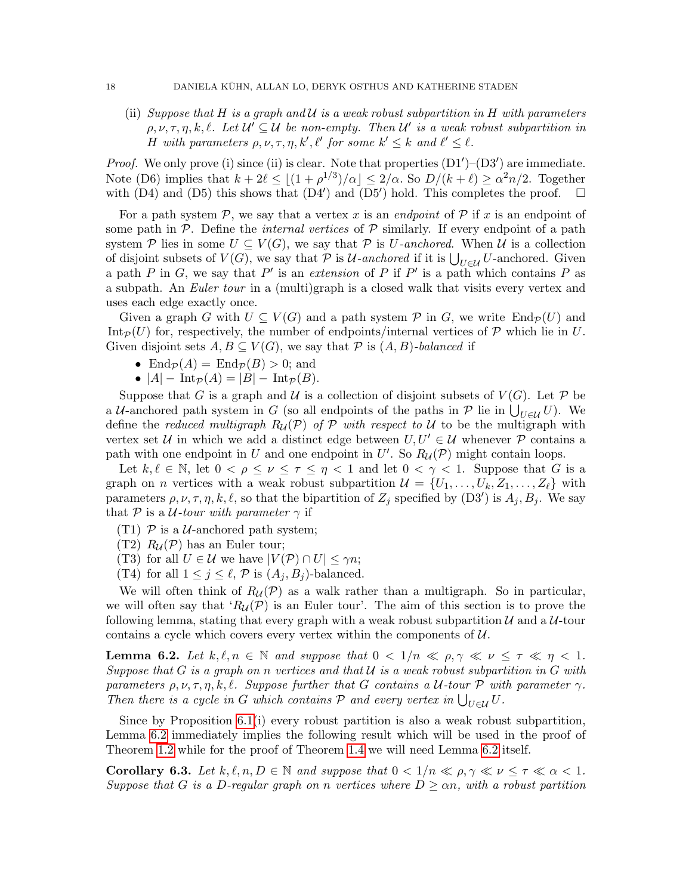(ii) Suppose that H is a graph and  $\mathcal U$  is a weak robust subpartition in H with parameters  $\rho, \nu, \tau, \eta, k, \ell$ . Let  $\mathcal{U}' \subseteq \mathcal{U}$  be non-empty. Then  $\mathcal{U}'$  is a weak robust subpartition in H with parameters  $\rho, \nu, \tau, \eta, k', \ell'$  for some  $k' \leq k$  and  $\ell' \leq \ell$ .

*Proof.* We only prove (i) since (ii) is clear. Note that properties  $(D1')-(D3')$  are immediate. Note (D6) implies that  $k + 2\ell \le |(1 + \rho^{1/3})/\alpha| \le 2/\alpha$ . So  $D/(k + \ell) \ge \alpha^2 n/2$ . Together with  $(D4)$  and  $(D5)$  this shows that  $(D4')$  and  $(D5')$  hold. This completes the proof.  $\square$ 

For a path system P, we say that a vertex x is an endpoint of P if x is an endpoint of some path in  $P$ . Define the *internal vertices* of  $P$  similarly. If every endpoint of a path system P lies in some  $U \subseteq V(G)$ , we say that P is U-anchored. When U is a collection of disjoint subsets of  $V(G)$ , we say that  $P$  is  $U$ -anchored if it is  $\bigcup_{U \in \mathcal{U}} U$ -anchored. Given a path P in G, we say that P' is an extension of P if P' is a path which contains P as a subpath. An Euler tour in a (multi)graph is a closed walk that visits every vertex and uses each edge exactly once.

Given a graph G with  $U \subseteq V(G)$  and a path system P in G, we write  $\text{End}_{\mathcal{P}}(U)$  and Int $p(U)$  for, respectively, the number of endpoints/internal vertices of P which lie in U. Given disjoint sets  $A, B \subseteq V(G)$ , we say that  $P$  is  $(A, B)$ -balanced if

- End $\mathcal{P}(A) = \text{End}_{\mathcal{P}}(B) > 0$ ; and
- $|A|$   $\text{Int}_{\mathcal{P}}(A) = |B|$   $\text{Int}_{\mathcal{P}}(B)$ .

Suppose that G is a graph and U is a collection of disjoint subsets of  $V(G)$ . Let P be a U-anchored path system in G (so all endpoints of the paths in  $P$  lie in  $\bigcup_{U\in\mathcal{U}}U$ ). We define the reduced multigraph  $R_{\mathcal{U}}(\mathcal{P})$  of  $\mathcal P$  with respect to  $\mathcal U$  to be the multigraph with vertex set U in which we add a distinct edge between  $U, U' \in \mathcal{U}$  whenever P contains a path with one endpoint in U and one endpoint in U'. So  $R_{\mathcal{U}}(\mathcal{P})$  might contain loops.

Let  $k, \ell \in \mathbb{N}$ , let  $0 < \rho \leq \nu \leq \tau \leq \eta < 1$  and let  $0 < \gamma < 1$ . Suppose that G is a graph on *n* vertices with a weak robust subpartition  $\mathcal{U} = \{U_1, \ldots, U_k, Z_1, \ldots, Z_\ell\}$  with parameters  $\rho, \nu, \tau, \eta, k, \ell$ , so that the bipartition of  $Z_j$  specified by  $(D3')$  is  $A_j, B_j$ . We say that P is a *U*-tour with parameter  $\gamma$  if

- (T1)  $\mathcal{P}$  is a *U*-anchored path system;
- $(T2)$   $R_U(\mathcal{P})$  has an Euler tour;
- (T3) for all  $U \in \mathcal{U}$  we have  $|V(\mathcal{P}) \cap U| \leq \gamma n$ ;
- (T4) for all  $1 \leq j \leq \ell$ , P is  $(A_i, B_j)$ -balanced.

We will often think of  $R_U(\mathcal{P})$  as a walk rather than a multigraph. So in particular, we will often say that ' $R_{\mathcal{U}}(\mathcal{P})$  is an Euler tour'. The aim of this section is to prove the following lemma, stating that every graph with a weak robust subpartition  $\mathcal U$  and a  $\mathcal U$ -tour contains a cycle which covers every vertex within the components of  $U$ .

<span id="page-17-0"></span>**Lemma 6.2.** Let  $k, \ell, n \in \mathbb{N}$  and suppose that  $0 < 1/n \ll \rho, \gamma \ll \nu \leq \tau \ll \eta \leq 1$ . Suppose that G is a graph on n vertices and that  $U$  is a weak robust subpartition in G with parameters  $\rho, \nu, \tau, \eta, k, \ell$ . Suppose further that G contains a U-tour P with parameter  $\gamma$ . Then there is a cycle in G which contains  $P$  and every vertex in  $\bigcup_{U \in \mathcal{U}} U$ .

Since by Proposition [6.1\(](#page-16-1)i) every robust partition is also a weak robust subpartition, Lemma [6.2](#page-17-0) immediately implies the following result which will be used in the proof of Theorem [1.2](#page-3-0) while for the proof of Theorem [1.4](#page-3-1) we will need Lemma [6.2](#page-17-0) itself.

<span id="page-17-1"></span>**Corollary 6.3.** Let  $k, \ell, n, D \in \mathbb{N}$  and suppose that  $0 < 1/n \ll \rho, \gamma \ll \nu \leq \tau \ll \alpha < 1$ . Suppose that G is a D-regular graph on n vertices where  $D \geq \alpha n$ , with a robust partition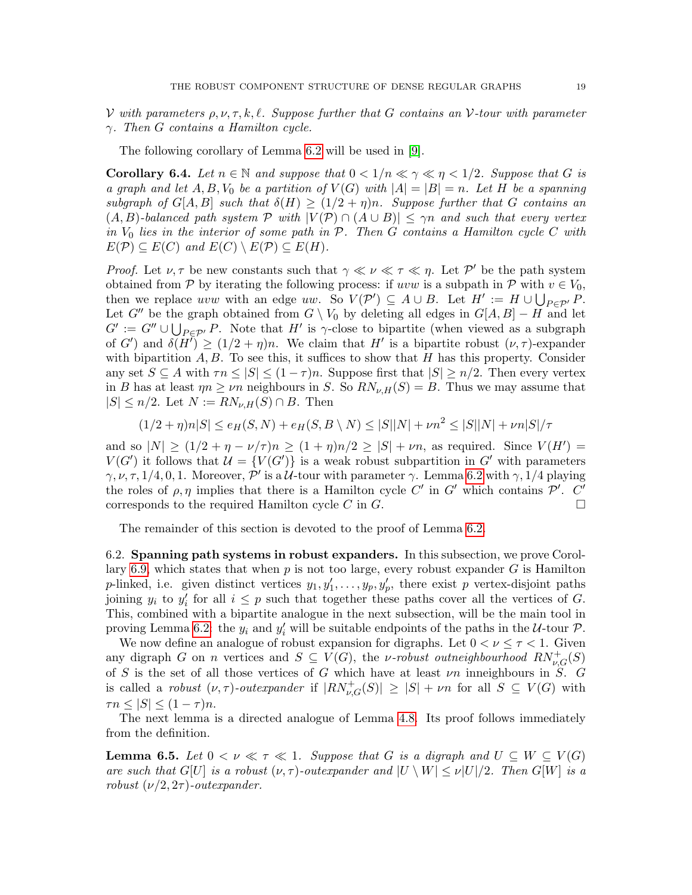V with parameters  $\rho, \nu, \tau, k, \ell$ . Suppose further that G contains an V-tour with parameter γ. Then G contains a Hamilton cycle.

The following corollary of Lemma [6.2](#page-17-0) will be used in [\[9\]](#page-36-11).

**Corollary 6.4.** Let  $n \in \mathbb{N}$  and suppose that  $0 < 1/n \ll \gamma \ll \eta < 1/2$ . Suppose that G is a graph and let  $A, B, V_0$  be a partition of  $V(G)$  with  $|A| = |B| = n$ . Let H be a spanning subgraph of  $G[A, B]$  such that  $\delta(H) \geq (1/2 + \eta)n$ . Suppose further that G contains an  $(A, B)$ -balanced path system P with  $|V(P) \cap (A \cup B)| \leq \gamma n$  and such that every vertex in  $V_0$  lies in the interior of some path in  $P$ . Then  $G$  contains a Hamilton cycle  $C$  with  $E(\mathcal{P}) \subseteq E(C)$  and  $E(C) \setminus E(\mathcal{P}) \subseteq E(H)$ .

*Proof.* Let  $\nu, \tau$  be new constants such that  $\gamma \ll \nu \ll \tau \ll \eta$ . Let P' be the path system obtained from P by iterating the following process: if uvw is a subpath in P with  $v \in V_0$ , then we replace uvw with an edge uw. So  $V(\mathcal{P}') \subseteq A \cup B$ . Let  $H' := H \cup \bigcup_{P \in \mathcal{P}'} P$ . Let G'' be the graph obtained from  $G \setminus V_0$  by deleting all edges in  $G[A, B] - H$  and let  $G' := G'' \cup \bigcup_{P \in \mathcal{P}'} P$ . Note that H' is  $\gamma$ -close to bipartite (when viewed as a subgraph of G') and  $\delta(\tilde{H}) \ge (1/2 + \eta)n$ . We claim that H' is a bipartite robust  $(\nu, \tau)$ -expander with bipartition  $A, B$ . To see this, it suffices to show that H has this property. Consider any set  $S \subseteq A$  with  $\tau n \leq |S| \leq (1 - \tau)n$ . Suppose first that  $|S| \geq n/2$ . Then every vertex in B has at least  $\eta n \geq \nu n$  neighbours in S. So  $RN_{\nu,H}(S) = B$ . Thus we may assume that  $|S| \leq n/2$ . Let  $N := RN_{\nu,H}(S) \cap B$ . Then

$$
(1/2 + \eta)n|S| \le e_H(S, N) + e_H(S, B \setminus N) \le |S||N| + \nu n^2 \le |S||N| + \nu n|S|/\tau
$$

and so  $|N| \ge (1/2 + \eta - \nu/\tau)n \ge (1 + \eta)n/2 \ge |S| + \nu n$ , as required. Since  $V(H') =$  $V(G')$  it follows that  $\mathcal{U} = \{V(G')\}$  is a weak robust subpartition in G' with parameters  $\gamma, \nu, \tau, 1/4, 0, 1$ . Moreover, P' is a U-tour with parameter  $\gamma$ . Lemma [6.2](#page-17-0) with  $\gamma$ , 1/4 playing the roles of  $\rho, \eta$  implies that there is a Hamilton cycle C' in G' which contains P'. C' corresponds to the required Hamilton cycle C in  $G$ .

The remainder of this section is devoted to the proof of Lemma [6.2.](#page-17-0)

6.2. Spanning path systems in robust expanders. In this subsection, we prove Corol-lary [6.9,](#page-19-0) which states that when  $p$  is not too large, every robust expander  $G$  is Hamilton p-linked, i.e. given distinct vertices  $y_1, y'_1, \ldots, y_p, y'_p$ , there exist p vertex-disjoint paths joining  $y_i$  to  $y'_i$  for all  $i \leq p$  such that together these paths cover all the vertices of G. This, combined with a bipartite analogue in the next subsection, will be the main tool in proving Lemma [6.2:](#page-17-0) the  $y_i$  and  $y'_i$  will be suitable endpoints of the paths in the U-tour P.

We now define an analogue of robust expansion for digraphs. Let  $0 < \nu \leq \tau < 1$ . Given any digraph G on n vertices and  $S \subseteq V(G)$ , the *v*-robust outneighbourhood  $RN_{\nu,G}^+(S)$ of S is the set of all those vertices of G which have at least  $\nu n$  inneighbours in S. G is called a robust  $(\nu, \tau)$ -outexpander if  $|RN_{\nu,G}^+(S)| \geq |S| + \nu n$  for all  $S \subseteq V(G)$  with  $\tau n \leq |S| \leq (1 - \tau)n$ .

The next lemma is a directed analogue of Lemma [4.8.](#page-11-2) Its proof follows immediately from the definition.

<span id="page-18-0"></span>**Lemma 6.5.** Let  $0 < \nu \ll \tau \ll 1$ . Suppose that G is a digraph and  $U \subseteq W \subseteq V(G)$ are such that G[U] is a robust  $(\nu, \tau)$ -outexpander and  $|U \setminus W| \le \nu |U|/2$ . Then G[W] is a robust  $(\nu/2, 2\tau)$ -outexpander.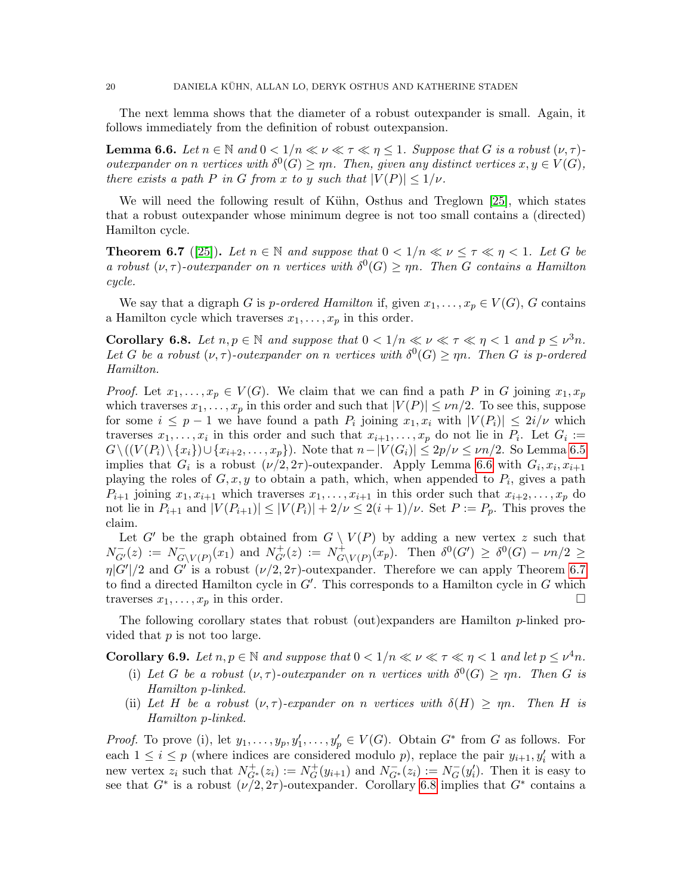The next lemma shows that the diameter of a robust outexpander is small. Again, it follows immediately from the definition of robust outexpansion.

<span id="page-19-1"></span>**Lemma 6.6.** Let  $n \in \mathbb{N}$  and  $0 < 1/n \ll \nu \ll \tau \ll \eta \leq 1$ . Suppose that G is a robust  $(\nu, \tau)$ outexpander on n vertices with  $\delta^0(G) \ge \eta n$ . Then, given any distinct vertices  $x, y \in V(G)$ , there exists a path P in G from x to y such that  $|V(P)| \leq 1/\nu$ .

We will need the following result of Kühn, Osthus and Treglown [\[25\]](#page-37-0), which states that a robust outexpander whose minimum degree is not too small contains a (directed) Hamilton cycle.

<span id="page-19-2"></span>**Theorem 6.7** ([\[25\]](#page-37-0)). Let  $n \in \mathbb{N}$  and suppose that  $0 < 1/n \ll \nu \leq \tau \ll \eta < 1$ . Let G be a robust  $(\nu, \tau)$ -outexpander on n vertices with  $\delta^0(G) \ge \eta n$ . Then G contains a Hamilton cycle.

We say that a digraph G is p-ordered Hamilton if, given  $x_1, \ldots, x_p \in V(G)$ , G contains a Hamilton cycle which traverses  $x_1, \ldots, x_p$  in this order.

<span id="page-19-3"></span>**Corollary 6.8.** Let  $n, p \in \mathbb{N}$  and suppose that  $0 < 1/n \ll \nu \ll \tau \ll \eta < 1$  and  $p \leq \nu^3 n$ . Let G be a robust  $(\nu, \tau)$ -outexpander on n vertices with  $\delta^0(G) \ge \eta n$ . Then G is p-ordered Hamilton.

*Proof.* Let  $x_1, \ldots, x_p \in V(G)$ . We claim that we can find a path P in G joining  $x_1, x_p$ which traverses  $x_1, \ldots, x_p$  in this order and such that  $|V(P)| \le \nu n/2$ . To see this, suppose for some  $i \leq p-1$  we have found a path  $P_i$  joining  $x_1, x_i$  with  $|V(P_i)| \leq 2i/\nu$  which traverses  $x_1, \ldots, x_i$  in this order and such that  $x_{i+1}, \ldots, x_p$  do not lie in  $P_i$ . Let  $G_i :=$  $G\setminus ((V(P_i)\setminus \{x_i\})\cup \{x_{i+2},\ldots,x_p\})$ . Note that  $n-|V(G_i)|\leq 2p/\nu\leq \nu n/2$ . So Lemma [6.5](#page-18-0) implies that  $G_i$  is a robust  $(\nu/2, 2\tau)$ -outexpander. Apply Lemma [6.6](#page-19-1) with  $G_i, x_i, x_{i+1}$ playing the roles of  $G, x, y$  to obtain a path, which, when appended to  $P_i$ , gives a path  $P_{i+1}$  joining  $x_1, x_{i+1}$  which traverses  $x_1, \ldots, x_{i+1}$  in this order such that  $x_{i+2}, \ldots, x_p$  do not lie in  $P_{i+1}$  and  $|V(P_{i+1})| \leq |V(P_i)| + 2/\nu \leq 2(i+1)/\nu$ . Set  $P := P_p$ . This proves the claim.

Let G' be the graph obtained from  $G \setminus V(P)$  by adding a new vertex z such that  $N_{G'}^-(z) := N_{G'}^ G_{\backslash V(P)}(x_1)$  and  $N_{G'}^+(z) := N_G^+$  $G(V(P)(x_p)).$  Then  $\delta^0(G') \geq \delta^0(G) - \nu n/2 \geq$  $\eta|G'|/2$  and G' is a robust  $(\nu/2, 2\tau)$ -outexpander. Therefore we can apply Theorem [6.7](#page-19-2) to find a directed Hamilton cycle in  $G'$ . This corresponds to a Hamilton cycle in  $G$  which traverses  $x_1, \ldots, x_p$  in this order.

The following corollary states that robust (out)expanders are Hamilton p-linked provided that  $p$  is not too large.

<span id="page-19-0"></span>**Corollary 6.9.** Let  $n, p \in \mathbb{N}$  and suppose that  $0 < 1/n \ll \nu \ll \tau \ll \eta < 1$  and let  $p \leq \nu^4 n$ .

- (i) Let G be a robust  $(\nu, \tau)$ -outexpander on n vertices with  $\delta^0(G) \ge \eta n$ . Then G is Hamilton p-linked.
- (ii) Let H be a robust  $(\nu, \tau)$ -expander on n vertices with  $\delta(H) \ge \eta n$ . Then H is Hamilton p-linked.

*Proof.* To prove (i), let  $y_1, \ldots, y_p, y'_1, \ldots, y'_p \in V(G)$ . Obtain  $G^*$  from G as follows. For each  $1 \leq i \leq p$  (where indices are considered modulo p), replace the pair  $y_{i+1}, y'_i$  with a new vertex  $z_i$  such that  $N_{G^*}^+(z_i) := N_G^+$  $G^+(y_{i+1})$  and  $N_{G^*}^-(z_i) := N_G^ \overline{G}(y'_i)$ . Then it is easy to see that  $G^*$  is a robust  $(\nu/2, 2\tau)$ -outexpander. Corollary [6.8](#page-19-3) implies that  $G^*$  contains a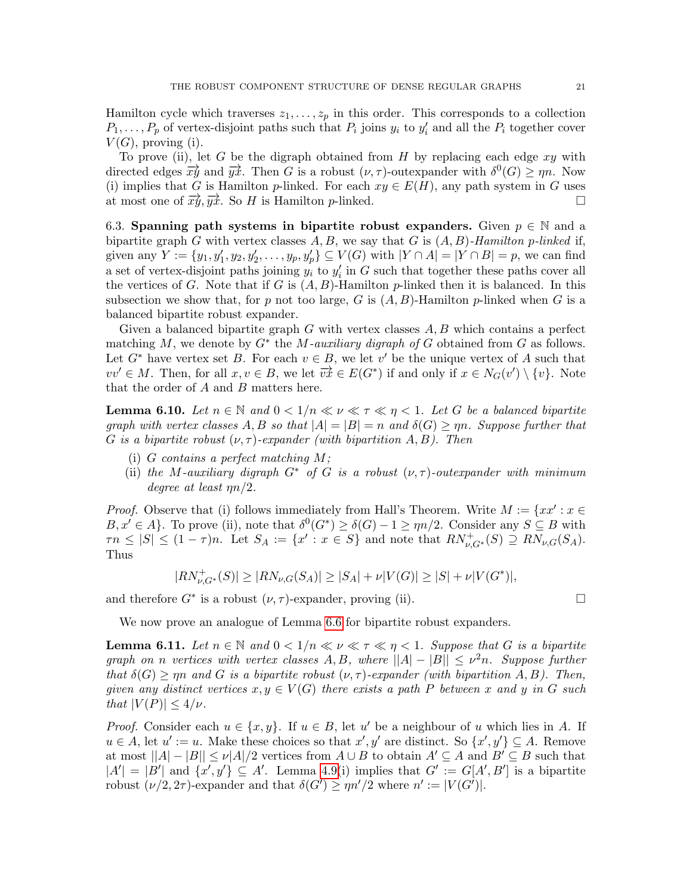Hamilton cycle which traverses  $z_1, \ldots, z_p$  in this order. This corresponds to a collection  $P_1, \ldots, P_p$  of vertex-disjoint paths such that  $P_i$  joins  $y_i$  to  $y'_i$  and all the  $P_i$  together cover  $V(G)$ , proving (i).

To prove (ii), let G be the digraph obtained from H by replacing each edge  $xy$  with directed edges  $\overrightarrow{xy}$  and  $\overrightarrow{yx}$ . Then G is a robust  $(\nu, \tau)$ -outexpander with  $\delta^0(G) \ge \eta n$ . Now (i) implies that G is Hamilton p-linked. For each  $xy \in E(H)$ , any path system in G uses at most one of  $\overrightarrow{xy}, \overrightarrow{yx}$ . So H is Hamilton p-linked.

6.3. Spanning path systems in bipartite robust expanders. Given  $p \in \mathbb{N}$  and a bipartite graph G with vertex classes  $A, B$ , we say that G is  $(A, B)$ -Hamilton p-linked if, given any  $Y := \{y_1, y_1', y_2, y_2', \dots, y_p, y_p'\} \subseteq V(G)$  with  $|Y \cap A| = |Y \cap B| = p$ , we can find a set of vertex-disjoint paths joining  $y_i$  to  $y_i'$  in G such that together these paths cover all the vertices of G. Note that if G is  $(A, B)$ -Hamilton p-linked then it is balanced. In this subsection we show that, for p not too large, G is  $(A, B)$ -Hamilton p-linked when G is a balanced bipartite robust expander.

Given a balanced bipartite graph  $G$  with vertex classes  $A, B$  which contains a perfect matching M, we denote by  $G^*$  the M-auxiliary digraph of G obtained from G as follows. Let  $G^*$  have vertex set B. For each  $v \in B$ , we let v' be the unique vertex of A such that vv' ∈ M. Then, for all  $x, v \in B$ , we let  $\overrightarrow{vx} \in E(G^*)$  if and only if  $x \in N_G(v') \setminus \{v\}$ . Note that the order of A and B matters here.

<span id="page-20-0"></span>**Lemma 6.10.** Let  $n \in \mathbb{N}$  and  $0 < 1/n \ll \nu \ll \tau \ll \eta < 1$ . Let G be a balanced bipartite graph with vertex classes A, B so that  $|A| = |B| = n$  and  $\delta(G) \geq \eta n$ . Suppose further that G is a bipartite robust  $(\nu, \tau)$ -expander (with bipartition A, B). Then

- (i) G contains a perfect matching  $M$ ;
- (ii) the M-auxiliary digraph  $G^*$  of G is a robust  $(\nu, \tau)$ -outexpander with minimum degree at least ηn/2.

*Proof.* Observe that (i) follows immediately from Hall's Theorem. Write  $M := \{xx' : x \in$  $B, x' \in A$ . To prove (ii), note that  $\delta^0(G^*) \geq \delta(G) - 1 \geq \eta n/2$ . Consider any  $S \subseteq B$  with  $\tau n \leq |S| \leq (1-\tau)n$ . Let  $S_A := \{x' : x \in S\}$  and note that  $RN_{\nu,G^*}^+(S) \supseteq RN_{\nu,G}(S_A)$ . Thus

$$
|RN_{\nu,G^*}^+(S)| \ge |RN_{\nu,G}(S_A)| \ge |S_A| + \nu |V(G)| \ge |S| + \nu |V(G^*)|,
$$

and therefore  $G^*$  is a robust  $(\nu, \tau)$ -expander, proving (ii).

We now prove an analogue of Lemma [6.6](#page-19-1) for bipartite robust expanders.

<span id="page-20-1"></span>**Lemma 6.11.** Let  $n \in \mathbb{N}$  and  $0 < 1/n \ll \nu \ll \tau \ll \eta < 1$ . Suppose that G is a bipartite graph on n vertices with vertex classes  $A, B$ , where  $||A| - |B|| \leq \nu^2 n$ . Suppose further that  $\delta(G) \ge \eta n$  and G is a bipartite robust  $(\nu, \tau)$ -expander (with bipartition A, B). Then, given any distinct vertices  $x, y \in V(G)$  there exists a path P between x and y in G such that  $|V(P)| \leq 4/\nu$ .

*Proof.* Consider each  $u \in \{x, y\}$ . If  $u \in B$ , let u' be a neighbour of u which lies in A. If  $u \in A$ , let  $u' := u$ . Make these choices so that  $x', y'$  are distinct. So  $\{x', y'\} \subseteq A$ . Remove at most  $||A|-|B|| \le \nu |A|/2$  vertices from  $A \cup B$  to obtain  $A' \subseteq A$  and  $B' \subseteq B$  such that  $|A'| = |B'|$  and  $\{x', y'\} \subseteq A'$ . Lemma [4.9\(](#page-11-0)i) implies that  $G' := G[A', B']$  is a bipartite robust  $(\nu/2, 2\tau)$ -expander and that  $\delta(G') \ge \eta n'/2$  where  $n' := |V(G')|$ .

$$
\Box
$$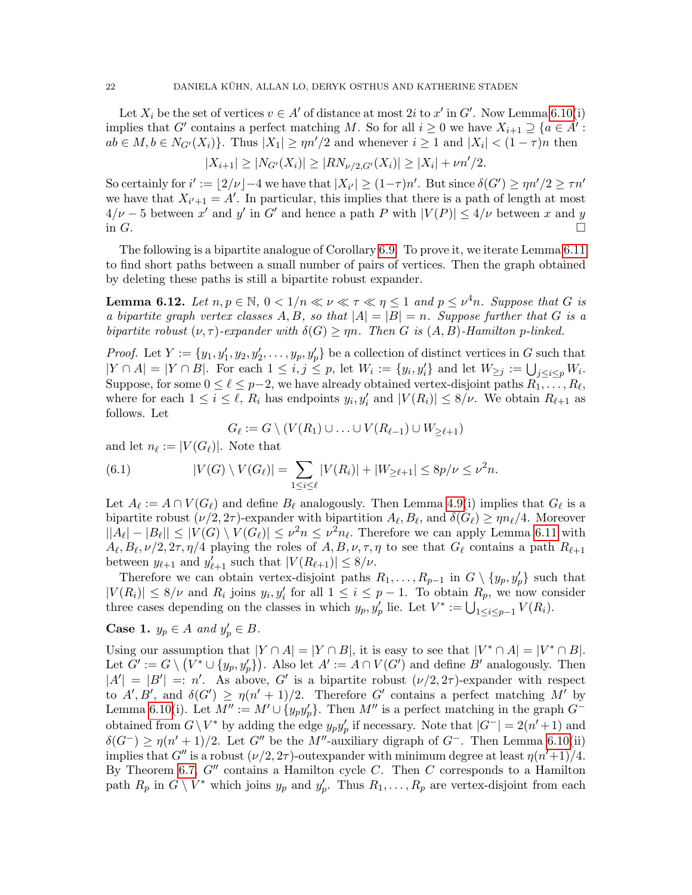Let  $X_i$  be the set of vertices  $v \in A'$  of distance at most 2i to x' in G'. Now Lemma [6.10\(](#page-20-0)i) implies that G' contains a perfect matching M. So for all  $i \geq 0$  we have  $X_{i+1} \supseteq \{a \in A' :$  $ab \in M, b \in N_{G'}(X_i)$ . Thus  $|X_1| \ge \eta n'/2$  and whenever  $i \ge 1$  and  $|X_i| < (1 - \tau)n$  then

$$
|X_{i+1}| \ge |N_{G'}(X_i)| \ge |RN_{\nu/2, G'}(X_i)| \ge |X_i| + \nu n'/2.
$$

So certainly for  $i' := \lfloor 2/\nu \rfloor - 4$  we have that  $|X_{i'}| \ge (1 - \tau)n'$ . But since  $\delta(G') \ge \eta n'/2 \ge \tau n'$ we have that  $X_{i'+1} = A'$ . In particular, this implies that there is a path of length at most  $4/\nu - 5$  between x' and y' in G' and hence a path P with  $|V(P)| \leq 4/\nu$  between x and y in  $G$ .

The following is a bipartite analogue of Corollary [6.9.](#page-19-0) To prove it, we iterate Lemma [6.11](#page-20-1) to find short paths between a small number of pairs of vertices. Then the graph obtained by deleting these paths is still a bipartite robust expander.

<span id="page-21-0"></span>**Lemma 6.12.** Let  $n, p \in \mathbb{N}$ ,  $0 < 1/n \ll \nu \ll \tau \ll \eta \leq 1$  and  $p \leq \nu^4 n$ . Suppose that G is a bipartite graph vertex classes A, B, so that  $|A| = |B| = n$ . Suppose further that G is a bipartite robust  $(\nu, \tau)$ -expander with  $\delta(G) \ge \eta n$ . Then G is  $(A, B)$ -Hamilton p-linked.

*Proof.* Let  $Y := \{y_1, y_1', y_2, y_2', \dots, y_p, y_p'\}$  be a collection of distinct vertices in G such that  $|Y \cap A| = |Y \cap B|$ . For each  $1 \leq i, j \leq p$ , let  $W_i := \{y_i, y'_i\}$  and let  $W_{\geq j} := \bigcup_{j \leq i \leq p} W_i$ . Suppose, for some  $0 \leq \ell \leq p-2$ , we have already obtained vertex-disjoint paths  $R_1, \ldots, R_\ell$ , where for each  $1 \leq i \leq \ell$ ,  $R_i$  has endpoints  $y_i, y'_i$  and  $|V(R_i)| \leq 8/\nu$ . We obtain  $R_{\ell+1}$  as follows. Let

$$
G_{\ell} := G \setminus (V(R_1) \cup \ldots \cup V(R_{\ell-1}) \cup W_{\geq \ell+1})
$$

and let  $n_\ell := |V(G_\ell)|$ . Note that

(6.1) 
$$
|V(G) \setminus V(G_{\ell})| = \sum_{1 \leq i \leq \ell} |V(R_i)| + |W_{\geq \ell+1}| \leq 8p/\nu \leq \nu^2 n.
$$

Let  $A_\ell := A \cap V(G_\ell)$  and define  $B_\ell$  analogously. Then Lemma [4.9\(](#page-11-0)i) implies that  $G_\ell$  is a bipartite robust  $(\nu/2, 2\tau)$ -expander with bipartition  $A_\ell, B_\ell$ , and  $\delta(G_\ell) \ge \eta n_\ell/4$ . Moreover  $||A_{\ell}|-|B_{\ell}|| \leq |V(G) \setminus V(G_{\ell})| \leq \nu^2 n \leq \nu^2 n_{\ell}$ . Therefore we can apply Lemma [6.11](#page-20-1) with  $A_\ell, B_\ell, \nu/2, 2\tau, \eta/4$  playing the roles of  $A, B, \nu, \tau, \eta$  to see that  $G_\ell$  contains a path  $R_{\ell+1}$ between  $y_{\ell+1}$  and  $y'_{\ell+1}$  such that  $|V(R_{\ell+1})| \leq 8/\nu$ .

Therefore we can obtain vertex-disjoint paths  $R_1, \ldots, R_{p-1}$  in  $G \setminus \{y_p, y_p'\}$  such that  $|V(R_i)| \leq 8/\nu$  and  $R_i$  joins  $y_i, y'_i$  for all  $1 \leq i \leq p-1$ . To obtain  $R_p$ , we now consider three cases depending on the classes in which  $y_p, y'_p$  lie. Let  $V^* := \bigcup_{1 \leq i \leq p-1} V(R_i)$ .

# Case 1.  $y_p \in A$  and  $y'_p \in B$ .

Using our assumption that  $|Y \cap A| = |Y \cap B|$ , it is easy to see that  $|V^* \cap A| = |V^* \cap B|$ . Let  $G' := G \setminus (V^* \cup \{y_p, y_p'\})$ . Also let  $A' := A \cap V(G')$  and define  $B'$  analogously. Then  $|A'| = |B'| =: n'.$  As above, G' is a bipartite robust  $(\nu/2, 2\tau)$ -expander with respect to  $A', B'$ , and  $\delta(G') \ge \eta(n'+1)/2$ . Therefore G' contains a perfect matching M' by Lemma [6.10\(](#page-20-0)i). Let  $M'':=M'\cup \{y_py'_p\}$ . Then  $M''$  is a perfect matching in the graph  $G^$ obtained from  $G \setminus V^*$  by adding the edge  $y_p y'_p$  if necessary. Note that  $|G^-| = 2(n'+1)$  and  $\delta(G^-) \geq \eta(n'+1)/2$ . Let G'' be the M''-auxiliary digraph of G<sup>-</sup>. Then Lemma [6.10\(](#page-20-0)ii) implies that  $G''$  is a robust  $(\nu/2, 2\tau)$ -outexpander with minimum degree at least  $\eta(n'+1)/4$ . By Theorem [6.7,](#page-19-2)  $G''$  contains a Hamilton cycle C. Then C corresponds to a Hamilton path  $R_p$  in  $G \setminus V^*$  which joins  $y_p$  and  $y'_p$ . Thus  $R_1, \ldots, R_p$  are vertex-disjoint from each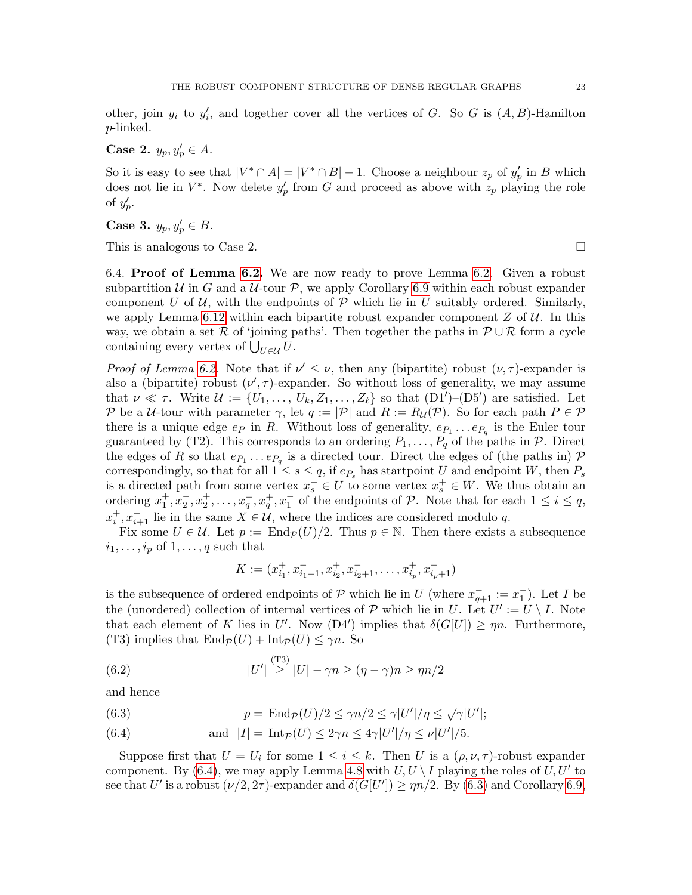other, join  $y_i$  to  $y'_i$ , and together cover all the vertices of G. So G is  $(A, B)$ -Hamilton p-linked.

Case 2.  $y_p, y_p' \in A$ .

So it is easy to see that  $|V^* \cap A| = |V^* \cap B| - 1$ . Choose a neighbour  $z_p$  of  $y'_p$  in B which does not lie in  $V^*$ . Now delete  $y_p'$  from G and proceed as above with  $z_p$  playing the role of  $y_p'$ .

Case 3.  $y_p, y_p' \in B$ .

This is analogous to Case 2.

6.4. Proof of Lemma [6.2.](#page-17-0) We are now ready to prove Lemma [6.2.](#page-17-0) Given a robust subpartition U in G and a U-tour P, we apply Corollary [6.9](#page-19-0) within each robust expander component U of U, with the endpoints of P which lie in U suitably ordered. Similarly, we apply Lemma [6.12](#page-21-0) within each bipartite robust expander component  $Z$  of  $U$ . In this way, we obtain a set R of 'joining paths'. Then together the paths in  $\mathcal{P} \cup \mathcal{R}$  form a cycle containing every vertex of  $\bigcup_{U \in \mathcal{U}} U$ .

Proof of Lemma [6.2.](#page-17-0) Note that if  $\nu' \leq \nu$ , then any (bipartite) robust  $(\nu, \tau)$ -expander is also a (bipartite) robust  $(\nu', \tau)$ -expander. So without loss of generality, we may assume that  $\nu \ll \tau$ . Write  $\mathcal{U} := \{U_1, \ldots, U_k, Z_1, \ldots, Z_\ell\}$  so that  $(D1')-(D5')$  are satisfied. Let P be a U-tour with parameter  $\gamma$ , let  $q := |\mathcal{P}|$  and  $R := R_{\mathcal{U}}(\mathcal{P})$ . So for each path  $P \in \mathcal{P}$ there is a unique edge  $e_P$  in R. Without loss of generality,  $e_{P_1} \dots e_{P_q}$  is the Euler tour guaranteed by (T2). This corresponds to an ordering  $P_1, \ldots, P_q$  of the paths in  $P$ . Direct the edges of R so that  $e_{P_1} \ldots e_{P_q}$  is a directed tour. Direct the edges of (the paths in) P correspondingly, so that for all  $1 \leq s \leq q$ , if  $e_{P_s}$  has startpoint U and endpoint W, then  $P_s$ is a directed path from some vertex  $x_s^- \in U$  to some vertex  $x_s^+ \in W$ . We thus obtain an ordering  $x_1^+, x_2^-, x_2^+, \ldots, x_q^-, x_q^+, x_1^-$  of the endpoints of  $P$ . Note that for each  $1 \leq i \leq q$ ,  $x_i^+, x_{i+1}^-$  lie in the same  $X \in \mathcal{U}$ , where the indices are considered modulo q.

Fix some  $U \in \mathcal{U}$ . Let  $p := \text{End}_{\mathcal{P}}(U)/2$ . Thus  $p \in \mathbb{N}$ . Then there exists a subsequence  $i_1, \ldots, i_p$  of  $1, \ldots, q$  such that

<span id="page-22-2"></span>
$$
K := (x_{i_1}^+, x_{i_1+1}^-, x_{i_2}^+, x_{i_2+1}^-, \dots, x_{i_p}^+, x_{i_p+1}^-)
$$

is the subsequence of ordered endpoints of  $P$  which lie in U (where  $x_{q+1}^- := x_1^-$ ). Let I be the (unordered) collection of internal vertices of  $P$  which lie in U. Let  $U' := U \setminus I$ . Note that each element of K lies in U'. Now (D4') implies that  $\delta(G[U]) \ge \eta n$ . Furthermore, (T3) implies that  $\text{End}_{\mathcal{P}}(U) + \text{Int}_{\mathcal{P}}(U) \leq \gamma n$ . So

(6.2) 
$$
|U'| \stackrel{\text{(T3)}}{\geq} |U| - \gamma n \geq (\eta - \gamma)n \geq \eta n/2
$$

and hence

<span id="page-22-1"></span>(6.3) 
$$
p = \text{End}_{\mathcal{P}}(U)/2 \leq \gamma n/2 \leq \gamma |U'|/\eta \leq \sqrt{\gamma}|U'|;
$$

<span id="page-22-0"></span>(6.4) and 
$$
|I| = \text{Int}_{\mathcal{P}}(U) \leq 2\gamma n \leq 4\gamma |U'|/\eta \leq \nu |U'|/5.
$$

Suppose first that  $U = U_i$  for some  $1 \leq i \leq k$ . Then U is a  $(\rho, \nu, \tau)$ -robust expander component. By [\(6.4\)](#page-22-0), we may apply Lemma [4.8](#page-11-2) with  $U, U \setminus I$  playing the roles of  $U, U'$  to see that U' is a robust  $(\nu/2, 2\tau)$ -expander and  $\delta(G[U']) \ge \eta n/2$ . By [\(6.3\)](#page-22-1) and Corollary [6.9,](#page-19-0)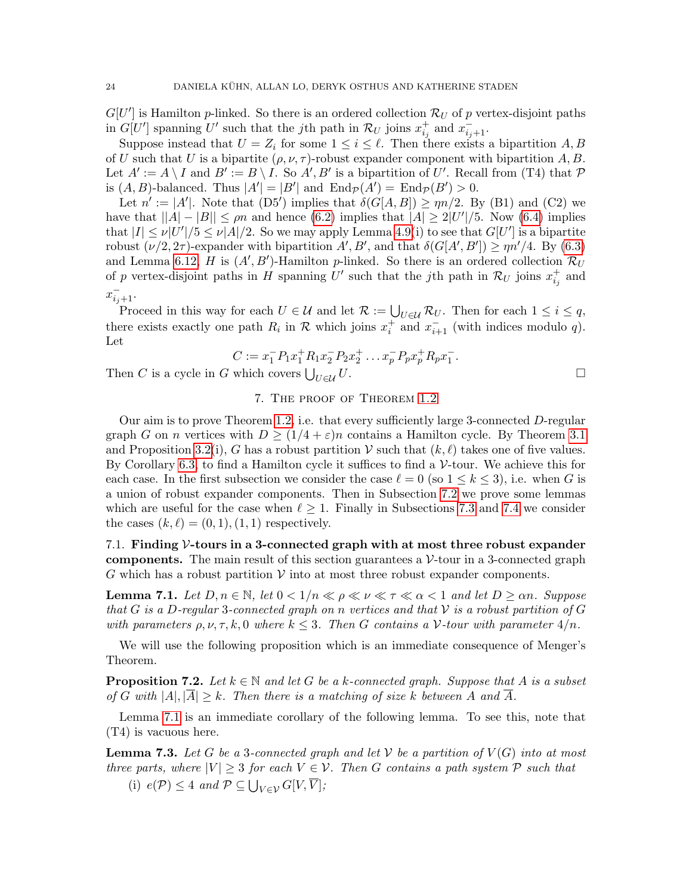$G[U']$  is Hamilton p-linked. So there is an ordered collection  $\mathcal{R}_U$  of p vertex-disjoint paths in  $G[U']$  spanning U' such that the jth path in  $\mathcal{R}_U$  joins  $x_{i_j}^+$  and  $x_{i_j+1}^-$ .

Suppose instead that  $U = Z_i$  for some  $1 \leq i \leq \ell$ . Then there exists a bipartition A, B of U such that U is a bipartite  $(\rho, \nu, \tau)$ -robust expander component with bipartition A, B. Let  $A' := A \setminus I$  and  $B' := B \setminus I$ . So  $A', B'$  is a bipartition of U'. Recall from (T4) that P is  $(A, B)$ -balanced. Thus  $|A'| = |B'|$  and  $\text{End}_{\mathcal{P}}(A') = \text{End}_{\mathcal{P}}(B') > 0$ .

Let  $n' := |A'|$ . Note that  $(D5')$  implies that  $\delta(G[A, B]) \ge \eta n/2$ . By (B1) and (C2) we have that  $||A| - |B|| \le \rho n$  and hence [\(6.2\)](#page-22-2) implies that  $|A| \ge 2|U'|/5$ . Now [\(6.4\)](#page-22-0) implies that  $|I| \le \nu |U'|/5 \le \nu |A|/2$ . So we may apply Lemma [4.9\(](#page-11-0)i) to see that  $G[U']$  is a bipartite robust  $(\nu/2, 2\tau)$ -expander with bipartition  $A', B'$ , and that  $\delta(G[A', B']) \ge \eta n'/4$ . By [\(6.3\)](#page-22-1) and Lemma [6.12,](#page-21-0) H is  $(A', B')$ -Hamilton p-linked. So there is an ordered collection  $\mathcal{R}_U$ of p vertex-disjoint paths in H spanning U' such that the jth path in  $\mathcal{R}_U$  joins  $x_{i_j}^+$  and −

$$
x_{i_j+1}^-.
$$

Proceed in this way for each  $U \in \mathcal{U}$  and let  $\mathcal{R} := \bigcup_{U \in \mathcal{U}} \mathcal{R}_U$ . Then for each  $1 \leq i \leq q$ , there exists exactly one path  $R_i$  in  $R$  which joins  $x_i^+$  and  $x_{i+1}^-$  (with indices modulo q). Let

$$
C := x_1^- P_1 x_1^+ R_1 x_2^- P_2 x_2^+ \dots x_p^- P_p x_p^+ R_p x_1^-.
$$

Then C is a cycle in G which covers  $\bigcup_{U \in \mathcal{U}} U$ .  $U\in\mathcal{U}$   $U$ .

# 7. The proof of Theorem [1.2](#page-3-0)

<span id="page-23-0"></span>Our aim is to prove Theorem [1.2,](#page-3-0) i.e. that every sufficiently large 3-connected D-regular graph G on n vertices with  $D \geq (1/4 + \varepsilon)n$  contains a Hamilton cycle. By Theorem [3.1](#page-6-0) and Proposition [3.2\(](#page-7-1)i), G has a robust partition V such that  $(k, \ell)$  takes one of five values. By Corollary [6.3,](#page-17-1) to find a Hamilton cycle it suffices to find a  $\mathcal{V}\text{-}$  tour. We achieve this for each case. In the first subsection we consider the case  $\ell = 0$  (so  $1 \leq k \leq 3$ ), i.e. when G is a union of robust expander components. Then in Subsection [7.2](#page-24-0) we prove some lemmas which are useful for the case when  $\ell \geq 1$ . Finally in Subsections [7.3](#page-27-0) and [7.4](#page-28-0) we consider the cases  $(k, \ell) = (0, 1), (1, 1)$  respectively.

7.1. Finding V-tours in a 3-connected graph with at most three robust expander **components.** The main result of this section guarantees a  $V$ -tour in a 3-connected graph G which has a robust partition  $V$  into at most three robust expander components.

<span id="page-23-1"></span>**Lemma 7.1.** Let  $D, n \in \mathbb{N}$ , let  $0 < 1/n \ll \rho \ll \nu \ll \tau \ll \alpha < 1$  and let  $D \geq \alpha n$ . Suppose that G is a D-regular 3-connected graph on n vertices and that  $\mathcal V$  is a robust partition of G with parameters  $\rho, \nu, \tau, k, 0$  where  $k \leq 3$ . Then G contains a V-tour with parameter  $4/n$ .

We will use the following proposition which is an immediate consequence of Menger's Theorem.

<span id="page-23-2"></span>**Proposition 7.2.** Let  $k \in \mathbb{N}$  and let G be a k-connected graph. Suppose that A is a subset of G with  $|A|, |\overline{A}| \geq k$ . Then there is a matching of size k between A and  $\overline{A}$ .

Lemma [7.1](#page-23-1) is an immediate corollary of the following lemma. To see this, note that (T4) is vacuous here.

**Lemma 7.3.** Let G be a 3-connected graph and let V be a partition of  $V(G)$  into at most three parts, where  $|V| \geq 3$  for each  $V \in V$ . Then G contains a path system P such that

(i)  $e(\mathcal{P}) \leq 4$  and  $\mathcal{P} \subseteq \bigcup_{V \in \mathcal{V}} G[V, \overline{V}];$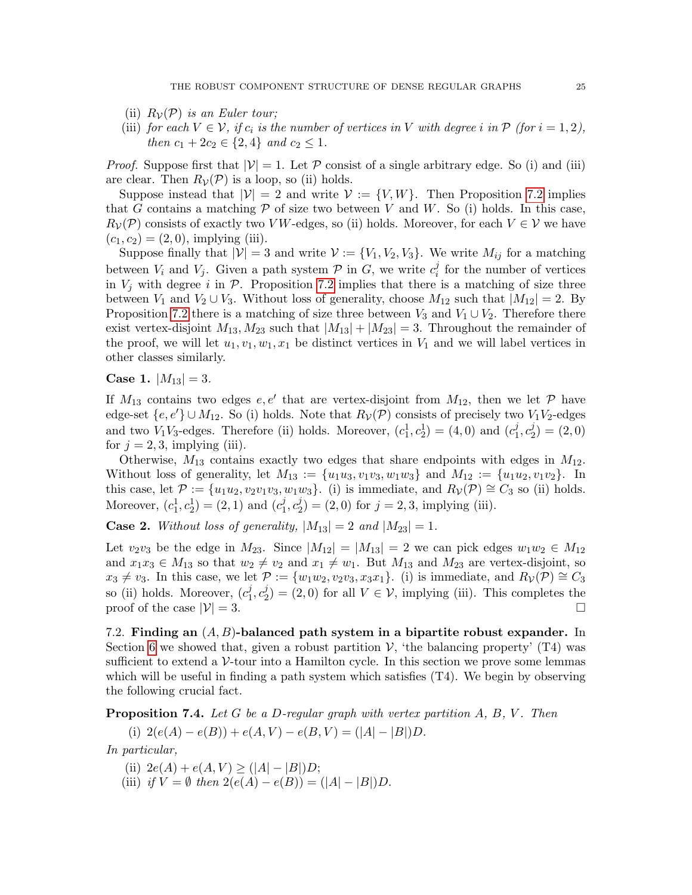- (ii)  $R_{\mathcal{V}}(\mathcal{P})$  is an Euler tour;
- (iii) for each  $V \in \mathcal{V}$ , if  $c_i$  is the number of vertices in V with degree i in  $\mathcal{P}$  (for  $i = 1, 2$ ), then  $c_1 + 2c_2 \in \{2, 4\}$  and  $c_2 \leq 1$ .

*Proof.* Suppose first that  $|\mathcal{V}| = 1$ . Let  $\mathcal{P}$  consist of a single arbitrary edge. So (i) and (iii) are clear. Then  $R_{\mathcal{V}}(\mathcal{P})$  is a loop, so (ii) holds.

Suppose instead that  $|\mathcal{V}| = 2$  and write  $\mathcal{V} := \{V, W\}$ . Then Proposition [7.2](#page-23-2) implies that G contains a matching  $\mathcal P$  of size two between V and W. So (i) holds. In this case,  $R_{\mathcal{V}}(\mathcal{P})$  consists of exactly two VW-edges, so (ii) holds. Moreover, for each  $V \in \mathcal{V}$  we have  $(c_1, c_2) = (2, 0)$ , implying (iii).

Suppose finally that  $|V| = 3$  and write  $V := \{V_1, V_2, V_3\}$ . We write  $M_{ij}$  for a matching between  $V_i$  and  $V_j$ . Given a path system  $P$  in  $G$ , we write  $c_i^j$  $i$  for the number of vertices in  $V_j$  with degree i in  $\mathcal{P}$ . Proposition [7.2](#page-23-2) implies that there is a matching of size three between  $V_1$  and  $V_2 \cup V_3$ . Without loss of generality, choose  $M_{12}$  such that  $|M_{12}| = 2$ . By Proposition [7.2](#page-23-2) there is a matching of size three between  $V_3$  and  $V_1 \cup V_2$ . Therefore there exist vertex-disjoint  $M_{13}$ ,  $M_{23}$  such that  $|M_{13}| + |M_{23}| = 3$ . Throughout the remainder of the proof, we will let  $u_1, v_1, w_1, x_1$  be distinct vertices in  $V_1$  and we will label vertices in other classes similarly.

Case 1.  $|M_{13}| = 3$ .

If  $M_{13}$  contains two edges  $e, e'$  that are vertex-disjoint from  $M_{12}$ , then we let  $P$  have edge-set  $\{e, e'\} \cup M_{12}$ . So (i) holds. Note that  $R_{\mathcal{V}}(\mathcal{P})$  consists of precisely two  $V_1V_2$ -edges and two  $V_1V_3$ -edges. Therefore (ii) holds. Moreover,  $(c_1^1, c_2^1) = (4, 0)$  and  $(c_1^j, c_2^1)$  $\frac{j}{1}, c_2^j$  $_{2}^{j})=(2,0)$ for  $j = 2, 3$ , implying (iii).

Otherwise,  $M_{13}$  contains exactly two edges that share endpoints with edges in  $M_{12}$ . Without loss of generality, let  $M_{13} := \{u_1u_3, v_1v_3, w_1w_3\}$  and  $M_{12} := \{u_1u_2, v_1v_2\}$ . In this case, let  $\mathcal{P} := \{u_1u_2, v_2v_1v_3, w_1w_3\}$ . (i) is immediate, and  $R_{\mathcal{V}}(\mathcal{P}) \cong C_3$  so (ii) holds. Moreover,  $(c_1^1, c_2^1) = (2, 1)$  and  $(c_1^j)$  $j_1^j, c_2^j$  $2<sup>j</sup>_{2}) = (2,0)$  for  $j = 2,3$ , implying (iii).

**Case 2.** Without loss of generality,  $|M_{13}| = 2$  and  $|M_{23}| = 1$ .

Let  $v_2v_3$  be the edge in  $M_{23}$ . Since  $|M_{12}| = |M_{13}| = 2$  we can pick edges  $w_1w_2 \in M_{12}$ and  $x_1x_3 \in M_{13}$  so that  $w_2 \neq v_2$  and  $x_1 \neq w_1$ . But  $M_{13}$  and  $M_{23}$  are vertex-disjoint, so  $x_3 \neq v_3$ . In this case, we let  $\mathcal{P} := \{w_1w_2, v_2v_3, x_3x_1\}$ . (i) is immediate, and  $R_{\mathcal{V}}(\mathcal{P}) \cong C_3$ so (ii) holds. Moreover,  $(c_1^j)$  $j_1^j, c_2^j$  $\mathcal{L}_2^{\jmath}$  = (2,0) for all  $V \in \mathcal{V}$ , implying (iii). This completes the proof of the case  $|\mathcal{V}| = 3$ .

<span id="page-24-0"></span>7.2. Finding an  $(A, B)$ -balanced path system in a bipartite robust expander. In Section [6](#page-16-0) we showed that, given a robust partition  $V$ , 'the balancing property' (T4) was sufficient to extend a  $\mathcal V$ -tour into a Hamilton cycle. In this section we prove some lemmas which will be useful in finding a path system which satisfies  $(T<sub>4</sub>)$ . We begin by observing the following crucial fact.

<span id="page-24-1"></span>**Proposition 7.4.** Let G be a D-regular graph with vertex partition  $A, B, V$ . Then

(i) 
$$
2(e(A) - e(B)) + e(A, V) - e(B, V) = (|A| - |B|)D.
$$

In particular,

- (ii)  $2e(A) + e(A, V) > (|A| |B|)D;$
- (iii) if  $V = \emptyset$  then  $2(e(A) e(B)) = (|A| |B|)D$ .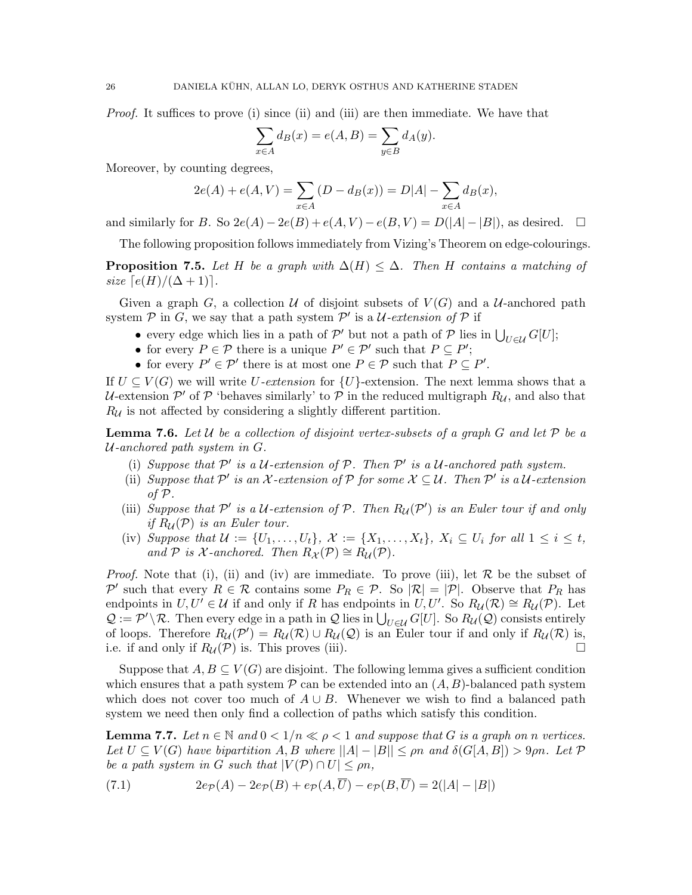Proof. It suffices to prove (i) since (ii) and (iii) are then immediate. We have that

$$
\sum_{x \in A} d_B(x) = e(A, B) = \sum_{y \in B} d_A(y).
$$

Moreover, by counting degrees,

$$
2e(A) + e(A, V) = \sum_{x \in A} (D - d_B(x)) = D|A| - \sum_{x \in A} d_B(x),
$$

and similarly for B. So  $2e(A) - 2e(B) + e(A, V) - e(B, V) = D(|A| - |B|)$ , as desired.  $\square$ 

The following proposition follows immediately from Vizing's Theorem on edge-colourings.

<span id="page-25-3"></span>**Proposition 7.5.** Let H be a graph with  $\Delta(H) \leq \Delta$ . Then H contains a matching of size  $\lceil e(H)/(\Delta + 1) \rceil$ .

Given a graph G, a collection U of disjoint subsets of  $V(G)$  and a U-anchored path system  $P$  in G, we say that a path system  $P'$  is a U-extension of P if

- every edge which lies in a path of  $\mathcal{P}'$  but not a path of  $\mathcal{P}$  lies in  $\bigcup_{U \in \mathcal{U}} G[U]$ ;
- for every  $P \in \mathcal{P}$  there is a unique  $P' \in \mathcal{P}'$  such that  $P \subseteq P'$ ;
- for every  $P' \in \mathcal{P}'$  there is at most one  $P \in \mathcal{P}$  such that  $P \subseteq P'$ .

If  $U \subseteq V(G)$  we will write U-extension for  $\{U\}$ -extension. The next lemma shows that a U-extension  $\mathcal{P}'$  of  $\mathcal P$  'behaves similarly' to  $\mathcal P$  in the reduced multigraph  $R_{\mathcal{U}}$ , and also that  $R_U$  is not affected by considering a slightly different partition.

<span id="page-25-2"></span>**Lemma 7.6.** Let U be a collection of disjoint vertex-subsets of a graph G and let P be a  $U$ -anchored path system in  $G$ .

- (i) Suppose that  $\mathcal{P}'$  is a U-extension of  $\mathcal{P}$ . Then  $\mathcal{P}'$  is a U-anchored path system.
- (ii) Suppose that  $\mathcal{P}'$  is an X-extension of  $\mathcal{P}$  for some  $\mathcal{X} \subseteq \mathcal{U}$ . Then  $\mathcal{P}'$  is a  $\mathcal{U}$ -extension of P.
- (iii) Suppose that  $\mathcal{P}'$  is a U-extension of  $\mathcal{P}$ . Then  $R_{\mathcal{U}}(\mathcal{P}')$  is an Euler tour if and only if  $R_u(\mathcal{P})$  is an Euler tour.
- (iv) Suppose that  $\mathcal{U} := \{U_1, \ldots, U_t\}, \mathcal{X} := \{X_1, \ldots, X_t\}, \ X_i \subseteq U_i \ \text{for all} \ 1 \leq i \leq t,$ and P is X-anchored. Then  $R_{\mathcal{X}}(\mathcal{P}) \cong R_{\mathcal{U}}(\mathcal{P})$ .

*Proof.* Note that (i), (ii) and (iv) are immediate. To prove (iii), let  $\mathcal R$  be the subset of P' such that every  $R \in \mathcal{R}$  contains some  $P_R \in \mathcal{P}$ . So  $|\mathcal{R}| = |\mathcal{P}|$ . Observe that  $P_R$  has endpoints in  $U, U' \in \mathcal{U}$  if and only if R has endpoints in  $U, U'$ . So  $R_{\mathcal{U}}(\mathcal{R}) \cong R_{\mathcal{U}}(\mathcal{P})$ . Let  $\mathcal{Q} := \mathcal{P}' \setminus \mathcal{R}$ . Then every edge in a path in  $\mathcal{Q}$  lies in  $\bigcup_{U \in \mathcal{U}} G[U]$ . So  $R_{\mathcal{U}}(\mathcal{Q})$  consists entirely of loops. Therefore  $R_{\mathcal{U}}(\mathcal{P}') = R_{\mathcal{U}}(\mathcal{R}) \cup R_{\mathcal{U}}(\mathcal{Q})$  is an Euler tour if and only if  $R_{\mathcal{U}}(\mathcal{R})$  is, i.e. if and only if  $R_U(\mathcal{P})$  is. This proves (iii).

Suppose that  $A, B \subseteq V(G)$  are disjoint. The following lemma gives a sufficient condition which ensures that a path system  $\mathcal P$  can be extended into an  $(A, B)$ -balanced path system which does not cover too much of  $A \cup B$ . Whenever we wish to find a balanced path system we need then only find a collection of paths which satisfy this condition.

<span id="page-25-1"></span>**Lemma 7.7.** Let  $n \in \mathbb{N}$  and  $0 < 1/n \ll \rho < 1$  and suppose that G is a graph on n vertices. Let  $U \subseteq V(G)$  have bipartition  $A, B$  where  $||A| - |B|| \leq \rho n$  and  $\delta(G[A, B]) > 9\rho n$ . Let  $\mathcal P$ be a path system in G such that  $|V(\mathcal{P}) \cap U| \leq \rho n$ ,

<span id="page-25-0"></span>(7.1) 
$$
2e_{\mathcal{P}}(A) - 2e_{\mathcal{P}}(B) + e_{\mathcal{P}}(A,\overline{U}) - e_{\mathcal{P}}(B,\overline{U}) = 2(|A| - |B|)
$$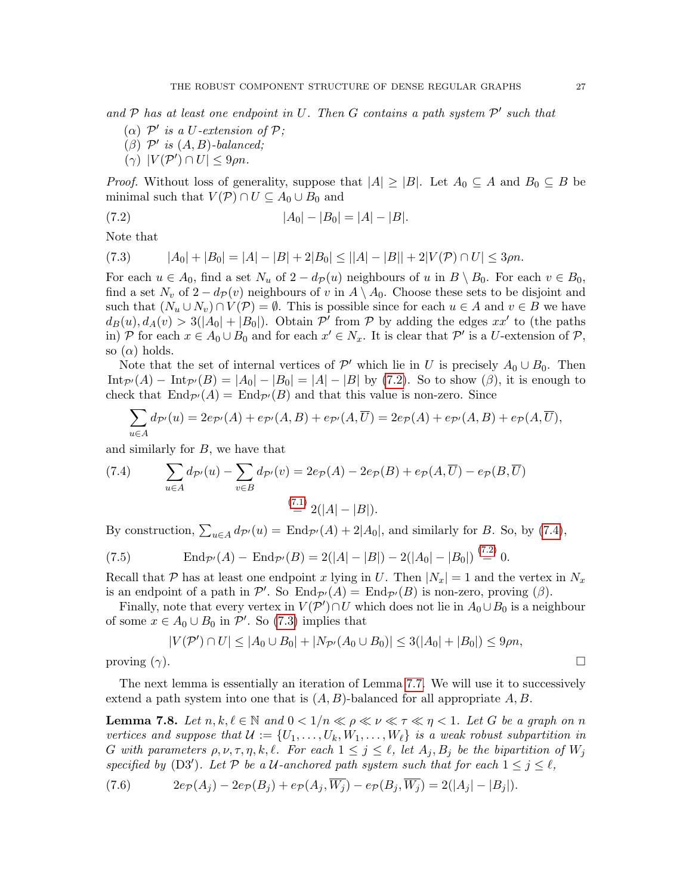and  $P$  has at least one endpoint in U. Then G contains a path system  $P'$  such that

- ( $\alpha$ )  $\mathcal{P}'$  is a U-extension of  $\mathcal{P}$ ;
- $(\beta)$   $\mathcal{P}'$  is  $(A, B)$ -balanced;
- <span id="page-26-0"></span> $(\gamma)$   $|V(\mathcal{P}') \cap U| \leq 9\rho n$ .

*Proof.* Without loss of generality, suppose that  $|A| \geq |B|$ . Let  $A_0 \subseteq A$  and  $B_0 \subseteq B$  be minimal such that  $V(\mathcal{P}) \cap U \subseteq A_0 \cup B_0$  and

$$
(7.2) \t\t |A_0| - |B_0| = |A| - |B|.
$$

Note that

<span id="page-26-2"></span>
$$
(7.3) \qquad |A_0| + |B_0| = |A| - |B| + 2|B_0| \le ||A| - |B|| + 2|V(\mathcal{P}) \cap U| \le 3\rho n.
$$

For each  $u \in A_0$ , find a set  $N_u$  of  $2 - d_{\mathcal{P}}(u)$  neighbours of u in  $B \setminus B_0$ . For each  $v \in B_0$ , find a set  $N_v$  of  $2 - d_p(v)$  neighbours of v in  $A \setminus A_0$ . Choose these sets to be disjoint and such that  $(N_u \cup N_v) \cap V(\mathcal{P}) = \emptyset$ . This is possible since for each  $u \in A$  and  $v \in B$  we have  $d_B(u), d_A(v) > 3(|A_0| + |B_0|)$ . Obtain  $\mathcal{P}'$  from  $\mathcal{P}$  by adding the edges  $xx'$  to (the paths in) P for each  $x \in A_0 \cup B_0$  and for each  $x' \in N_x$ . It is clear that P' is a U-extension of P, so  $(\alpha)$  holds.

Note that the set of internal vertices of  $\mathcal{P}'$  which lie in U is precisely  $A_0 \cup B_0$ . Then  $\text{Int}_{\mathcal{P}}(A) - \text{Int}_{\mathcal{P}}(B) = |A_0| - |B_0| = |A| - |B|$  by [\(7.2\)](#page-26-0). So to show ( $\beta$ ), it is enough to check that  $\text{End}_{\mathcal{P}}(A) = \text{End}_{\mathcal{P}}(B)$  and that this value is non-zero. Since

$$
\sum_{u\in A} d_{\mathcal{P}'}(u) = 2e_{\mathcal{P}'}(A) + e_{\mathcal{P}'}(A,B) + e_{\mathcal{P}'}(A,\overline{U}) = 2e_{\mathcal{P}}(A) + e_{\mathcal{P}'}(A,B) + e_{\mathcal{P}}(A,\overline{U}),
$$

and similarly for B, we have that

<span id="page-26-1"></span>(7.4) 
$$
\sum_{u \in A} d_{\mathcal{P}'}(u) - \sum_{v \in B} d_{\mathcal{P}'}(v) = 2e_{\mathcal{P}}(A) - 2e_{\mathcal{P}}(B) + e_{\mathcal{P}}(A, \overline{U}) - e_{\mathcal{P}}(B, \overline{U})
$$

$$
\stackrel{(7.1)}{=} 2(|A| - |B|).
$$

By construction,  $\sum_{u \in A} d_{\mathcal{P}'}(u) = \text{End}_{\mathcal{P}'}(A) + 2|A_0|$ , and similarly for B. So, by [\(7.4\)](#page-26-1),

(7.5) 
$$
\text{End}_{\mathcal{P}'}(A) - \text{End}_{\mathcal{P}'}(B) = 2(|A| - |B|) - 2(|A_0| - |B_0|) \stackrel{(7.2)}{=} 0.
$$

Recall that P has at least one endpoint x lying in U. Then  $|N_x| = 1$  and the vertex in  $N_x$ is an endpoint of a path in  $\mathcal{P}'$ . So  $\text{End}_{\mathcal{P}'}(A) = \text{End}_{\mathcal{P}'}(B)$  is non-zero, proving  $(\beta)$ .

Finally, note that every vertex in  $V(\mathcal{P}') \cap U$  which does not lie in  $A_0 \cup B_0$  is a neighbour of some  $x \in A_0 \cup B_0$  in  $\mathcal{P}'$ . So [\(7.3\)](#page-26-2) implies that

$$
|V(\mathcal{P}') \cap U| \le |A_0 \cup B_0| + |N_{\mathcal{P}'}(A_0 \cup B_0)| \le 3(|A_0| + |B_0|) \le 9\rho n,
$$
  
proving  $(\gamma)$ .

The next lemma is essentially an iteration of Lemma [7.7.](#page-25-1) We will use it to successively extend a path system into one that is  $(A, B)$ -balanced for all appropriate  $A, B$ .

<span id="page-26-4"></span>**Lemma 7.8.** Let  $n, k, \ell \in \mathbb{N}$  and  $0 < 1/n \ll \rho \ll \nu \ll \tau \ll \eta < 1$ . Let G be a graph on n vertices and suppose that  $\mathcal{U} := \{U_1, \ldots, U_k, W_1, \ldots, W_\ell\}$  is a weak robust subpartition in G with parameters  $\rho, \nu, \tau, \eta, k, \ell$ . For each  $1 \leq j \leq \ell$ , let  $A_j, B_j$  be the bipartition of  $W_j$ specified by (D3'). Let P be a U-anchored path system such that for each  $1 \leq j \leq \ell$ ,

<span id="page-26-3"></span>
$$
(7.6) \qquad \qquad 2e_{\mathcal{P}}(A_j) - 2e_{\mathcal{P}}(B_j) + e_{\mathcal{P}}(A_j, \overline{W_j}) - e_{\mathcal{P}}(B_j, \overline{W_j}) = 2(|A_j| - |B_j|).
$$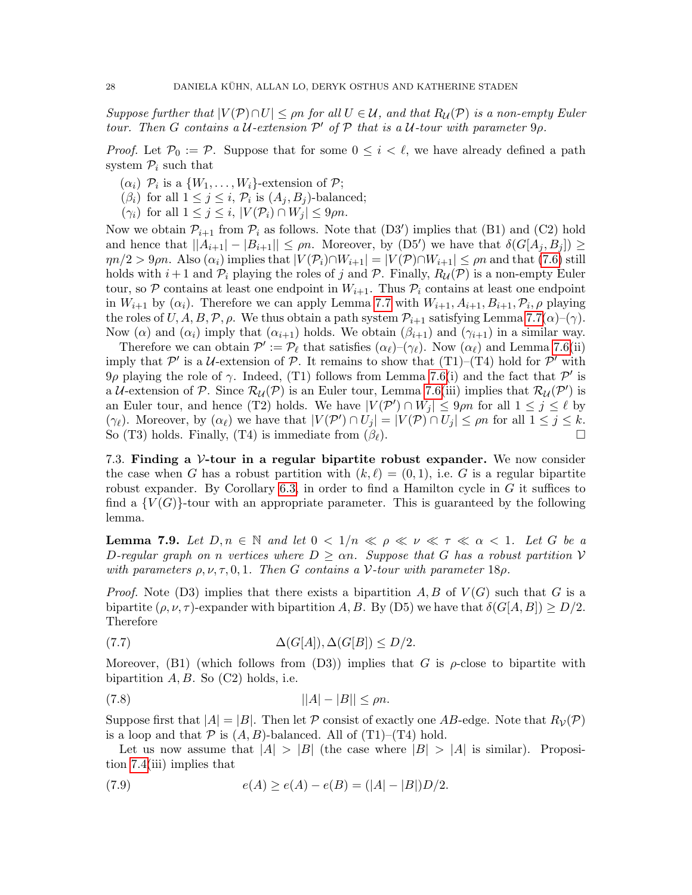Suppose further that  $|V(\mathcal{P}) \cap U| \leq \rho n$  for all  $U \in \mathcal{U}$ , and that  $R_{\mathcal{U}}(\mathcal{P})$  is a non-empty Euler tour. Then G contains a U-extension  $\mathcal{P}'$  of  $\mathcal P$  that is a U-tour with parameter  $9\rho$ .

*Proof.* Let  $\mathcal{P}_0 := \mathcal{P}$ . Suppose that for some  $0 \leq i \leq \ell$ , we have already defined a path system  $\mathcal{P}_i$  such that

- $(\alpha_i)$   $\mathcal{P}_i$  is a  $\{W_1, \ldots, W_i\}$ -extension of  $\mathcal{P};$
- $(\beta_i)$  for all  $1 \leq j \leq i$ ,  $\mathcal{P}_i$  is  $(A_j, B_j)$ -balanced;
- $(\gamma_i)$  for all  $1 \leq j \leq i$ ,  $|V(\mathcal{P}_i) \cap W_j| \leq 9\rho n$ .

Now we obtain  $\mathcal{P}_{i+1}$  from  $\mathcal{P}_i$  as follows. Note that  $(D3')$  implies that  $(B1)$  and  $(C2)$  hold and hence that  $||A_{i+1}|-|B_{i+1}|| \leq \rho n$ . Moreover, by (D5') we have that  $\delta(G[A_j, B_j]) \geq$  $\eta n/2 > 9\rho n$ . Also  $(\alpha_i)$  implies that  $|V(\mathcal{P}_i) \cap W_{i+1}| = |V(\mathcal{P}) \cap W_{i+1}| \leq \rho n$  and that [\(7.6\)](#page-26-3) still holds with  $i+1$  and  $\mathcal{P}_i$  playing the roles of j and  $\mathcal{P}$ . Finally,  $R_{\mathcal{U}}(\mathcal{P})$  is a non-empty Euler tour, so  $P$  contains at least one endpoint in  $W_{i+1}$ . Thus  $P_i$  contains at least one endpoint in  $W_{i+1}$  by  $(\alpha_i)$ . Therefore we can apply Lemma [7.7](#page-25-1) with  $W_{i+1}, A_{i+1}, B_{i+1}, \mathcal{P}_i, \rho$  playing the roles of  $U, A, B, \mathcal{P}, \rho$ . We thus obtain a path system  $\mathcal{P}_{i+1}$  satisfying Lemma [7.7\(](#page-25-1) $\alpha$ )–( $\gamma$ ). Now ( $\alpha$ ) and ( $\alpha_i$ ) imply that ( $\alpha_{i+1}$ ) holds. We obtain ( $\beta_{i+1}$ ) and ( $\gamma_{i+1}$ ) in a similar way.

Therefore we can obtain  $\mathcal{P}' := \mathcal{P}_\ell$  that satisfies  $(\alpha_\ell)$ – $(\gamma_\ell)$ . Now  $(\alpha_\ell)$  and Lemma [7.6\(](#page-25-2)ii) imply that  $\mathcal{P}'$  is a U-extension of  $\mathcal{P}$ . It remains to show that  $(T1)$ – $(T4)$  hold for  $\mathcal{P}'$  with 9ρ playing the role of  $\gamma$ . Indeed, (T1) follows from Lemma [7.6\(](#page-25-2)i) and the fact that P' is a U-extension of P. Since  $\mathcal{R}_{\mathcal{U}}(\mathcal{P})$  is an Euler tour, Lemma [7.6\(](#page-25-2)iii) implies that  $\mathcal{R}_{\mathcal{U}}(\mathcal{P}')$  is an Euler tour, and hence (T2) holds. We have  $|V(\mathcal{P}') \cap W_j| \leq 9\rho n$  for all  $1 \leq j \leq \ell$  by  $(\gamma_{\ell})$ . Moreover, by  $(\alpha_{\ell})$  we have that  $|V(\mathcal{P}') \cap U_j| = |V(\mathcal{P}) \cap U_j| \le \rho n$  for all  $1 \le j \le k$ . So (T3) holds. Finally, (T4) is immediate from  $(\beta_{\ell})$ .

<span id="page-27-0"></span>7.3. Finding a  $V$ -tour in a regular bipartite robust expander. We now consider the case when G has a robust partition with  $(k, \ell) = (0, 1)$ , i.e. G is a regular bipartite robust expander. By Corollary [6.3,](#page-17-1) in order to find a Hamilton cycle in  $G$  it suffices to find a  ${V(G)}$ -tour with an appropriate parameter. This is guaranteed by the following lemma.

<span id="page-27-4"></span>**Lemma 7.9.** Let  $D, n \in \mathbb{N}$  and let  $0 < 1/n \ll \rho \ll \nu \ll \tau \ll \alpha < 1$ . Let G be a D-regular graph on n vertices where  $D \geq \alpha n$ . Suppose that G has a robust partition V with parameters  $\rho, \nu, \tau, 0, 1$ . Then G contains a V-tour with parameter 18 $\rho$ .

*Proof.* Note (D3) implies that there exists a bipartition  $A, B$  of  $V(G)$  such that G is a bipartite  $(\rho, \nu, \tau)$ -expander with bipartition A, B. By (D5) we have that  $\delta(G[A, B]) \ge D/2$ . Therefore

<span id="page-27-1"></span>
$$
\Delta(G[A]), \Delta(G[B]) \le D/2.
$$

Moreover, (B1) (which follows from  $(D3)$ ) implies that G is  $\rho$ -close to bipartite with bipartition  $A, B$ . So  $(C2)$  holds, i.e.

<span id="page-27-3"></span>
$$
(7.8) \t\t\t ||A|-|B|| \le \rho n.
$$

Suppose first that  $|A| = |B|$ . Then let P consist of exactly one AB-edge. Note that  $R_{\mathcal{V}}(\mathcal{P})$ is a loop and that  $P$  is  $(A, B)$ -balanced. All of  $(T1)$ – $(T4)$  hold.

Let us now assume that  $|A| > |B|$  (the case where  $|B| > |A|$  is similar). Proposition [7.4\(](#page-24-1)iii) implies that

<span id="page-27-2"></span>(7.9) 
$$
e(A) \ge e(A) - e(B) = (|A| - |B|)D/2.
$$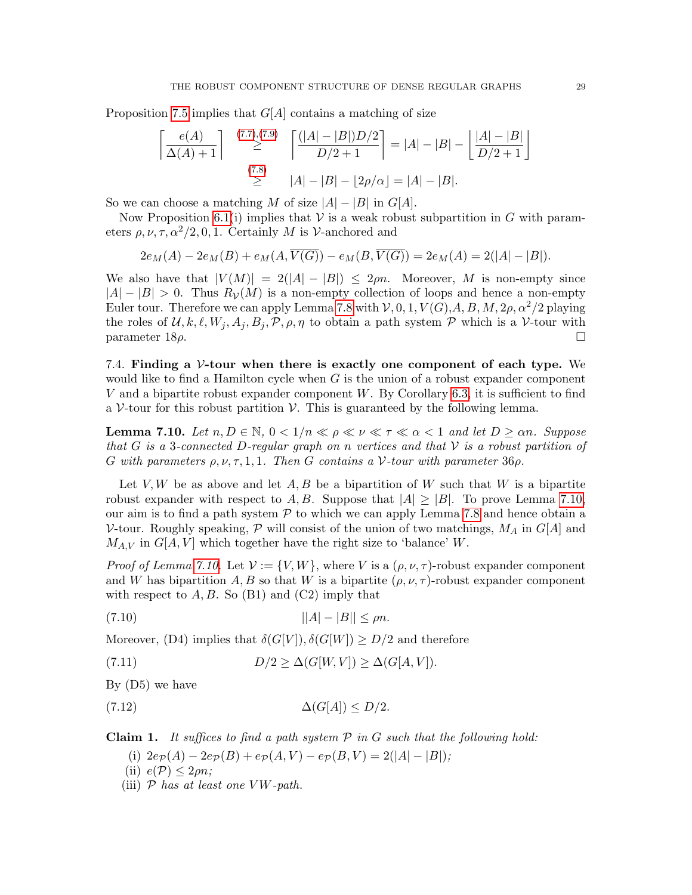Proposition [7.5](#page-25-3) implies that  $G[A]$  contains a matching of size

$$
\left\lceil \frac{e(A)}{\Delta(A) + 1} \right\rceil \stackrel{(7.7),(7.9)}{\geq} \left\lceil \frac{(|A| - |B|)D/2}{D/2 + 1} \right\rceil = |A| - |B| - \left\lfloor \frac{|A| - |B|}{D/2 + 1} \right\rfloor
$$
\n
$$
\stackrel{(7.8)}{\geq} |A| - |B| - \left\lfloor 2\rho/\alpha \right\rfloor = |A| - |B|.
$$

So we can choose a matching M of size  $|A| - |B|$  in  $G[A]$ .

Now Proposition [6.1\(](#page-16-1)i) implies that  $V$  is a weak robust subpartition in G with parameters  $\rho, \nu, \tau, \alpha^2/2, 0, 1$ . Certainly M is V-anchored and

$$
2e_M(A) - 2e_M(B) + e_M(A, \overline{V(G)}) - e_M(B, \overline{V(G)}) = 2e_M(A) = 2(|A| - |B|).
$$

We also have that  $|V(M)| = 2(|A| - |B|) \le 2\rho n$ . Moreover, M is non-empty since  $|A| - |B| > 0$ . Thus  $R_V(M)$  is a non-empty collection of loops and hence a non-empty Euler tour. Therefore we can apply Lemma [7.8](#page-26-4) with  $V, 0, 1, V(G), A, B, M, 2\rho, \alpha^2/2$  playing the roles of  $\mathcal{U}, k, \ell, W_j, A_j, B_j, \mathcal{P}, \rho, \eta$  to obtain a path system  $\mathcal{P}$  which is a V-tour with parameter  $18\rho$ .

<span id="page-28-0"></span>7.4. Finding a V-tour when there is exactly one component of each type. We would like to find a Hamilton cycle when  $G$  is the union of a robust expander component V and a bipartite robust expander component W. By Corollary [6.3,](#page-17-1) it is sufficient to find a  $V$ -tour for this robust partition  $V$ . This is guaranteed by the following lemma.

<span id="page-28-1"></span>**Lemma 7.10.** Let  $n, D \in \mathbb{N}$ ,  $0 < 1/n \ll \rho \ll \nu \ll \tau \ll \alpha < 1$  and let  $D \geq \alpha n$ . Suppose that G is a 3-connected D-regular graph on n vertices and that V is a robust partition of G with parameters  $\rho, \nu, \tau, 1, 1$ . Then G contains a V-tour with parameter 36 $\rho$ .

Let  $V, W$  be as above and let  $A, B$  be a bipartition of W such that W is a bipartite robust expander with respect to A, B. Suppose that  $|A| \geq |B|$ . To prove Lemma [7.10,](#page-28-1) our aim is to find a path system  $P$  to which we can apply Lemma [7.8](#page-26-4) and hence obtain a V-tour. Roughly speaking,  $\mathcal P$  will consist of the union of two matchings,  $M_A$  in  $G[A]$  and  $M_{A,V}$  in  $G[A, V]$  which together have the right size to 'balance' W.

*Proof of Lemma [7.10.](#page-28-1)* Let  $\mathcal{V} := \{V, W\}$ , where V is a  $(\rho, \nu, \tau)$ -robust expander component and W has bipartition A, B so that W is a bipartite  $(\rho, \nu, \tau)$ -robust expander component with respect to  $A, B$ . So (B1) and (C2) imply that

<span id="page-28-3"></span>(7.10) 
$$
||A| - |B|| \le \rho n.
$$

Moreover, (D4) implies that  $\delta(G[V]), \delta(G[W]) \geq D/2$  and therefore

<span id="page-28-2"></span>(7.11) 
$$
D/2 \geq \Delta(G[W, V]) \geq \Delta(G[A, V]).
$$

By (D5) we have

$$
\Delta(G[A]) \le D/2.
$$

**Claim 1.** It suffices to find a path system  $P$  in  $G$  such that the following hold:

- <span id="page-28-4"></span>(i)  $2e_{\mathcal{P}}(A) - 2e_{\mathcal{P}}(B) + e_{\mathcal{P}}(A, V) - e_{\mathcal{P}}(B, V) = 2(|A| - |B|);$
- (ii)  $e(\mathcal{P}) \leq 2\rho n$ ;
- (iii)  $P$  has at least one  $V W$ -path.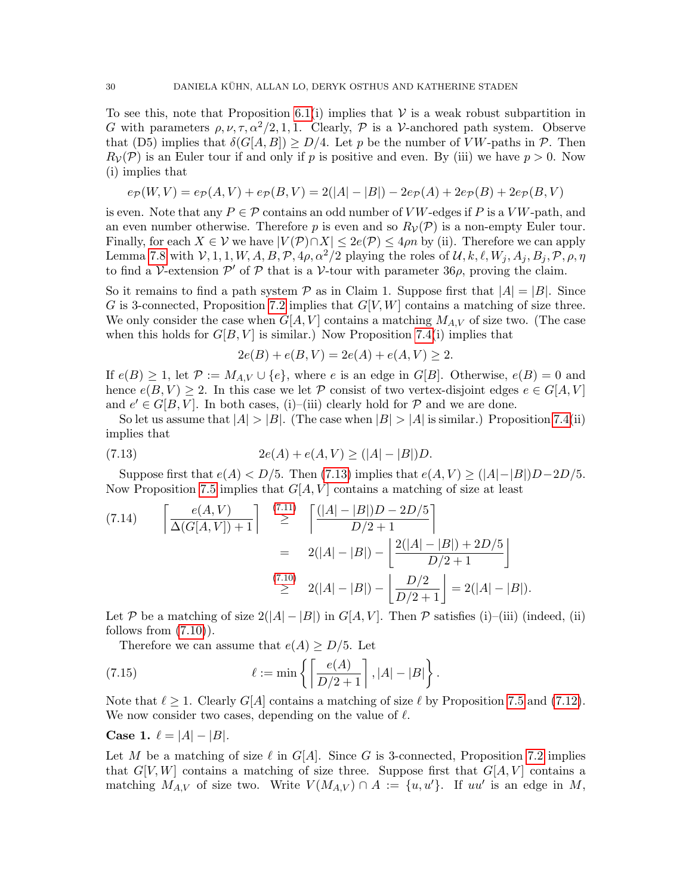To see this, note that Proposition [6.1\(](#page-16-1)i) implies that  $\mathcal V$  is a weak robust subpartition in G with parameters  $\rho, \nu, \tau, \alpha^2/2, 1, 1$ . Clearly,  $P$  is a V-anchored path system. Observe that (D5) implies that  $\delta(G[A, B]) \ge D/4$ . Let p be the number of VW-paths in P. Then  $R_{\mathcal{V}}(\mathcal{P})$  is an Euler tour if and only if p is positive and even. By (iii) we have  $p > 0$ . Now (i) implies that

$$
e_{\mathcal{P}}(W,V) = e_{\mathcal{P}}(A,V) + e_{\mathcal{P}}(B,V) = 2(|A| - |B|) - 2e_{\mathcal{P}}(A) + 2e_{\mathcal{P}}(B) + 2e_{\mathcal{P}}(B,V)
$$

is even. Note that any  $P \in \mathcal{P}$  contains an odd number of VW-edges if P is a VW-path, and an even number otherwise. Therefore p is even and so  $R_{\mathcal{V}}(\mathcal{P})$  is a non-empty Euler tour. Finally, for each  $X \in V$  we have  $|V(\mathcal{P}) \cap X| \leq 2e(\mathcal{P}) \leq 4\rho n$  by (ii). Therefore we can apply Lemma [7.8](#page-26-4) with  $V, 1, 1, W, A, B, \mathcal{P}, 4\rho, \alpha^2/2$  playing the roles of  $\mathcal{U}, k, \ell, W_j, A_j, B_j, \mathcal{P}, \rho, \eta$ to find a V-extension  $\mathcal{P}'$  of  $\mathcal P$  that is a V-tour with parameter 36 $\rho$ , proving the claim.

So it remains to find a path system  $P$  as in Claim 1. Suppose first that  $|A| = |B|$ . Since G is 3-connected, Proposition [7.2](#page-23-2) implies that  $G[V, W]$  contains a matching of size three. We only consider the case when  $G[A, V]$  contains a matching  $M_{A,V}$  of size two. (The case when this holds for  $G[B, V]$  is similar.) Now Proposition [7.4\(](#page-24-1)i) implies that

<span id="page-29-0"></span>
$$
2e(B) + e(B, V) = 2e(A) + e(A, V) \ge 2.
$$

If  $e(B) \geq 1$ , let  $\mathcal{P} := M_{AV} \cup \{e\}$ , where e is an edge in  $G[B]$ . Otherwise,  $e(B) = 0$  and hence  $e(B, V) \geq 2$ . In this case we let P consist of two vertex-disjoint edges  $e \in G[A, V]$ and  $e' \in G[B, V]$ . In both cases, (i)–(iii) clearly hold for  $P$  and we are done.

So let us assume that  $|A| > |B|$ . (The case when  $|B| > |A|$  is similar.) Proposition [7.4\(](#page-24-1)ii) implies that

(7.13) 
$$
2e(A) + e(A, V) \ge (|A| - |B|)D.
$$

Suppose first that  $e(A) < D/5$ . Then [\(7.13\)](#page-29-0) implies that  $e(A, V) \geq (|A|-|B|)D-2D/5$ . Now Proposition [7.5](#page-25-3) implies that  $G[A, V]$  contains a matching of size at least

<span id="page-29-2"></span>
$$
(7.14) \qquad \begin{bmatrix} e(A, V) \\ \Delta(G[A, V]) + 1 \end{bmatrix} \quad \stackrel{(7.11)}{\geq} \quad \begin{bmatrix} \frac{(|A| - |B|)D - 2D/5}{D/2 + 1} \\ \geq 2(|A| - |B|) - \frac{2(|A| - |B|) + 2D/5}{D/2 + 1} \end{bmatrix}
$$
\n
$$
\stackrel{(7.10)}{\geq} 2(|A| - |B|) - \frac{D/2}{D/2 + 1} = 2(|A| - |B|).
$$

Let P be a matching of size  $2(|A|-|B|)$  in  $G[A, V]$ . Then P satisfies (i)–(iii) (indeed, (ii) follows from  $(7.10)$ ).

<span id="page-29-1"></span>Therefore we can assume that  $e(A) \ge D/5$ . Let

(7.15) 
$$
\ell := \min \left\{ \left\lceil \frac{e(A)}{D/2 + 1} \right\rceil, |A| - |B| \right\}.
$$

Note that  $\ell \geq 1$ . Clearly  $G[A]$  contains a matching of size  $\ell$  by Proposition [7.5](#page-25-3) and [\(7.12\)](#page-28-4). We now consider two cases, depending on the value of  $\ell$ .

**Case 1.**  $\ell = |A| - |B|$ .

Let M be a matching of size  $\ell$  in  $G[A]$ . Since G is 3-connected, Proposition [7.2](#page-23-2) implies that  $G[V, W]$  contains a matching of size three. Suppose first that  $G[A, V]$  contains a matching  $M_{A,V}$  of size two. Write  $V(M_{A,V}) \cap A := \{u, u'\}.$  If  $uu'$  is an edge in M,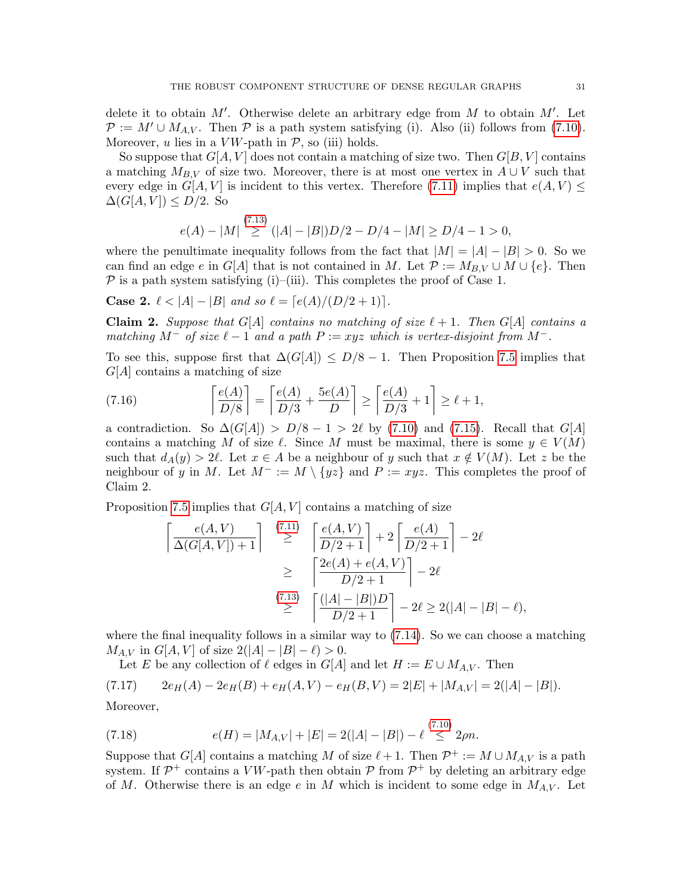delete it to obtain  $M'$ . Otherwise delete an arbitrary edge from  $M$  to obtain  $M'$ . Let  $\mathcal{P} := M' \cup M_{A,V}$ . Then  $\mathcal{P}$  is a path system satisfying (i). Also (ii) follows from [\(7.10\)](#page-28-3). Moreover,  $u$  lies in a  $VW$ -path in  $P$ , so (iii) holds.

So suppose that  $G[A, V]$  does not contain a matching of size two. Then  $G[B, V]$  contains a matching  $M_{B,V}$  of size two. Moreover, there is at most one vertex in  $A \cup V$  such that every edge in  $G[A, V]$  is incident to this vertex. Therefore [\(7.11\)](#page-28-2) implies that  $e(A, V) \le$  $\Delta(G[A, V]) \leq D/2$ . So

$$
e(A) - |M| \stackrel{(7.13)}{\geq} (|A| - |B|)D/2 - D/4 - |M| \geq D/4 - 1 > 0,
$$

where the penultimate inequality follows from the fact that  $|M| = |A| - |B| > 0$ . So we can find an edge e in G[A] that is not contained in M. Let  $\mathcal{P} := M_{B,V} \cup M \cup \{e\}$ . Then  $\mathcal P$  is a path system satisfying (i)–(iii). This completes the proof of Case 1.

**Case 2.**  $\ell < |A| - |B|$  and so  $\ell = [e(A)/(D/2 + 1)].$ 

 $(12.3)$ 

**Claim 2.** Suppose that G[A] contains no matching of size  $\ell + 1$ . Then G[A] contains a matching  $M^-$  of size  $\ell - 1$  and a path  $P := xyz$  which is vertex-disjoint from  $M^-$ .

To see this, suppose first that  $\Delta(G[A]) \leq D/8 - 1$ . Then Proposition [7.5](#page-25-3) implies that  $G[A]$  contains a matching of size

(7.16) 
$$
\left\lceil \frac{e(A)}{D/8} \right\rceil = \left\lceil \frac{e(A)}{D/3} + \frac{5e(A)}{D} \right\rceil \ge \left\lceil \frac{e(A)}{D/3} + 1 \right\rceil \ge \ell + 1,
$$

a contradiction. So  $\Delta(G[A]) > D/8 - 1 > 2\ell$  by [\(7.10\)](#page-28-3) and [\(7.15\)](#page-29-1). Recall that  $G[A]$ contains a matching M of size  $\ell$ . Since M must be maximal, there is some  $y \in V(M)$ such that  $d_A(y) > 2\ell$ . Let  $x \in A$  be a neighbour of y such that  $x \notin V(M)$ . Let z be the neighbour of y in M. Let  $M^- := M \setminus \{yz\}$  and  $P := xyz$ . This completes the proof of Claim 2.

Proposition [7.5](#page-25-3) implies that  $G[A, V]$  contains a matching of size

$$
\begin{array}{l}\n\left\lceil \frac{e(A,V)}{\Delta(G[A,V])+1} \right\rceil \stackrel{(7.11)}{\geq} \left\lceil \frac{e(A,V)}{D/2+1} \right\rceil + 2 \left\lceil \frac{e(A)}{D/2+1} \right\rceil - 2\ell \\
\geq \left\lceil \frac{2e(A) + e(A,V)}{D/2+1} \right\rceil - 2\ell\n\end{array}
$$
\n
$$
\stackrel{(7.13)}{\geq} \left\lceil \frac{(|A|-|B|)D}{D/2+1} \right\rceil - 2\ell \geq 2(|A|-|B|- \ell),
$$

where the final inequality follows in a similar way to  $(7.14)$ . So we can choose a matching  $M_{A,V}$  in  $G[A, V]$  of size  $2(|A| - |B| - \ell) > 0$ .

<span id="page-30-0"></span>Let E be any collection of  $\ell$  edges in  $G[A]$  and let  $H := E \cup M_{A,V}$ . Then

 $(7.17)$  2eH(A) – 2eH(B) + eH(A, V) – eH(B, V) = 2|E| + |M<sub>A, V</sub>| = 2(|A| – |B|).

Moreover,

<span id="page-30-1"></span>(7.18) 
$$
e(H) = |M_{A,V}| + |E| = 2(|A| - |B|) - \ell \stackrel{(7.10)}{\leq} 2\rho n.
$$

Suppose that  $G[A]$  contains a matching M of size  $\ell + 1$ . Then  $\mathcal{P}^+ := M \cup M_{A,V}$  is a path system. If  $\mathcal{P}^+$  contains a VW-path then obtain  $\mathcal{P}$  from  $\mathcal{P}^+$  by deleting an arbitrary edge of M. Otherwise there is an edge e in M which is incident to some edge in  $M_{A,V}$ . Let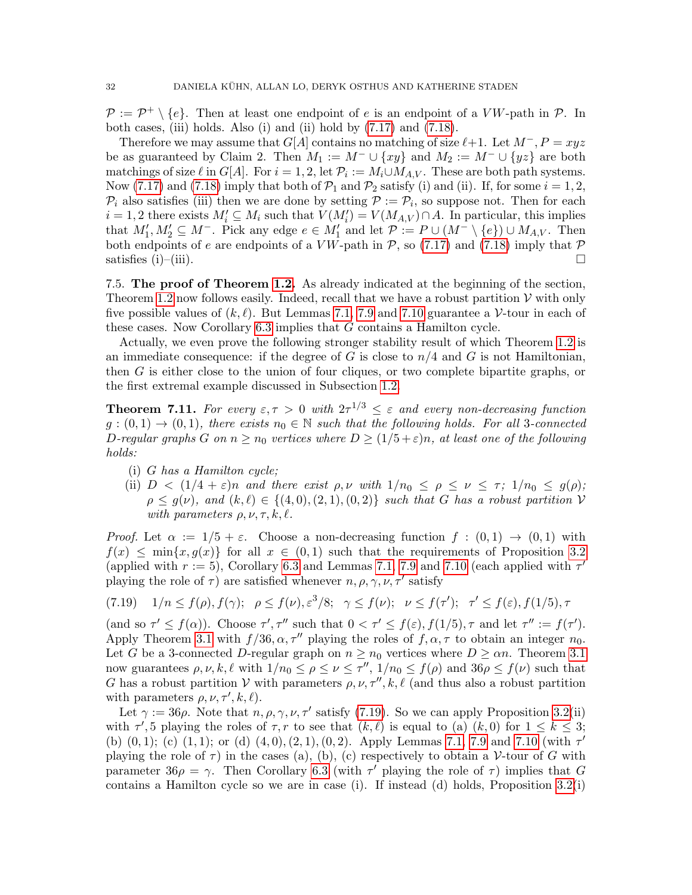$\mathcal{P} := \mathcal{P}^+ \setminus \{e\}.$  Then at least one endpoint of e is an endpoint of a VW-path in  $\mathcal{P}$ . In both cases, (iii) holds. Also (i) and (ii) hold by [\(7.17\)](#page-30-0) and [\(7.18\)](#page-30-1).

Therefore we may assume that  $G[A]$  contains no matching of size  $\ell+1$ . Let  $M^-, P = xyz$ be as guaranteed by Claim 2. Then  $M_1 := M^- \cup \{xy\}$  and  $M_2 := M^- \cup \{yz\}$  are both matchings of size  $\ell$  in  $G[A]$ . For  $i = 1, 2$ , let  $\mathcal{P}_i := M_i \cup M_{A,V}$ . These are both path systems. Now [\(7.17\)](#page-30-0) and [\(7.18\)](#page-30-1) imply that both of  $\mathcal{P}_1$  and  $\mathcal{P}_2$  satisfy (i) and (ii). If, for some  $i = 1, 2$ ,  $\mathcal{P}_i$  also satisfies (iii) then we are done by setting  $\mathcal{P} := \mathcal{P}_i$ , so suppose not. Then for each  $i = 1, 2$  there exists  $M'_i \subseteq M_i$  such that  $V(M'_i) = V(M_{A,V}) \cap A$ . In particular, this implies that  $M'_1, M'_2 \subseteq M^-$ . Pick any edge  $e \in M'_1$  and let  $\mathcal{P} := P \cup (M^- \setminus \{e\}) \cup M_{A,V}$ . Then both endpoints of e are endpoints of a  $V W$ -path in P, so [\(7.17\)](#page-30-0) and [\(7.18\)](#page-30-1) imply that P satisfies (i)–(iii).  $\square$ 

7.5. The proof of Theorem [1.2.](#page-3-0) As already indicated at the beginning of the section, Theorem [1.2](#page-3-0) now follows easily. Indeed, recall that we have a robust partition  $\mathcal V$  with only five possible values of  $(k, \ell)$ . But Lemmas [7.1,](#page-23-1) [7.9](#page-27-4) and [7.10](#page-28-1) guarantee a V-tour in each of these cases. Now Corollary [6.3](#page-17-1) implies that G contains a Hamilton cycle.

Actually, we even prove the following stronger stability result of which Theorem [1.2](#page-3-0) is an immediate consequence: if the degree of G is close to  $n/4$  and G is not Hamiltonian, then G is either close to the union of four cliques, or two complete bipartite graphs, or the first extremal example discussed in Subsection [1.2.](#page-1-0)

<span id="page-31-0"></span>**Theorem 7.11.** For every  $\varepsilon, \tau > 0$  with  $2\tau^{1/3} \leq \varepsilon$  and every non-decreasing function  $g:(0,1) \rightarrow (0,1)$ , there exists  $n_0 \in \mathbb{N}$  such that the following holds. For all 3-connected D-regular graphs G on  $n \ge n_0$  vertices where  $D \ge (1/5 + \varepsilon)n$ , at least one of the following holds:

- (i) G has a Hamilton cycle;
- (ii)  $D < (1/4 + \varepsilon)n$  and there exist  $\rho, \nu$  with  $1/n_0 \le \rho \le \nu \le \tau$ ;  $1/n_0 \le g(\rho)$ ;  $\rho \leq q(\nu)$ , and  $(k, \ell) \in \{(4, 0), (2, 1), (0, 2)\}\$  such that G has a robust partition V with parameters  $\rho, \nu, \tau, k, \ell$ .

Proof. Let  $\alpha := 1/5 + \varepsilon$ . Choose a non-decreasing function  $f : (0,1) \to (0,1)$  with  $f(x) \leq \min\{x, g(x)\}\$ for all  $x \in (0,1)$  such that the requirements of Proposition [3.2](#page-7-1) (applied with  $r := 5$ ), Corollary [6.3](#page-17-1) and Lemmas [7.1,](#page-23-1) [7.9](#page-27-4) and [7.10](#page-28-1) (each applied with  $\tau'$ playing the role of  $\tau$ ) are satisfied whenever  $n, \rho, \gamma, \nu, \tau'$  satisfy

<span id="page-31-1"></span>
$$
(7.19) \quad 1/n \le f(\rho), f(\gamma); \quad \rho \le f(\nu), \varepsilon^3/8; \quad \gamma \le f(\nu); \quad \nu \le f(\tau'); \quad \tau' \le f(\varepsilon), f(1/5), \tau
$$

(and so  $\tau' \leq f(\alpha)$ ). Choose  $\tau', \tau''$  such that  $0 < \tau' \leq f(\varepsilon), f(1/5), \tau$  and let  $\tau'' := f(\tau')$ . Apply Theorem [3.1](#page-6-0) with  $f/36, \alpha, \tau''$  playing the roles of  $f, \alpha, \tau$  to obtain an integer  $n_0$ . Let G be a 3-connected D-regular graph on  $n \ge n_0$  vertices where  $D \ge \alpha n$ . Theorem [3.1](#page-6-0) now guarantees  $\rho, \nu, k, \ell$  with  $1/n_0 \leq \rho \leq \nu \leq \tau''$ ,  $1/n_0 \leq f(\rho)$  and  $36\rho \leq f(\nu)$  such that G has a robust partition V with parameters  $\rho, \nu, \tau'', k, \ell$  (and thus also a robust partition with parameters  $\rho, \nu, \tau', k, \ell$ .

Let  $\gamma := 36\rho$ . Note that  $n, \rho, \gamma, \nu, \tau'$  satisfy [\(7.19\)](#page-31-1). So we can apply Proposition [3.2\(](#page-7-1)ii) with  $\tau'$ , 5 playing the roles of  $\tau$ , r to see that  $(k, \ell)$  is equal to (a)  $(k, 0)$  for  $1 \leq k \leq 3$ ; (b)  $(0, 1)$ ; (c)  $(1, 1)$ ; or (d)  $(4, 0)$ ,  $(2, 1)$ ,  $(0, 2)$ . Apply Lemmas [7.1,](#page-23-1) [7.9](#page-27-4) and [7.10](#page-28-1) (with  $\tau'$ playing the role of  $\tau$ ) in the cases (a), (b), (c) respectively to obtain a V-tour of G with parameter  $36\rho = \gamma$ . Then Corollary [6.3](#page-17-1) (with  $\tau'$  playing the role of  $\tau$ ) implies that G contains a Hamilton cycle so we are in case (i). If instead (d) holds, Proposition [3.2\(](#page-7-1)i)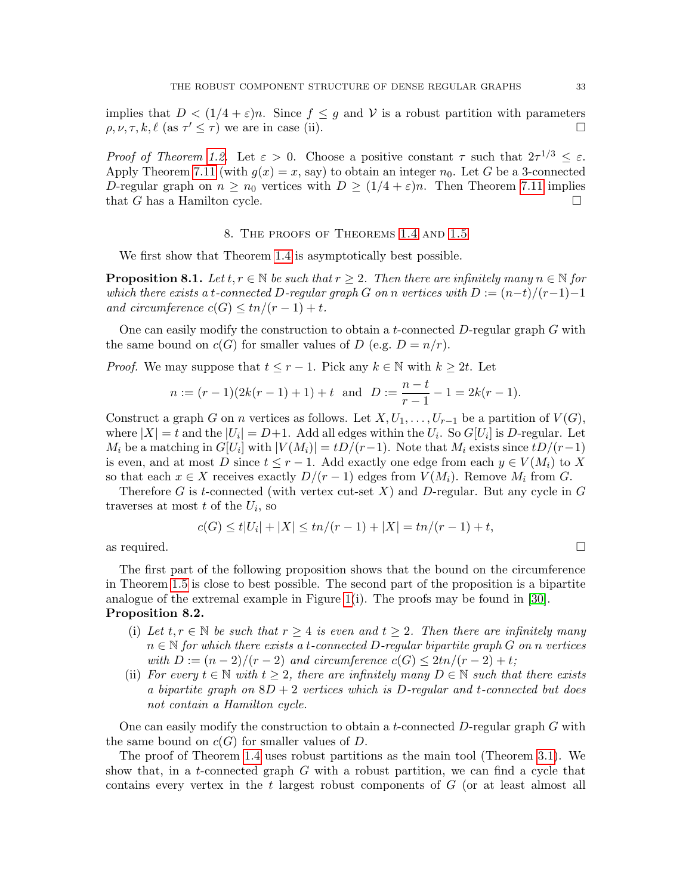implies that  $D < (1/4 + \varepsilon)n$ . Since  $f \leq g$  and V is a robust partition with parameters  $\rho, \nu, \tau, k, \ell \text{ (as } \tau \leq \tau)$  we are in case (ii).

*Proof of Theorem [1.2.](#page-3-0)* Let  $\varepsilon > 0$ . Choose a positive constant  $\tau$  such that  $2\tau^{1/3} \leq \varepsilon$ . Apply Theorem [7.11](#page-31-0) (with  $g(x) = x$ , say) to obtain an integer  $n_0$ . Let G be a 3-connected D-regular graph on  $n \geq n_0$  vertices with  $D \geq (1/4 + \varepsilon)n$ . Then Theorem [7.11](#page-31-0) implies that G has a Hamilton cycle.  $\square$ 

#### 8. The proofs of Theorems [1.4](#page-3-1) and [1.5](#page-4-0)

<span id="page-32-2"></span>We first show that Theorem [1.4](#page-3-1) is asymptotically best possible.

<span id="page-32-0"></span>**Proposition 8.1.** Let  $t, r \in \mathbb{N}$  be such that  $r \geq 2$ . Then there are infinitely many  $n \in \mathbb{N}$  for which there exists a t-connected D-regular graph G on n vertices with  $D := (n-t)/(r-1)-1$ and circumference  $c(G) \leq tn/(r-1)+t$ .

One can easily modify the construction to obtain a t-connected  $D$ -regular graph  $G$  with the same bound on  $c(G)$  for smaller values of D (e.g.  $D = n/r$ ).

*Proof.* We may suppose that  $t \leq r - 1$ . Pick any  $k \in \mathbb{N}$  with  $k \geq 2t$ . Let

$$
n := (r-1)(2k(r-1) + 1) + t
$$
 and 
$$
D := \frac{n-t}{r-1} - 1 = 2k(r-1).
$$

Construct a graph G on n vertices as follows. Let  $X, U_1, \ldots, U_{r-1}$  be a partition of  $V(G)$ , where  $|X| = t$  and the  $|U_i| = D+1$ . Add all edges within the  $U_i$ . So  $G[U_i]$  is D-regular. Let  $M_i$  be a matching in  $G[U_i]$  with  $|V(M_i)| = tD/(r-1)$ . Note that  $M_i$  exists since  $tD/(r-1)$ is even, and at most D since  $t \leq r - 1$ . Add exactly one edge from each  $y \in V(M_i)$  to X so that each  $x \in X$  receives exactly  $D/(r-1)$  edges from  $V(M_i)$ . Remove  $M_i$  from G.

Therefore G is t-connected (with vertex cut-set X) and D-regular. But any cycle in  $G$ traverses at most  $t$  of the  $U_i$ , so

$$
c(G) \le t|U_i| + |X| \le tn/(r-1) + |X| = tn/(r-1) + t,
$$
  
as required.

The first part of the following proposition shows that the bound on the circumference in Theorem [1.5](#page-4-0) is close to best possible. The second part of the proposition is a bipartite analogue of the extremal example in Figure [1\(](#page-2-0)i). The proofs may be found in [\[30\]](#page-37-17). Proposition 8.2.

- <span id="page-32-1"></span>(i) Let  $t, r \in \mathbb{N}$  be such that  $r \geq 4$  is even and  $t \geq 2$ . Then there are infinitely many  $n \in \mathbb{N}$  for which there exists a t-connected D-regular bipartite graph G on n vertices with  $D := (n-2)/(r-2)$  and circumference  $c(G) \leq 2tn/(r-2) + t$ ;
- (ii) For every  $t \in \mathbb{N}$  with  $t \geq 2$ , there are infinitely many  $D \in \mathbb{N}$  such that there exists a bipartite graph on  $8D + 2$  vertices which is D-regular and t-connected but does not contain a Hamilton cycle.

One can easily modify the construction to obtain a t-connected  $D$ -regular graph  $G$  with the same bound on  $c(G)$  for smaller values of D.

The proof of Theorem [1.4](#page-3-1) uses robust partitions as the main tool (Theorem [3.1\)](#page-6-0). We show that, in a t-connected graph  $G$  with a robust partition, we can find a cycle that contains every vertex in the t largest robust components of G (or at least almost all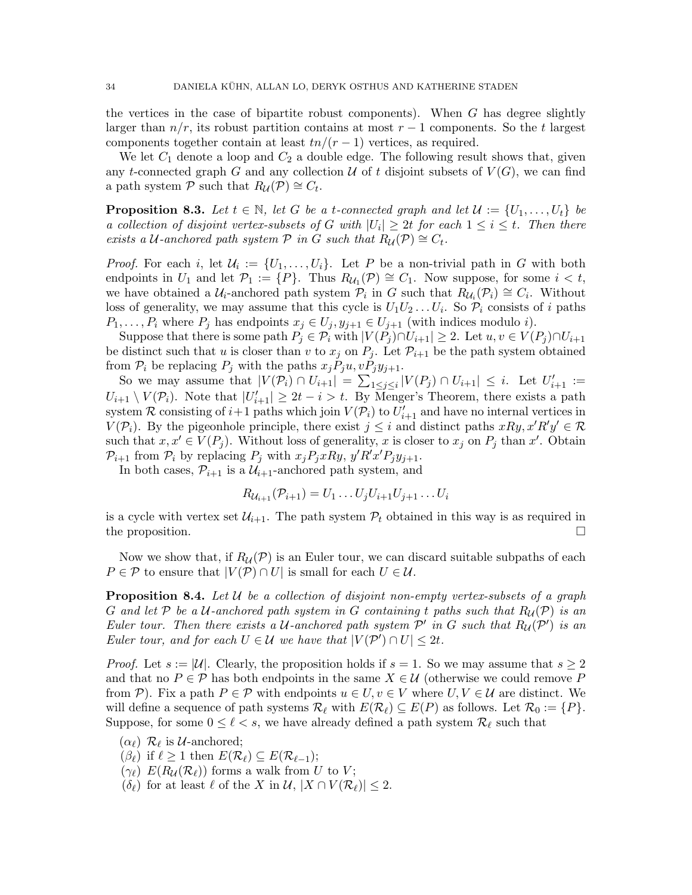the vertices in the case of bipartite robust components). When  $G$  has degree slightly larger than  $n/r$ , its robust partition contains at most  $r-1$  components. So the t largest components together contain at least  $tn/(r-1)$  vertices, as required.

We let  $C_1$  denote a loop and  $C_2$  a double edge. The following result shows that, given any t-connected graph G and any collection U of t disjoint subsets of  $V(G)$ , we can find a path system  $\overline{P}$  such that  $R_{\mathcal{U}}(\overline{P}) \cong C_t$ .

<span id="page-33-0"></span>**Proposition 8.3.** Let  $t \in \mathbb{N}$ , let G be a t-connected graph and let  $\mathcal{U} := \{U_1, \ldots, U_t\}$  be a collection of disjoint vertex-subsets of G with  $|U_i| \geq 2t$  for each  $1 \leq i \leq t$ . Then there exists a U-anchored path system  $P$  in G such that  $R_{\mathcal{U}}(P) \cong C_t$ .

*Proof.* For each i, let  $\mathcal{U}_i := \{U_1, \ldots, U_i\}$ . Let P be a non-trivial path in G with both endpoints in  $U_1$  and let  $\mathcal{P}_1 := \{P\}$ . Thus  $R_{\mathcal{U}_1}(\mathcal{P}) \cong C_1$ . Now suppose, for some  $i < t$ , we have obtained a  $U_i$ -anchored path system  $\mathcal{P}_i$  in G such that  $R_{U_i}(\mathcal{P}_i) \cong C_i$ . Without loss of generality, we may assume that this cycle is  $U_1U_2...U_i$ . So  $\mathcal{P}_i$  consists of i paths  $P_1, \ldots, P_i$  where  $P_j$  has endpoints  $x_j \in U_j, y_{j+1} \in U_{j+1}$  (with indices modulo i).

Suppose that there is some path  $P_j \in \mathcal{P}_i$  with  $|V(P_j) \cap U_{i+1}| \geq 2$ . Let  $u, v \in V(P_j) \cap U_{i+1}$ be distinct such that u is closer than v to  $x_j$  on  $P_j$ . Let  $\mathcal{P}_{i+1}$  be the path system obtained from  $P_i$  be replacing  $P_j$  with the paths  $x_jP_ju, vP_jy_{j+1}$ .

So we may assume that  $|V(\mathcal{P}_i) \cap U_{i+1}| = \sum_{1 \leq j \leq i} |V(P_j) \cap U_{i+1}| \leq i$ . Let  $U'_{i+1} :=$  $U_{i+1} \setminus V(\mathcal{P}_i)$ . Note that  $|U'_{i+1}| \geq 2t - i > t$ . By Menger's Theorem, there exists a path system R consisting of  $i+1$  paths which join  $V(\mathcal{P}_i)$  to  $U'_{i+1}$  and have no internal vertices in  $V(\mathcal{P}_i)$ . By the pigeonhole principle, there exist  $j \leq i$  and distinct paths  $xRy, x'R'y' \in \mathcal{R}$ such that  $x, x' \in V(P_j)$ . Without loss of generality, x is closer to  $x_j$  on  $P_j$  than x'. Obtain  $\mathcal{P}_{i+1}$  from  $\mathcal{P}_i$  by replacing  $P_j$  with  $x_j P_j x R y$ ,  $y' R' x' P_j y_{j+1}$ .

In both cases,  $\mathcal{P}_{i+1}$  is a  $\mathcal{U}_{i+1}$ -anchored path system, and

$$
R_{\mathcal{U}_{i+1}}(\mathcal{P}_{i+1}) = U_1 \dots U_j U_{i+1} U_{j+1} \dots U_i
$$

is a cycle with vertex set  $\mathcal{U}_{i+1}$ . The path system  $\mathcal{P}_t$  obtained in this way is as required in the proposition.

Now we show that, if  $R_{\mathcal{U}}(\mathcal{P})$  is an Euler tour, we can discard suitable subpaths of each  $P \in \mathcal{P}$  to ensure that  $|V(\mathcal{P}) \cap U|$  is small for each  $U \in \mathcal{U}$ .

<span id="page-33-1"></span>**Proposition 8.4.** Let  $U$  be a collection of disjoint non-empty vertex-subsets of a graph G and let P be a U-anchored path system in G containing t paths such that  $R_{\mathcal{U}}(\mathcal{P})$  is an Euler tour. Then there exists a U-anchored path system  $\mathcal{P}'$  in G such that  $R_{\mathcal{U}}(\mathcal{P}')$  is an Euler tour, and for each  $U \in \mathcal{U}$  we have that  $|V(\mathcal{P}') \cap U| \leq 2t$ .

*Proof.* Let  $s := |U|$ . Clearly, the proposition holds if  $s = 1$ . So we may assume that  $s \geq 2$ and that no  $P \in \mathcal{P}$  has both endpoints in the same  $X \in \mathcal{U}$  (otherwise we could remove P from P). Fix a path  $P \in \mathcal{P}$  with endpoints  $u \in U, v \in V$  where  $U, V \in \mathcal{U}$  are distinct. We will define a sequence of path systems  $\mathcal{R}_{\ell}$  with  $E(\mathcal{R}_{\ell}) \subseteq E(P)$  as follows. Let  $\mathcal{R}_0 := \{P\}.$ Suppose, for some  $0 \leq \ell < s$ , we have already defined a path system  $\mathcal{R}_{\ell}$  such that

- $(\alpha_{\ell}) \mathcal{R}_{\ell}$  is *U*-anchored;
- $(\beta_{\ell})$  if  $\ell \geq 1$  then  $E(\mathcal{R}_{\ell}) \subseteq E(\mathcal{R}_{\ell-1});$
- $(\gamma_{\ell})$  E( $R_{\mathcal{U}}(\mathcal{R}_{\ell})$ ) forms a walk from U to V;
- $(\delta_{\ell})$  for at least  $\ell$  of the X in  $\mathcal{U}, |X \cap V(\mathcal{R}_{\ell})| \leq 2$ .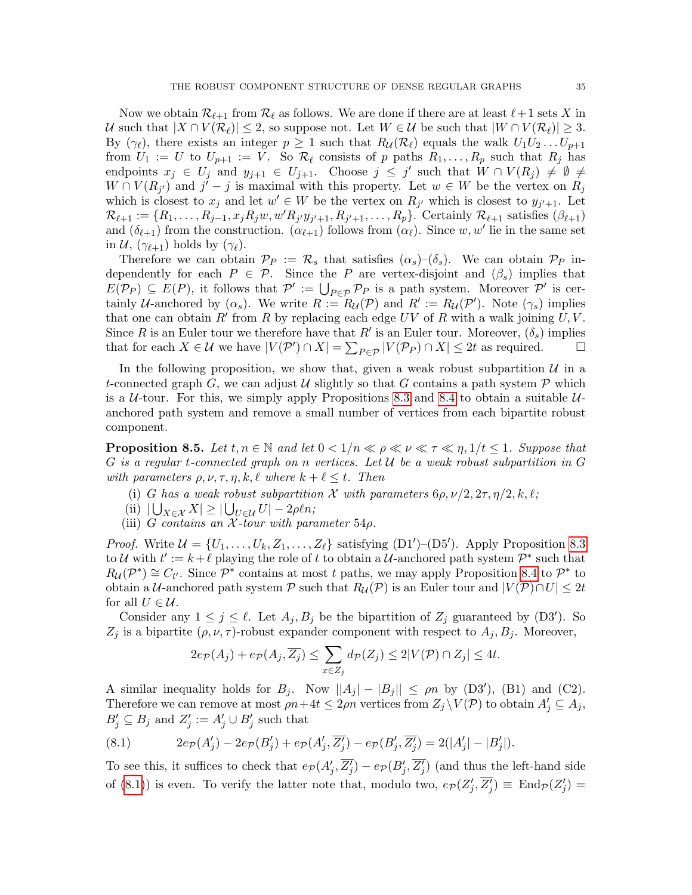Now we obtain  $\mathcal{R}_{\ell+1}$  from  $\mathcal{R}_{\ell}$  as follows. We are done if there are at least  $\ell+1$  sets X in U such that  $|X \cap V(\mathcal{R}_\ell)| \leq 2$ , so suppose not. Let  $W \in \mathcal{U}$  be such that  $|W \cap V(\mathcal{R}_\ell)| \geq 3$ . By  $(\gamma_{\ell})$ , there exists an integer  $p \geq 1$  such that  $R_{\mathcal{U}}(\mathcal{R}_{\ell})$  equals the walk  $U_1U_2 \dots U_{p+1}$ from  $U_1 := U$  to  $U_{p+1} := V$ . So  $\mathcal{R}_{\ell}$  consists of p paths  $R_1, \ldots, R_p$  such that  $R_j$  has endpoints  $x_j \in U_j$  and  $y_{j+1} \in U_{j+1}$ . Choose  $j \leq j'$  such that  $W \cap V(R_j) \neq \emptyset \neq j'$  $W \cap V(R_{j'})$  and  $j'-j$  is maximal with this property. Let  $w \in W$  be the vertex on  $R_j$ which is closest to  $x_j$  and let  $w' \in W$  be the vertex on  $R_{j'}$  which is closest to  $y_{j'+1}$ . Let  $\mathcal{R}_{\ell+1} := \{R_1, \ldots, R_{j-1}, x_j R_j w, w' R_{j'} y_{j'+1}, R_{j'+1}, \ldots, R_p\}$ . Certainly  $\mathcal{R}_{\ell+1}$  satisfies  $(\beta_{\ell+1})$ and  $(\delta_{\ell+1})$  from the construction.  $(\alpha_{\ell+1})$  follows from  $(\alpha_{\ell})$ . Since w, w' lie in the same set in  $\mathcal{U}, (\gamma_{\ell+1})$  holds by  $(\gamma_{\ell}).$ 

Therefore we can obtain  $\mathcal{P}_P := \mathcal{R}_s$  that satisfies  $(\alpha_s)$ – $(\delta_s)$ . We can obtain  $\mathcal{P}_P$  independently for each  $P \in \mathcal{P}$ . Since the P are vertex-disjoint and  $(\beta_s)$  implies that  $E(\mathcal{P}_P) \subseteq E(P)$ , it follows that  $\mathcal{P}' := \bigcup_{P \in \mathcal{P}} \mathcal{P}_P$  is a path system. Moreover  $\mathcal{P}'$  is certainly U-anchored by  $(\alpha_s)$ . We write  $R := R_{\mathcal{U}}(\mathcal{P})$  and  $R' := R_{\mathcal{U}}(\mathcal{P}')$ . Note  $(\gamma_s)$  implies that one can obtain  $R'$  from R by replacing each edge UV of R with a walk joining U, V. Since R is an Euler tour we therefore have that R' is an Euler tour. Moreover,  $(\delta_s)$  implies that for each  $X \in \mathcal{U}$  we have  $|V(\mathcal{P}') \cap X| = \sum_{P \in \mathcal{P}} |V(\mathcal{P}_P) \cap X| \leq 2t$  as required.

In the following proposition, we show that, given a weak robust subpartition  $\mathcal U$  in a t-connected graph G, we can adjust U slightly so that G contains a path system  $P$  which is a  $U$ -tour. For this, we simply apply Propositions [8.3](#page-33-0) and [8.4](#page-33-1) to obtain a suitable  $U$ anchored path system and remove a small number of vertices from each bipartite robust component.

<span id="page-34-1"></span>**Proposition 8.5.** Let  $t, n \in \mathbb{N}$  and let  $0 < 1/n \ll \rho \ll \nu \ll \tau \ll \eta$ ,  $1/t \leq 1$ . Suppose that G is a regular t-connected graph on n vertices. Let  $\mathcal U$  be a weak robust subpartition in G with parameters  $\rho, \nu, \tau, \eta, k, \ell$  where  $k + \ell \leq t$ . Then

- (i) G has a weak robust subpartition X with parameters  $6\rho, \nu/2, 2\tau, \eta/2, k, \ell;$
- (ii)  $|\bigcup_{X \in \mathcal{X}} X| \geq |\bigcup_{U \in \mathcal{U}} U| 2\rho \ell n;$
- (iii) G contains an  $\chi$ -tour with parameter 54 $\rho$ .

*Proof.* Write  $\mathcal{U} = \{U_1, \ldots, U_k, Z_1, \ldots, Z_\ell\}$  satisfying  $(D1')-(D5')$ . Apply Proposition [8.3](#page-33-0) to U with  $t' := k + \ell$  playing the role of t to obtain a U-anchored path system  $\mathcal{P}^*$  such that  $R_{\mathcal{U}}(\mathcal{P}^*) \cong C_{t'}$ . Since  $\mathcal{P}^*$  contains at most t paths, we may apply Proposition [8.4](#page-33-1) to  $\mathcal{P}^*$  to obtain a U-anchored path system P such that  $R_{\mathcal{U}}(\mathcal{P})$  is an Euler tour and  $|V(\mathcal{P}) \cap U| \leq 2t$ for all  $U \in \mathcal{U}$ .

Consider any  $1 \leq j \leq \ell$ . Let  $A_j, B_j$  be the bipartition of  $Z_j$  guaranteed by (D3'). So  $Z_j$  is a bipartite  $(\rho, \nu, \tau)$ -robust expander component with respect to  $A_j, B_j$ . Moreover,

$$
2e_{\mathcal{P}}(A_j) + e_{\mathcal{P}}(A_j, \overline{Z_j}) \le \sum_{x \in Z_j} d_{\mathcal{P}}(Z_j) \le 2|V(\mathcal{P}) \cap Z_j| \le 4t.
$$

A similar inequality holds for  $B_j$ . Now  $||A_j| - |B_j|| \le \rho n$  by (D3'), (B1) and (C2). Therefore we can remove at most  $\rho n + 4t \leq 2\rho n$  vertices from  $Z_j \setminus V(\mathcal{P})$  to obtain  $A'_j \subseteq A_j$ ,  $B'_j \subseteq B_j$  and  $Z'_j := A'_j \cup B'_j$  such that

<span id="page-34-0"></span>(8.1) 
$$
2e_{\mathcal{P}}(A'_j) - 2e_{\mathcal{P}}(B'_j) + e_{\mathcal{P}}(A'_j, \overline{Z'_j}) - e_{\mathcal{P}}(B'_j, \overline{Z'_j}) = 2(|A'_j| - |B'_j|).
$$

To see this, it suffices to check that  $e_{\mathcal{P}}(A'_j, \overline{Z'_j}) - e_{\mathcal{P}}(B'_j, \overline{Z'_j})$  (and thus the left-hand side of [\(8.1\)](#page-34-0)) is even. To verify the latter note that, modulo two,  $e_{\mathcal{P}}(Z_j', \overline{Z_j'}) \equiv \text{End}_{\mathcal{P}}(Z_j') =$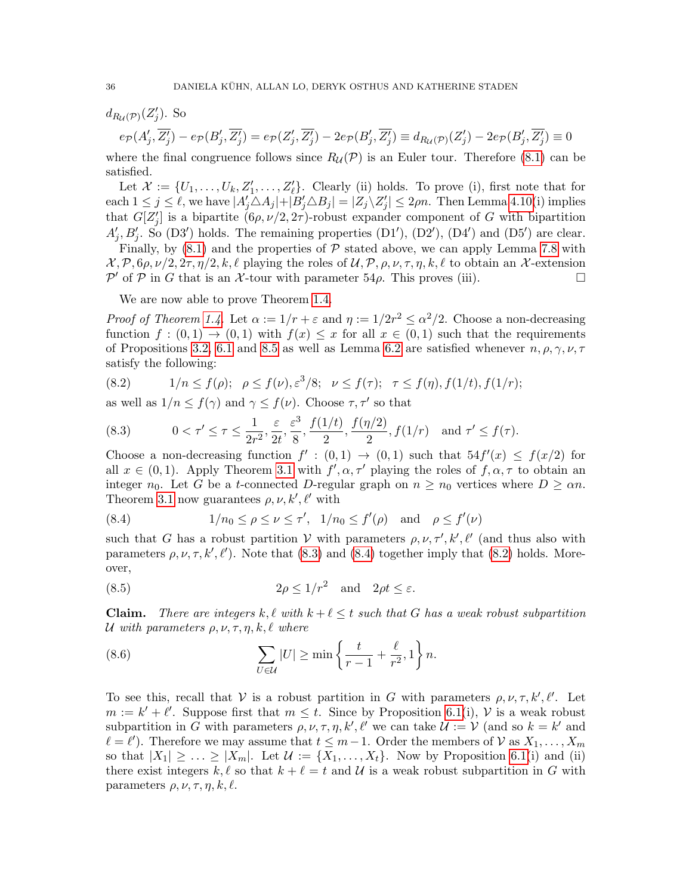$d_{R_{\mathcal{U}}(\mathcal{P})}(Z'_j)$ . So

$$
e_{\mathcal{P}}(A'_j, \overline{Z'_j}) - e_{\mathcal{P}}(B'_j, \overline{Z'_j}) = e_{\mathcal{P}}(Z'_j, \overline{Z'_j}) - 2e_{\mathcal{P}}(B'_j, \overline{Z'_j}) \equiv d_{R_{\mathcal{U}}(\mathcal{P})}(Z'_j) - 2e_{\mathcal{P}}(B'_j, \overline{Z'_j}) \equiv 0
$$

where the final congruence follows since  $R_{\mathcal{U}}(\mathcal{P})$  is an Euler tour. Therefore [\(8.1\)](#page-34-0) can be satisfied.

Let  $\mathcal{X} := \{U_1, \ldots, U_k, Z'_1, \ldots, Z'_\ell\}$ . Clearly (ii) holds. To prove (i), first note that for each  $1 \le j \le \ell$ , we have  $|A_j' \triangle A_j| + |\tilde{B}_j' \triangle B_j| = |Z_j \setminus Z_j'| \le 2\rho n$ . Then Lemma [4.10\(](#page-11-3)i) implies that  $G[Z_j']$  is a bipartite  $(6\rho, \nu/2, 2\tau)$ -robust expander component of G with bipartition  $A'_j, B'_j$ . So (D3') holds. The remaining properties (D1'), (D2'), (D4') and (D5') are clear.

Finally, by  $(8.1)$  and the properties of  $P$  stated above, we can apply Lemma [7.8](#page-26-4) with  $\mathcal{X}, \mathcal{P}, 6\rho, \nu/2, 2\tau, \eta/2, k, \ell$  playing the roles of  $\mathcal{U}, \mathcal{P}, \rho, \nu, \tau, \eta, k, \ell$  to obtain an X-extension  $\mathcal{P}'$  of  $\mathcal P$  in G that is an X-tour with parameter 54 $\rho$ . This proves (iii).

We are now able to prove Theorem [1.4.](#page-3-1)

*Proof of Theorem [1.4.](#page-3-1)* Let  $\alpha := 1/r + \varepsilon$  and  $\eta := 1/2r^2 \leq \alpha^2/2$ . Choose a non-decreasing function  $f:(0,1) \to (0,1)$  with  $f(x) \leq x$  for all  $x \in (0,1)$  such that the requirements of Propositions [3.2,](#page-7-1) [6.1](#page-16-1) and [8.5](#page-34-1) as well as Lemma [6.2](#page-17-0) are satisfied whenever  $n, \rho, \gamma, \nu, \tau$ satisfy the following:

<span id="page-35-2"></span>(8.2) 
$$
1/n \le f(\rho); \quad \rho \le f(\nu), \varepsilon^3/8; \quad \nu \le f(\tau); \quad \tau \le f(\eta), f(1/t), f(1/r);
$$

as well as  $1/n \leq f(\gamma)$  and  $\gamma \leq f(\nu)$ . Choose  $\tau, \tau'$  so that

<span id="page-35-0"></span>(8.3) 
$$
0 < \tau' \le \tau \le \frac{1}{2r^2}, \frac{\varepsilon}{2t}, \frac{\varepsilon^3}{8}, \frac{f(1/t)}{2}, \frac{f(\eta/2)}{2}, f(1/r) \quad \text{and } \tau' \le f(\tau).
$$

Choose a non-decreasing function  $f' : (0,1) \rightarrow (0,1)$  such that  $54f'(x) \le f(x/2)$  for all  $x \in (0,1)$ . Apply Theorem [3.1](#page-6-0) with  $f', \alpha, \tau'$  playing the roles of  $f, \alpha, \tau$  to obtain an integer  $n_0$ . Let G be a t-connected D-regular graph on  $n \geq n_0$  vertices where  $D \geq \alpha n$ . Theorem [3.1](#page-6-0) now guarantees  $\rho, \nu, k', \ell'$  with

<span id="page-35-1"></span>(8.4) 
$$
1/n_0 \le \rho \le \nu \le \tau'
$$
,  $1/n_0 \le f'(\rho)$  and  $\rho \le f'(\nu)$ 

such that G has a robust partition V with parameters  $\rho, \nu, \tau', k', \ell'$  (and thus also with parameters  $\rho, \nu, \tau, k', \ell'$ ). Note that [\(8.3\)](#page-35-0) and [\(8.4\)](#page-35-1) together imply that [\(8.2\)](#page-35-2) holds. Moreover,

<span id="page-35-4"></span>(8.5) 
$$
2\rho \le 1/r^2
$$
 and  $2\rho t \le \varepsilon$ .

**Claim.** There are integers k,  $\ell$  with  $k + \ell \leq t$  such that G has a weak robust subpartition U with parameters  $\rho, \nu, \tau, \eta, k, \ell$  where

<span id="page-35-3"></span>(8.6) 
$$
\sum_{U \in \mathcal{U}} |U| \ge \min \left\{ \frac{t}{r-1} + \frac{\ell}{r^2}, 1 \right\} n.
$$

To see this, recall that V is a robust partition in G with parameters  $\rho, \nu, \tau, k', \ell'$ . Let  $m := k' + \ell'$ . Suppose first that  $m \leq t$ . Since by Proposition [6.1\(](#page-16-1)i), V is a weak robust subpartition in G with parameters  $\rho, \nu, \tau, \eta, k', \ell'$  we can take  $\mathcal{U} := \mathcal{V}$  (and so  $k = k'$  and  $\ell = \ell'$ ). Therefore we may assume that  $t \leq m-1$ . Order the members of  $\mathcal V$  as  $X_1, \ldots, X_m$ so that  $|X_1| \geq \ldots \geq |X_m|$ . Let  $\mathcal{U} := \{X_1, \ldots, X_t\}$ . Now by Proposition [6.1\(](#page-16-1)i) and (ii) there exist integers k,  $\ell$  so that  $k + \ell = t$  and U is a weak robust subpartition in G with parameters  $\rho, \nu, \tau, \eta, k, \ell$ .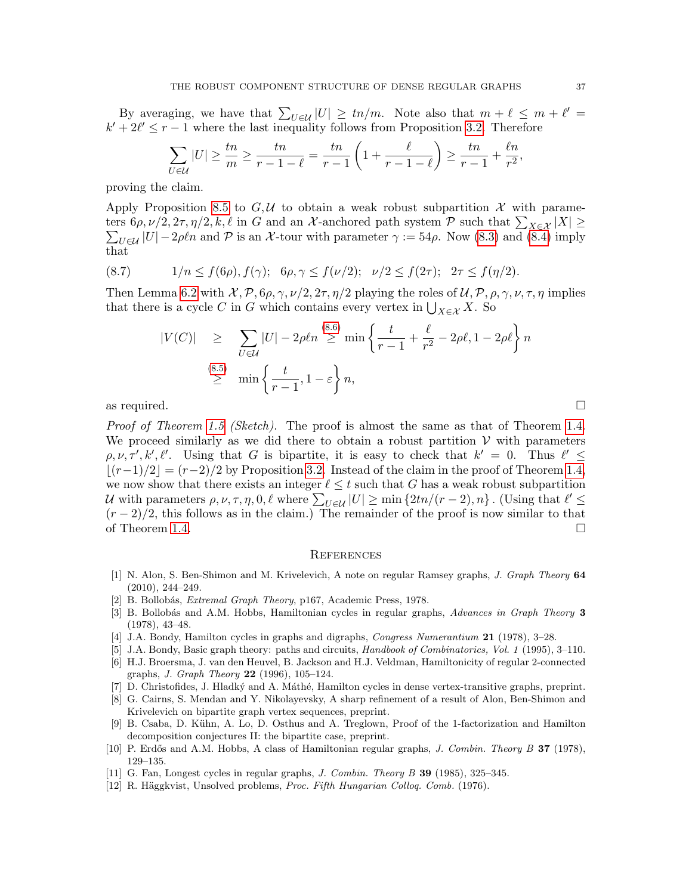By averaging, we have that  $\sum_{U \in \mathcal{U}} |U| \ge \frac{t n}{m}$ . Note also that  $m + \ell \le m + \ell' =$  $k' + 2\ell' \leq r - 1$  where the last inequality follows from Proposition [3.2.](#page-7-1) Therefore

$$
\sum_{U \in \mathcal{U}} |U| \ge \frac{tn}{m} \ge \frac{tn}{r - 1 - \ell} = \frac{tn}{r - 1} \left( 1 + \frac{\ell}{r - 1 - \ell} \right) \ge \frac{tn}{r - 1} + \frac{\ell n}{r^2},
$$

proving the claim.

Apply Proposition [8.5](#page-34-1) to  $G,\mathcal{U}$  to obtain a weak robust subpartition X with parameters  $6\rho, \nu/2, 2\tau, \eta/2, k, \ell$  in G and an X-anchored path system  $P$  such that  $\sum_{X \in \mathcal{X}} |X| \ge$  $\sum_{U \in \mathcal{U}} |U| - 2\rho \ell n$  and  $\mathcal P$  is an X-tour with parameter  $\gamma := 54\rho$ . Now [\(8.3\)](#page-35-0) and [\(8.4\)](#page-35-1) imply that

(8.7) 
$$
1/n \le f(6\rho), f(\gamma); \quad 6\rho, \gamma \le f(\nu/2); \quad \nu/2 \le f(2\tau); \quad 2\tau \le f(\eta/2).
$$

Then Lemma [6.2](#page-17-0) with  $\mathcal{X}, \mathcal{P}, 6\rho, \gamma, \nu/2, 2\tau, \eta/2$  playing the roles of  $\mathcal{U}, \mathcal{P}, \rho, \gamma, \nu, \tau, \eta$  implies that there is a cycle C in G which contains every vertex in  $\bigcup_{X \in \mathcal{X}} X$ . So

$$
|V(C)| \geq \sum_{U \in \mathcal{U}} |U| - 2\rho \ln \geq \min \left\{ \frac{t}{r-1} + \frac{\ell}{r^2} - 2\rho \ell, 1 - 2\rho \ell \right\} n
$$
  

$$
\geq \min \left\{ \frac{t}{r-1}, 1 - \varepsilon \right\} n,
$$

as required.  $\square$ 

Proof of Theorem [1.5](#page-4-0) (Sketch). The proof is almost the same as that of Theorem [1.4.](#page-3-1) We proceed similarly as we did there to obtain a robust partition  $V$  with parameters  $\rho, \nu, \tau', k', \ell'$ . Using that G is bipartite, it is easy to check that  $k' = 0$ . Thus  $\ell' \leq$  $\lfloor (r-1)/2 \rfloor = (r-2)/2$  by Proposition [3.2.](#page-7-1) Instead of the claim in the proof of Theorem [1.4,](#page-3-1) we now show that there exists an integer  $\ell \leq t$  such that G has a weak robust subpartition U with parameters  $\rho, \nu, \tau, \eta, 0, \ell$  where  $\sum_{U \in \mathcal{U}} |U| \ge \min \{2tn/(r-2), n\}$ . (Using that  $\ell' \le$  $(r-2)/2$ , this follows as in the claim.) The remainder of the proof is now similar to that of Theorem [1.4.](#page-3-1)

#### **REFERENCES**

- <span id="page-36-9"></span>[1] N. Alon, S. Ben-Shimon and M. Krivelevich, A note on regular Ramsey graphs, J. Graph Theory 64 (2010), 244–249.
- <span id="page-36-4"></span>[2] B. Bollobás, *Extremal Graph Theory*, p167, Academic Press, 1978.
- <span id="page-36-3"></span>[3] B. Bollobás and A.M. Hobbs, Hamiltonian cycles in regular graphs, Advances in Graph Theory 3 (1978), 43–48.
- <span id="page-36-7"></span>[4] J.A. Bondy, Hamilton cycles in graphs and digraphs, Congress Numerantium 21 (1978), 3–28.
- <span id="page-36-1"></span>[5] J.A. Bondy, Basic graph theory: paths and circuits, Handbook of Combinatorics, Vol. 1 (1995), 3–110.
- <span id="page-36-6"></span>[6] H.J. Broersma, J. van den Heuvel, B. Jackson and H.J. Veldman, Hamiltonicity of regular 2-connected graphs, J. Graph Theory 22 (1996), 105–124.
- <span id="page-36-0"></span>[7] D. Christofides, J. Hladký and A. Máthé, Hamilton cycles in dense vertex-transitive graphs, preprint.
- <span id="page-36-10"></span>[8] G. Cairns, S. Mendan and Y. Nikolayevsky, A sharp refinement of a result of Alon, Ben-Shimon and Krivelevich on bipartite graph vertex sequences, preprint.
- <span id="page-36-11"></span>[9] B. Csaba, D. K¨uhn, A. Lo, D. Osthus and A. Treglown, Proof of the 1-factorization and Hamilton decomposition conjectures II: the bipartite case, preprint.
- <span id="page-36-2"></span>[10] P. Erdős and A.M. Hobbs, A class of Hamiltonian regular graphs, *J. Combin. Theory B* 37 (1978), 129–135.
- <span id="page-36-5"></span>[11] G. Fan, Longest cycles in regular graphs, J. Combin. Theory B 39 (1985), 325–345.
- <span id="page-36-8"></span>[12] R. Häggkvist, Unsolved problems, Proc. Fifth Hungarian Colloq. Comb. (1976).